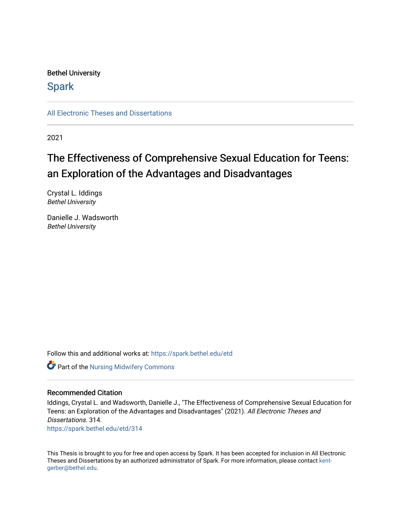# Bethel University

# **Spark**

[All Electronic Theses and Dissertations](https://spark.bethel.edu/etd) 

2021

# The Effectiveness of Comprehensive Sexual Education for Teens: an Exploration of the Advantages and Disadvantages

Crystal L. Iddings Bethel University

Danielle J. Wadsworth Bethel University

Follow this and additional works at: [https://spark.bethel.edu/etd](https://spark.bethel.edu/etd?utm_source=spark.bethel.edu%2Fetd%2F314&utm_medium=PDF&utm_campaign=PDFCoverPages)

Part of the [Nursing Midwifery Commons](http://network.bepress.com/hgg/discipline/722?utm_source=spark.bethel.edu%2Fetd%2F314&utm_medium=PDF&utm_campaign=PDFCoverPages) 

# Recommended Citation

Iddings, Crystal L. and Wadsworth, Danielle J., "The Effectiveness of Comprehensive Sexual Education for Teens: an Exploration of the Advantages and Disadvantages" (2021). All Electronic Theses and Dissertations. 314. [https://spark.bethel.edu/etd/314](https://spark.bethel.edu/etd/314?utm_source=spark.bethel.edu%2Fetd%2F314&utm_medium=PDF&utm_campaign=PDFCoverPages)

This Thesis is brought to you for free and open access by Spark. It has been accepted for inclusion in All Electronic Theses and Dissertations by an authorized administrator of Spark. For more information, please contact [kent](mailto:kent-gerber@bethel.edu)[gerber@bethel.edu.](mailto:kent-gerber@bethel.edu)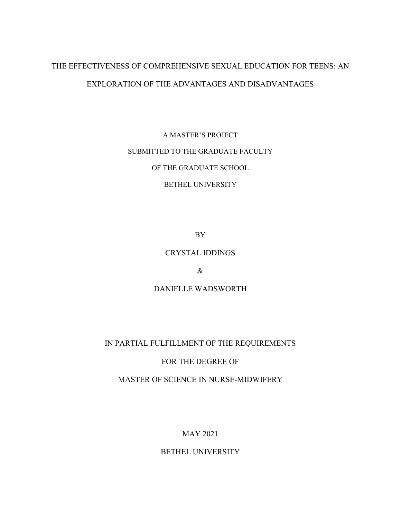# THE EFFECTIVENESS OF COMPREHENSIVE SEXUAL EDUCATION FOR TEENS: AN EXPLORATION OF THE ADVANTAGES AND DISADVANTAGES

A MASTER'S PROJECT SUBMITTED TO THE GRADUATE FACULTY

OF THE GRADUATE SCHOOL

BETHEL UNIVERSITY

BY

# CRYSTAL IDDINGS

&

DANIELLE WADSWORTH

# IN PARTIAL FULFILLMENT OF THE REQUIREMENTS

# FOR THE DEGREE OF

MASTER OF SCIENCE IN NURSE-MIDWIFERY

MAY 2021

BETHEL UNIVERSITY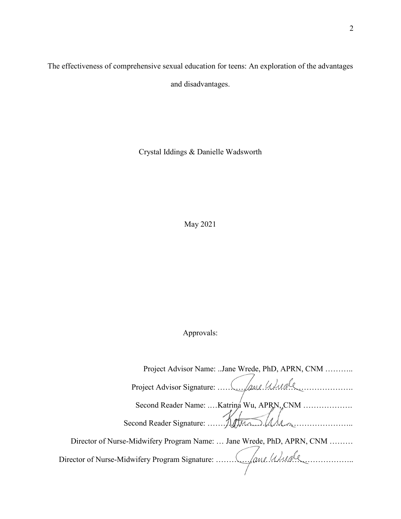The effectiveness of comprehensive sexual education for teens: An exploration of the advantages and disadvantages.

Crystal Iddings & Danielle Wadsworth

May 2021

Approvals:

 Project Advisor Name: ..Jane Wrede, PhD, APRN, CNM ……….. Project Advisor Signature: ……………………………………………. Second Reader Name: ....Katrina Wu, APRN, CNM .................... Second Reader Signature: Return Material Director of Nurse-Midwifery Program Name: … Jane Wrede, PhD, APRN, CNM ……… Director of Nurse-Midwifery Program Signature: ……………………………………………..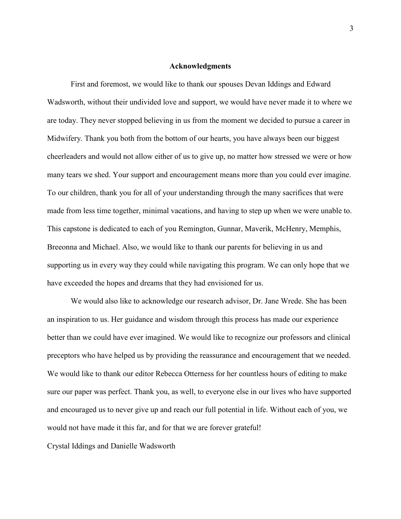# **Acknowledgments**

First and foremost, we would like to thank our spouses Devan Iddings and Edward Wadsworth, without their undivided love and support, we would have never made it to where we are today. They never stopped believing in us from the moment we decided to pursue a career in Midwifery. Thank you both from the bottom of our hearts, you have always been our biggest cheerleaders and would not allow either of us to give up, no matter how stressed we were or how many tears we shed. Your support and encouragement means more than you could ever imagine. To our children, thank you for all of your understanding through the many sacrifices that were made from less time together, minimal vacations, and having to step up when we were unable to. This capstone is dedicated to each of you Remington, Gunnar, Maverik, McHenry, Memphis, Breeonna and Michael. Also, we would like to thank our parents for believing in us and supporting us in every way they could while navigating this program. We can only hope that we have exceeded the hopes and dreams that they had envisioned for us.

We would also like to acknowledge our research advisor, Dr. Jane Wrede. She has been an inspiration to us. Her guidance and wisdom through this process has made our experience better than we could have ever imagined. We would like to recognize our professors and clinical preceptors who have helped us by providing the reassurance and encouragement that we needed. We would like to thank our editor Rebecca Otterness for her countless hours of editing to make sure our paper was perfect. Thank you, as well, to everyone else in our lives who have supported and encouraged us to never give up and reach our full potential in life. Without each of you, we would not have made it this far, and for that we are forever grateful!

Crystal Iddings and Danielle Wadsworth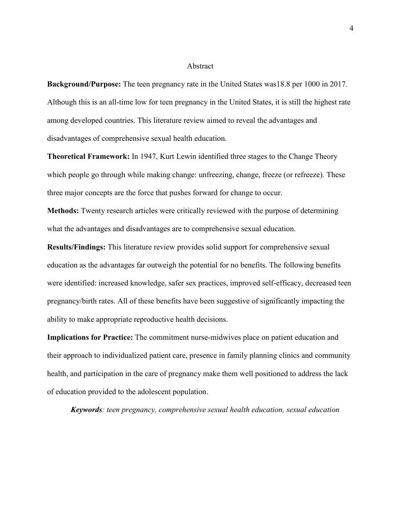#### Abstract

**Background/Purpose:** The teen pregnancy rate in the United States was18.8 per 1000 in 2017. Although this is an all-time low for teen pregnancy in the United States, it is still the highest rate among developed countries. This literature review aimed to reveal the advantages and disadvantages of comprehensive sexual health education.

**Theoretical Framework:** In 1947, Kurt Lewin identified three stages to the Change Theory which people go through while making change: unfreezing, change, freeze (or refreeze). These three major concepts are the force that pushes forward for change to occur.

**Methods:** Twenty research articles were critically reviewed with the purpose of determining what the advantages and disadvantages are to comprehensive sexual education.

**Results/Findings:** This literature review provides solid support for comprehensive sexual education as the advantages far outweigh the potential for no benefits. The following benefits were identified: increased knowledge, safer sex practices, improved self-efficacy, decreased teen pregnancy/birth rates. All of these benefits have been suggestive of significantly impacting the ability to make appropriate reproductive health decisions.

**Implications for Practice:** The commitment nurse-midwives place on patient education and their approach to individualized patient care, presence in family planning clinics and community health, and participation in the care of pregnancy make them well positioned to address the lack of education provided to the adolescent population.

*Keywords: teen pregnancy, comprehensive sexual health education, sexual education*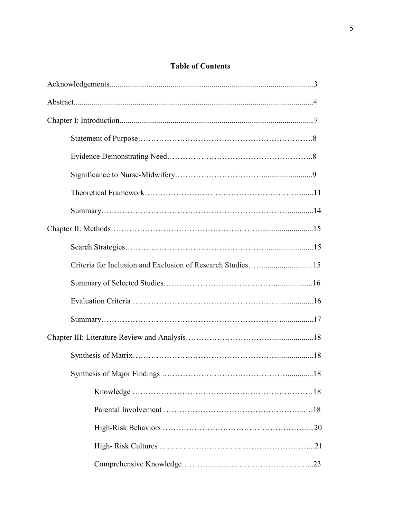# **Table of Contents**

| Criteria for Inclusion and Exclusion of Research Studies15 |
|------------------------------------------------------------|
|                                                            |
|                                                            |
|                                                            |
|                                                            |
|                                                            |
|                                                            |
|                                                            |
|                                                            |
|                                                            |
|                                                            |
|                                                            |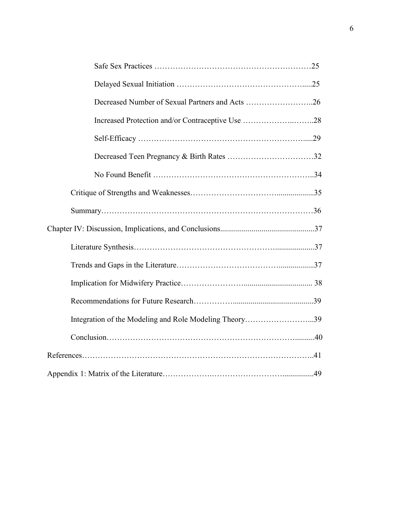| Decreased Number of Sexual Partners and Acts 26        |
|--------------------------------------------------------|
| Increased Protection and/or Contraceptive Use 28       |
|                                                        |
|                                                        |
|                                                        |
|                                                        |
|                                                        |
|                                                        |
|                                                        |
|                                                        |
|                                                        |
|                                                        |
| Integration of the Modeling and Role Modeling Theory39 |
|                                                        |
|                                                        |
|                                                        |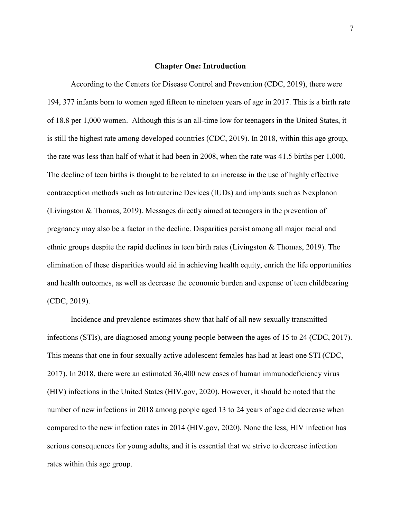### **Chapter One: Introduction**

According to the Centers for Disease Control and Prevention (CDC, 2019), there were 194, 377 infants born to women aged fifteen to nineteen years of age in 2017. This is a birth rate of 18.8 per 1,000 women. Although this is an all-time low for teenagers in the United States, it is still the highest rate among developed countries (CDC, 2019). In 2018, within this age group, the rate was less than half of what it had been in 2008, when the rate was 41.5 births per 1,000. The decline of teen births is thought to be related to an increase in the use of highly effective contraception methods such as Intrauterine Devices (IUDs) and implants such as Nexplanon (Livingston & Thomas, 2019). Messages directly aimed at teenagers in the prevention of pregnancy may also be a factor in the decline. Disparities persist among all major racial and ethnic groups despite the rapid declines in teen birth rates (Livingston & Thomas, 2019). The elimination of these disparities would aid in achieving health equity, enrich the life opportunities and health outcomes, as well as decrease the economic burden and expense of teen childbearing (CDC, 2019).

Incidence and prevalence estimates show that half of all new sexually transmitted infections (STIs), are diagnosed among young people between the ages of 15 to 24 (CDC, 2017). This means that one in four sexually active adolescent females has had at least one STI (CDC, 2017). In 2018, there were an estimated 36,400 new cases of human immunodeficiency virus (HIV) infections in the United States (HIV.gov, 2020). However, it should be noted that the number of new infections in 2018 among people aged 13 to 24 years of age did decrease when compared to the new infection rates in 2014 (HIV.gov, 2020). None the less, HIV infection has serious consequences for young adults, and it is essential that we strive to decrease infection rates within this age group.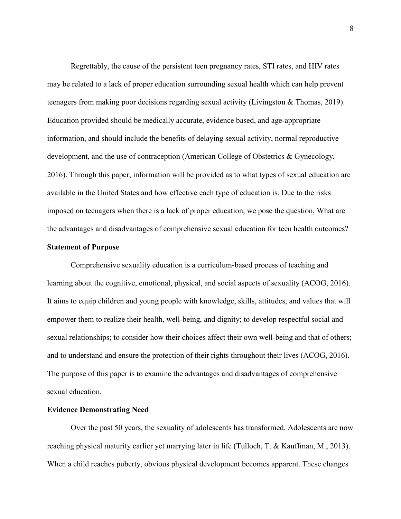Regrettably, the cause of the persistent teen pregnancy rates, STI rates, and HIV rates may be related to a lack of proper education surrounding sexual health which can help prevent teenagers from making poor decisions regarding sexual activity (Livingston & Thomas, 2019). Education provided should be medically accurate, evidence based, and age-appropriate information, and should include the benefits of delaying sexual activity, normal reproductive development, and the use of contraception (American College of Obstetrics & Gynecology, 2016). Through this paper, information will be provided as to what types of sexual education are available in the United States and how effective each type of education is. Due to the risks imposed on teenagers when there is a lack of proper education, we pose the question, What are the advantages and disadvantages of comprehensive sexual education for teen health outcomes?

# **Statement of Purpose**

Comprehensive sexuality education is a curriculum-based process of teaching and learning about the cognitive, emotional, physical, and social aspects of sexuality (ACOG, 2016). It aims to equip children and young people with knowledge, skills, attitudes, and values that will empower them to realize their health, well-being, and dignity; to develop respectful social and sexual relationships; to consider how their choices affect their own well-being and that of others; and to understand and ensure the protection of their rights throughout their lives (ACOG, 2016). The purpose of this paper is to examine the advantages and disadvantages of comprehensive sexual education.

# **Evidence Demonstrating Need**

Over the past 50 years, the sexuality of adolescents has transformed. Adolescents are now reaching physical maturity earlier yet marrying later in life (Tulloch, T. & Kauffman, M., 2013). When a child reaches puberty, obvious physical development becomes apparent. These changes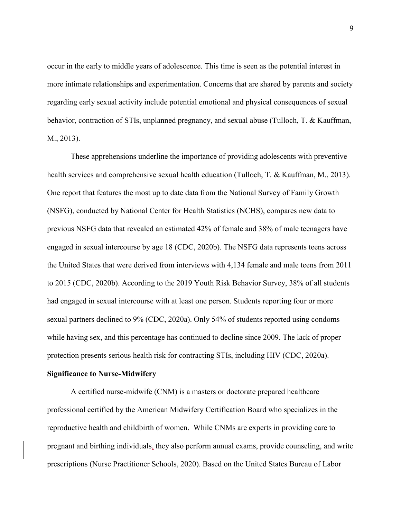occur in the early to middle years of adolescence. This time is seen as the potential interest in more intimate relationships and experimentation. Concerns that are shared by parents and society regarding early sexual activity include potential emotional and physical consequences of sexual behavior, contraction of STIs, unplanned pregnancy, and sexual abuse (Tulloch, T. & Kauffman, M., 2013).

These apprehensions underline the importance of providing adolescents with preventive health services and comprehensive sexual health education (Tulloch, T. & Kauffman, M., 2013). One report that features the most up to date data from the National Survey of Family Growth (NSFG), conducted by National Center for Health Statistics (NCHS), compares new data to previous NSFG data that revealed an estimated 42% of female and 38% of male teenagers have engaged in sexual intercourse by age 18 (CDC, 2020b). The NSFG data represents teens across the United States that were derived from interviews with 4,134 female and male teens from 2011 to 2015 (CDC, 2020b). According to the 2019 Youth Risk Behavior Survey, 38% of all students had engaged in sexual intercourse with at least one person. Students reporting four or more sexual partners declined to 9% (CDC, 2020a). Only 54% of students reported using condoms while having sex, and this percentage has continued to decline since 2009. The lack of proper protection presents serious health risk for contracting STIs, including HIV (CDC, 2020a).

#### **Significance to Nurse-Midwifery**

A certified nurse-midwife (CNM) is a masters or doctorate prepared healthcare professional certified by the American Midwifery Certification Board who specializes in the reproductive health and childbirth of women. While CNMs are experts in providing care to pregnant and birthing individuals, they also perform annual exams, provide counseling, and write prescriptions (Nurse Practitioner Schools, 2020). Based on the United States Bureau of Labor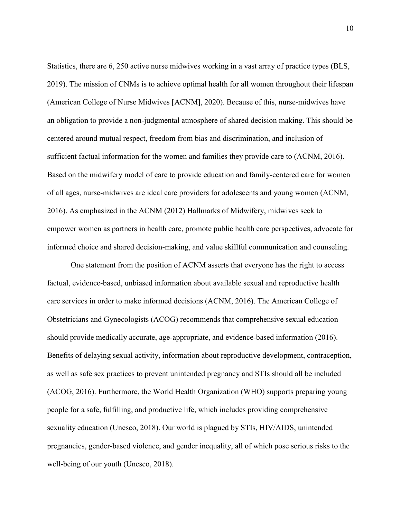Statistics, there are 6, 250 active nurse midwives working in a vast array of practice types (BLS, 2019). The mission of CNMs is to achieve optimal health for all women throughout their lifespan (American College of Nurse Midwives [ACNM], 2020). Because of this, nurse-midwives have an obligation to provide a non-judgmental atmosphere of shared decision making. This should be centered around mutual respect, freedom from bias and discrimination, and inclusion of sufficient factual information for the women and families they provide care to (ACNM, 2016). Based on the midwifery model of care to provide education and family-centered care for women of all ages, nurse-midwives are ideal care providers for adolescents and young women (ACNM, 2016). As emphasized in the ACNM (2012) Hallmarks of Midwifery, midwives seek to empower women as partners in health care, promote public health care perspectives, advocate for informed choice and shared decision-making, and value skillful communication and counseling.

One statement from the position of ACNM asserts that everyone has the right to access factual, evidence-based, unbiased information about available sexual and reproductive health care services in order to make informed decisions (ACNM, 2016). The American College of Obstetricians and Gynecologists (ACOG) recommends that comprehensive sexual education should provide medically accurate, age-appropriate, and evidence-based information (2016). Benefits of delaying sexual activity, information about reproductive development, contraception, as well as safe sex practices to prevent unintended pregnancy and STIs should all be included (ACOG, 2016). Furthermore, the World Health Organization (WHO) supports preparing young people for a safe, fulfilling, and productive life, which includes providing comprehensive sexuality education (Unesco, 2018). Our world is plagued by STIs, HIV/AIDS, unintended pregnancies, gender-based violence, and gender inequality, all of which pose serious risks to the well-being of our youth (Unesco, 2018).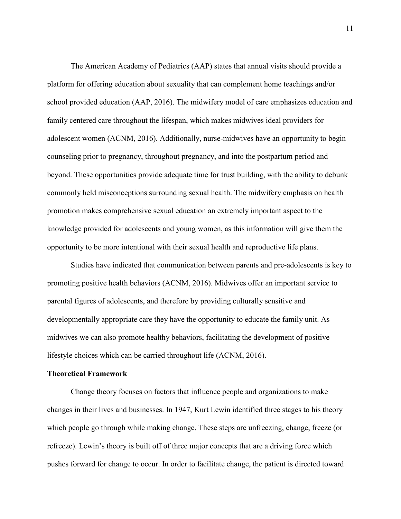The American Academy of Pediatrics (AAP) states that annual visits should provide a platform for offering education about sexuality that can complement home teachings and/or school provided education (AAP, 2016). The midwifery model of care emphasizes education and family centered care throughout the lifespan, which makes midwives ideal providers for adolescent women (ACNM, 2016). Additionally, nurse-midwives have an opportunity to begin counseling prior to pregnancy, throughout pregnancy, and into the postpartum period and beyond. These opportunities provide adequate time for trust building, with the ability to debunk commonly held misconceptions surrounding sexual health. The midwifery emphasis on health promotion makes comprehensive sexual education an extremely important aspect to the knowledge provided for adolescents and young women, as this information will give them the opportunity to be more intentional with their sexual health and reproductive life plans.

Studies have indicated that communication between parents and pre-adolescents is key to promoting positive health behaviors (ACNM, 2016). Midwives offer an important service to parental figures of adolescents, and therefore by providing culturally sensitive and developmentally appropriate care they have the opportunity to educate the family unit. As midwives we can also promote healthy behaviors, facilitating the development of positive lifestyle choices which can be carried throughout life (ACNM, 2016).

## **Theoretical Framework**

Change theory focuses on factors that influence people and organizations to make changes in their lives and businesses. In 1947, Kurt Lewin identified three stages to his theory which people go through while making change. These steps are unfreezing, change, freeze (or refreeze). Lewin's theory is built off of three major concepts that are a driving force which pushes forward for change to occur. In order to facilitate change, the patient is directed toward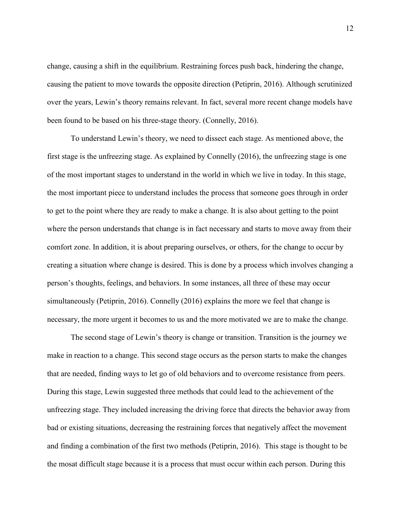change, causing a shift in the equilibrium. Restraining forces push back, hindering the change, causing the patient to move towards the opposite direction (Petiprin, 2016). Although scrutinized over the years, Lewin's theory remains relevant. In fact, several more recent change models have been found to be based on his three-stage theory. (Connelly, 2016).

To understand Lewin's theory, we need to dissect each stage. As mentioned above, the first stage is the unfreezing stage. As explained by Connelly (2016), the unfreezing stage is one of the most important stages to understand in the world in which we live in today. In this stage, the most important piece to understand includes the process that someone goes through in order to get to the point where they are ready to make a change. It is also about getting to the point where the person understands that change is in fact necessary and starts to move away from their comfort zone. In addition, it is about preparing ourselves, or others, for the change to occur by creating a situation where change is desired. This is done by a process which involves changing a person's thoughts, feelings, and behaviors. In some instances, all three of these may occur simultaneously (Petiprin, 2016). Connelly (2016) explains the more we feel that change is necessary, the more urgent it becomes to us and the more motivated we are to make the change.

The second stage of Lewin's theory is change or transition. Transition is the journey we make in reaction to a change. This second stage occurs as the person starts to make the changes that are needed, finding ways to let go of old behaviors and to overcome resistance from peers. During this stage, Lewin suggested three methods that could lead to the achievement of the unfreezing stage. They included increasing the driving force that directs the behavior away from bad or existing situations, decreasing the restraining forces that negatively affect the movement and finding a combination of the first two methods (Petiprin, 2016). This stage is thought to be the mosat difficult stage because it is a process that must occur within each person. During this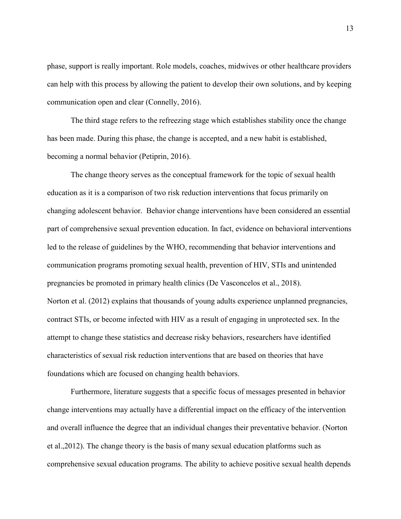phase, support is really important. Role models, coaches, midwives or other healthcare providers can help with this process by allowing the patient to develop their own solutions, and by keeping communication open and clear (Connelly, 2016).

The third stage refers to the refreezing stage which establishes stability once the change has been made. During this phase, the change is accepted, and a new habit is established, becoming a normal behavior (Petiprin, 2016).

The change theory serves as the conceptual framework for the topic of sexual health education as it is a comparison of two risk reduction interventions that focus primarily on changing adolescent behavior. Behavior change interventions have been considered an essential part of comprehensive sexual prevention education. In fact, evidence on behavioral interventions led to the release of guidelines by the WHO, recommending that behavior interventions and communication programs promoting sexual health, prevention of HIV, STIs and unintended pregnancies be promoted in primary health clinics (De Vasconcelos et al., 2018). Norton et al. (2012) explains that thousands of young adults experience unplanned pregnancies, contract STIs, or become infected with HIV as a result of engaging in unprotected sex. In the attempt to change these statistics and decrease risky behaviors, researchers have identified characteristics of sexual risk reduction interventions that are based on theories that have foundations which are focused on changing health behaviors.

Furthermore, literature suggests that a specific focus of messages presented in behavior change interventions may actually have a differential impact on the efficacy of the intervention and overall influence the degree that an individual changes their preventative behavior. (Norton et al.,2012). The change theory is the basis of many sexual education platforms such as comprehensive sexual education programs. The ability to achieve positive sexual health depends

13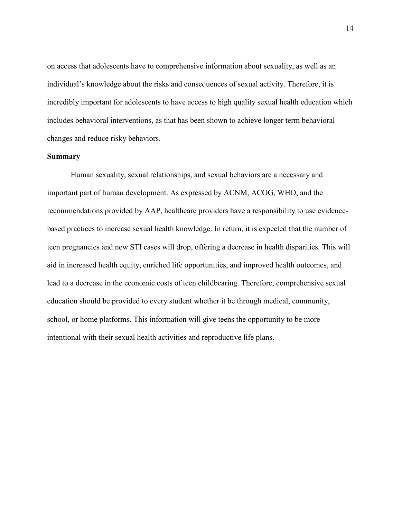on access that adolescents have to comprehensive information about sexuality, as well as an individual's knowledge about the risks and consequences of sexual activity. Therefore, it is incredibly important for adolescents to have access to high quality sexual health education which includes behavioral interventions, as that has been shown to achieve longer term behavioral changes and reduce risky behaviors.

# **Summary**

Human sexuality, sexual relationships, and sexual behaviors are a necessary and important part of human development. As expressed by ACNM, ACOG, WHO, and the recommendations provided by AAP, healthcare providers have a responsibility to use evidencebased practices to increase sexual health knowledge. In return, it is expected that the number of teen pregnancies and new STI cases will drop, offering a decrease in health disparities. This will aid in increased health equity, enriched life opportunities, and improved health outcomes, and lead to a decrease in the economic costs of teen childbearing. Therefore, comprehensive sexual education should be provided to every student whether it be through medical, community, school, or home platforms. This information will give teens the opportunity to be more intentional with their sexual health activities and reproductive life plans.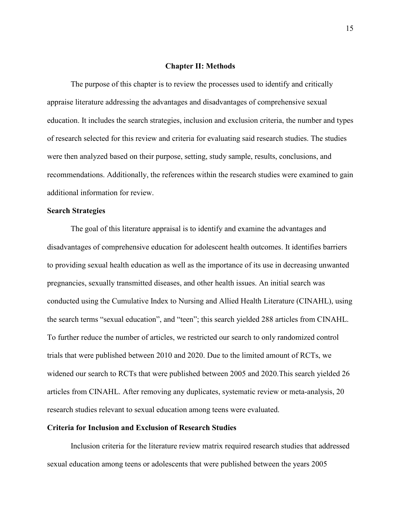## **Chapter II: Methods**

The purpose of this chapter is to review the processes used to identify and critically appraise literature addressing the advantages and disadvantages of comprehensive sexual education. It includes the search strategies, inclusion and exclusion criteria, the number and types of research selected for this review and criteria for evaluating said research studies. The studies were then analyzed based on their purpose, setting, study sample, results, conclusions, and recommendations. Additionally, the references within the research studies were examined to gain additional information for review.

# **Search Strategies**

The goal of this literature appraisal is to identify and examine the advantages and disadvantages of comprehensive education for adolescent health outcomes. It identifies barriers to providing sexual health education as well as the importance of its use in decreasing unwanted pregnancies, sexually transmitted diseases, and other health issues. An initial search was conducted using the Cumulative Index to Nursing and Allied Health Literature (CINAHL), using the search terms "sexual education", and "teen"; this search yielded 288 articles from CINAHL. To further reduce the number of articles, we restricted our search to only randomized control trials that were published between 2010 and 2020. Due to the limited amount of RCTs, we widened our search to RCTs that were published between 2005 and 2020.This search yielded 26 articles from CINAHL. After removing any duplicates, systematic review or meta-analysis, 20 research studies relevant to sexual education among teens were evaluated.

# **Criteria for Inclusion and Exclusion of Research Studies**

Inclusion criteria for the literature review matrix required research studies that addressed sexual education among teens or adolescents that were published between the years 2005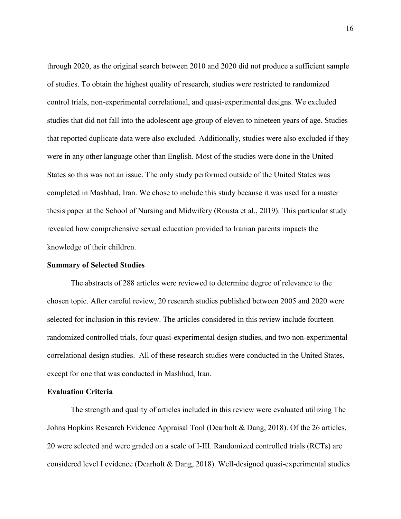through 2020, as the original search between 2010 and 2020 did not produce a sufficient sample of studies. To obtain the highest quality of research, studies were restricted to randomized control trials, non-experimental correlational, and quasi-experimental designs. We excluded studies that did not fall into the adolescent age group of eleven to nineteen years of age. Studies that reported duplicate data were also excluded. Additionally, studies were also excluded if they were in any other language other than English. Most of the studies were done in the United States so this was not an issue. The only study performed outside of the United States was completed in Mashhad, Iran. We chose to include this study because it was used for a master thesis paper at the School of Nursing and Midwifery (Rousta et al., 2019). This particular study revealed how comprehensive sexual education provided to Iranian parents impacts the knowledge of their children.

#### **Summary of Selected Studies**

The abstracts of 288 articles were reviewed to determine degree of relevance to the chosen topic. After careful review, 20 research studies published between 2005 and 2020 were selected for inclusion in this review. The articles considered in this review include fourteen randomized controlled trials, four quasi-experimental design studies, and two non-experimental correlational design studies. All of these research studies were conducted in the United States, except for one that was conducted in Mashhad, Iran.

# **Evaluation Criteria**

The strength and quality of articles included in this review were evaluated utilizing The Johns Hopkins Research Evidence Appraisal Tool (Dearholt & Dang, 2018). Of the 26 articles, 20 were selected and were graded on a scale of I-III. Randomized controlled trials (RCTs) are considered level I evidence (Dearholt & Dang, 2018). Well-designed quasi-experimental studies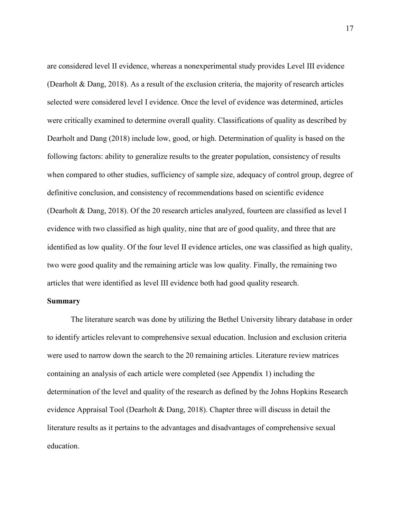are considered level II evidence, whereas a nonexperimental study provides Level III evidence (Dearholt & Dang, 2018). As a result of the exclusion criteria, the majority of research articles selected were considered level I evidence. Once the level of evidence was determined, articles were critically examined to determine overall quality. Classifications of quality as described by Dearholt and Dang (2018) include low, good, or high. Determination of quality is based on the following factors: ability to generalize results to the greater population, consistency of results when compared to other studies, sufficiency of sample size, adequacy of control group, degree of definitive conclusion, and consistency of recommendations based on scientific evidence (Dearholt & Dang, 2018). Of the 20 research articles analyzed, fourteen are classified as level I evidence with two classified as high quality, nine that are of good quality, and three that are identified as low quality. Of the four level II evidence articles, one was classified as high quality, two were good quality and the remaining article was low quality. Finally, the remaining two articles that were identified as level III evidence both had good quality research.

## **Summary**

The literature search was done by utilizing the Bethel University library database in order to identify articles relevant to comprehensive sexual education. Inclusion and exclusion criteria were used to narrow down the search to the 20 remaining articles. Literature review matrices containing an analysis of each article were completed (see Appendix 1) including the determination of the level and quality of the research as defined by the Johns Hopkins Research evidence Appraisal Tool (Dearholt & Dang, 2018). Chapter three will discuss in detail the literature results as it pertains to the advantages and disadvantages of comprehensive sexual education.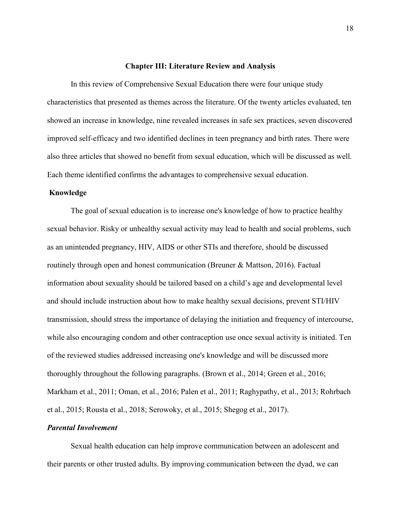### **Chapter III: Literature Review and Analysis**

In this review of Comprehensive Sexual Education there were four unique study characteristics that presented as themes across the literature. Of the twenty articles evaluated, ten showed an increase in knowledge, nine revealed increases in safe sex practices, seven discovered improved self-efficacy and two identified declines in teen pregnancy and birth rates. There were also three articles that showed no benefit from sexual education, which will be discussed as well. Each theme identified confirms the advantages to comprehensive sexual education.

# **Knowledge**

The goal of sexual education is to increase one's knowledge of how to practice healthy sexual behavior. Risky or unhealthy sexual activity may lead to health and social problems, such as an unintended pregnancy, HIV, AIDS or other STIs and therefore, should be discussed routinely through open and honest communication (Breuner & Mattson, 2016). Factual information about sexuality should be tailored based on a child's age and developmental level and should include instruction about how to make healthy sexual decisions, prevent STI/HIV transmission, should stress the importance of delaying the initiation and frequency of intercourse, while also encouraging condom and other contraception use once sexual activity is initiated. Ten of the reviewed studies addressed increasing one's knowledge and will be discussed more thoroughly throughout the following paragraphs. (Brown et al., 2014; Green et al., 2016; Markham et al., 2011; Oman, et al., 2016; Palen et al., 2011; Raghypathy, et al., 2013; Rohrbach et al., 2015; Rousta et al., 2018; Serowoky, et al., 2015; Shegog et al., 2017).

# *Parental Involvement*

Sexual health education can help improve communication between an adolescent and their parents or other trusted adults. By improving communication between the dyad, we can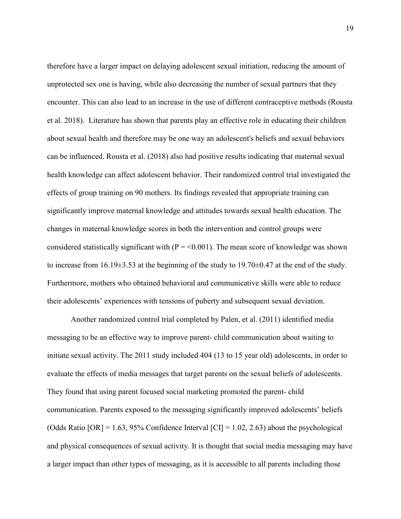therefore have a larger impact on delaying adolescent sexual initiation, reducing the amount of unprotected sex one is having, while also decreasing the number of sexual partners that they encounter. This can also lead to an increase in the use of different contraceptive methods (Rousta et al. 2018). Literature has shown that parents play an effective role in educating their children about sexual health and therefore may be one way an adolescent's beliefs and sexual behaviors can be influenced. Rousta et al. (2018) also had positive results indicating that maternal sexual health knowledge can affect adolescent behavior. Their randomized control trial investigated the effects of group training on 90 mothers. Its findings revealed that appropriate training can significantly improve maternal knowledge and attitudes towards sexual health education. The changes in maternal knowledge scores in both the intervention and control groups were considered statistically significant with  $(P = 0.001)$ . The mean score of knowledge was shown to increase from 16.19±3.53 at the beginning of the study to 19.70±0.47 at the end of the study. Furthermore, mothers who obtained behavioral and communicative skills were able to reduce their adolescents' experiences with tensions of puberty and subsequent sexual deviation.

Another randomized control trial completed by Palen, et al. (2011) identified media messaging to be an effective way to improve parent- child communication about waiting to initiate sexual activity. The 2011 study included 404 (13 to 15 year old) adolescents, in order to evaluate the effects of media messages that target parents on the sexual beliefs of adolescents. They found that using parent focused social marketing promoted the parent- child communication. Parents exposed to the messaging significantly improved adolescents' beliefs (Odds Ratio  $[OR] = 1.63, 95\%$  Confidence Interval  $[CI] = 1.02, 2.63$ ) about the psychological and physical consequences of sexual activity. It is thought that social media messaging may have a larger impact than other types of messaging, as it is accessible to all parents including those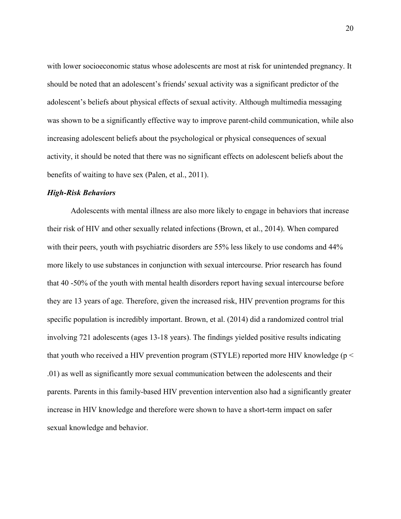with lower socioeconomic status whose adolescents are most at risk for unintended pregnancy. It should be noted that an adolescent's friends' sexual activity was a significant predictor of the adolescent's beliefs about physical effects of sexual activity. Although multimedia messaging was shown to be a significantly effective way to improve parent-child communication, while also increasing adolescent beliefs about the psychological or physical consequences of sexual activity, it should be noted that there was no significant effects on adolescent beliefs about the benefits of waiting to have sex (Palen, et al., 2011).

# *High-Risk Behaviors*

Adolescents with mental illness are also more likely to engage in behaviors that increase their risk of HIV and other sexually related infections (Brown, et al., 2014). When compared with their peers, youth with psychiatric disorders are 55% less likely to use condoms and 44% more likely to use substances in conjunction with sexual intercourse. Prior research has found that 40 -50% of the youth with mental health disorders report having sexual intercourse before they are 13 years of age. Therefore, given the increased risk, HIV prevention programs for this specific population is incredibly important. Brown, et al. (2014) did a randomized control trial involving 721 adolescents (ages 13-18 years). The findings yielded positive results indicating that youth who received a HIV prevention program (STYLE) reported more HIV knowledge ( $p <$ .01) as well as significantly more sexual communication between the adolescents and their parents. Parents in this family-based HIV prevention intervention also had a significantly greater increase in HIV knowledge and therefore were shown to have a short-term impact on safer sexual knowledge and behavior.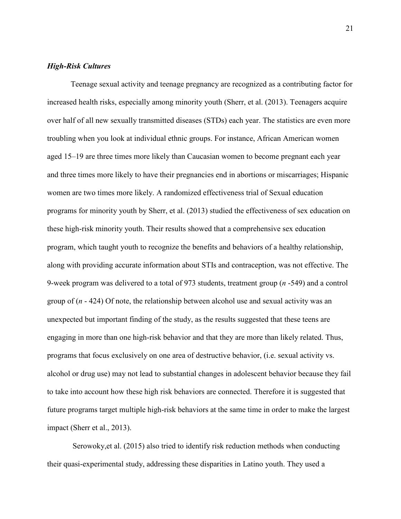# *High-Risk Cultures*

Teenage sexual activity and teenage pregnancy are recognized as a contributing factor for increased health risks, especially among minority youth (Sherr, et al. (2013). Teenagers acquire over half of all new sexually transmitted diseases (STDs) each year. The statistics are even more troubling when you look at individual ethnic groups. For instance, African American women aged 15–19 are three times more likely than Caucasian women to become pregnant each year and three times more likely to have their pregnancies end in abortions or miscarriages; Hispanic women are two times more likely. A randomized effectiveness trial of Sexual education programs for minority youth by Sherr, et al. (2013) studied the effectiveness of sex education on these high-risk minority youth. Their results showed that a comprehensive sex education program, which taught youth to recognize the benefits and behaviors of a healthy relationship, along with providing accurate information about STIs and contraception, was not effective. The 9-week program was delivered to a total of 973 students, treatment group (*n* -549) and a control group of (*n* - 424) Of note, the relationship between alcohol use and sexual activity was an unexpected but important finding of the study, as the results suggested that these teens are engaging in more than one high-risk behavior and that they are more than likely related. Thus, programs that focus exclusively on one area of destructive behavior, (i.e. sexual activity vs. alcohol or drug use) may not lead to substantial changes in adolescent behavior because they fail to take into account how these high risk behaviors are connected. Therefore it is suggested that future programs target multiple high-risk behaviors at the same time in order to make the largest impact (Sherr et al., 2013).

Serowoky,et al. (2015) also tried to identify risk reduction methods when conducting their quasi-experimental study, addressing these disparities in Latino youth. They used a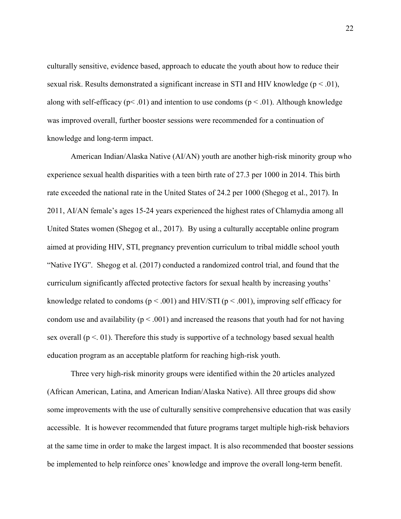culturally sensitive, evidence based, approach to educate the youth about how to reduce their sexual risk. Results demonstrated a significant increase in STI and HIV knowledge ( $p < .01$ ), along with self-efficacy ( $p < .01$ ) and intention to use condoms ( $p < .01$ ). Although knowledge was improved overall, further booster sessions were recommended for a continuation of knowledge and long-term impact.

American Indian/Alaska Native (AI/AN) youth are another high-risk minority group who experience sexual health disparities with a teen birth rate of 27.3 per 1000 in 2014. This birth rate exceeded the national rate in the United States of 24.2 per 1000 (Shegog et al., 2017). In 2011, AI/AN female's ages 15-24 years experienced the highest rates of Chlamydia among all United States women (Shegog et al., 2017). By using a culturally acceptable online program aimed at providing HIV, STI, pregnancy prevention curriculum to tribal middle school youth "Native IYG". Shegog et al. (2017) conducted a randomized control trial, and found that the curriculum significantly affected protective factors for sexual health by increasing youths' knowledge related to condoms ( $p < .001$ ) and HIV/STI ( $p < .001$ ), improving self efficacy for condom use and availability ( $p < .001$ ) and increased the reasons that youth had for not having sex overall ( $p < 01$ ). Therefore this study is supportive of a technology based sexual health education program as an acceptable platform for reaching high-risk youth.

Three very high-risk minority groups were identified within the 20 articles analyzed (African American, Latina, and American Indian/Alaska Native). All three groups did show some improvements with the use of culturally sensitive comprehensive education that was easily accessible. It is however recommended that future programs target multiple high-risk behaviors at the same time in order to make the largest impact. It is also recommended that booster sessions be implemented to help reinforce ones' knowledge and improve the overall long-term benefit.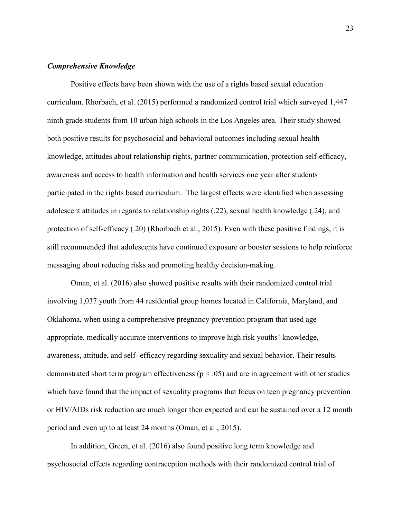# *Comprehensive Knowledge*

 Positive effects have been shown with the use of a rights based sexual education curriculum. Rhorbach, et al. (2015) performed a randomized control trial which surveyed 1,447 ninth grade students from 10 urban high schools in the Los Angeles area. Their study showed both positive results for psychosocial and behavioral outcomes including sexual health knowledge, attitudes about relationship rights, partner communication, protection self-efficacy, awareness and access to health information and health services one year after students participated in the rights based curriculum. The largest effects were identified when assessing adolescent attitudes in regards to relationship rights (.22), sexual health knowledge (.24), and protection of self-efficacy (.20) (Rhorbach et al., 2015). Even with these positive findings, it is still recommended that adolescents have continued exposure or booster sessions to help reinforce messaging about reducing risks and promoting healthy decision-making.

Oman, et al. (2016) also showed positive results with their randomized control trial involving 1,037 youth from 44 residential group homes located in California, Maryland, and Oklahoma, when using a comprehensive pregnancy prevention program that used age appropriate, medically accurate interventions to improve high risk youths' knowledge, awareness, attitude, and self- efficacy regarding sexuality and sexual behavior. Their results demonstrated short term program effectiveness ( $p < .05$ ) and are in agreement with other studies which have found that the impact of sexuality programs that focus on teen pregnancy prevention or HIV/AIDs risk reduction are much longer then expected and can be sustained over a 12 month period and even up to at least 24 months (Oman, et al., 2015).

In addition, Green, et al. (2016) also found positive long term knowledge and psychosocial effects regarding contraception methods with their randomized control trial of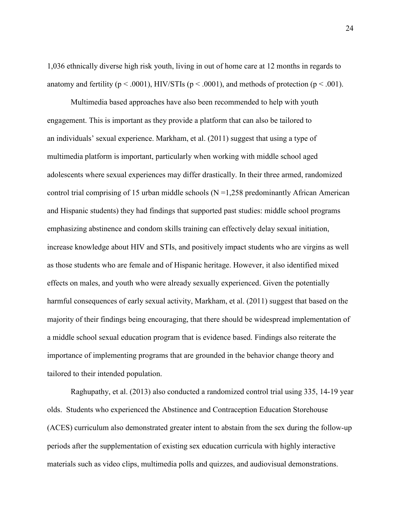1,036 ethnically diverse high risk youth, living in out of home care at 12 months in regards to anatomy and fertility ( $p < .0001$ ), HIV/STIs ( $p < .0001$ ), and methods of protection ( $p < .001$ ).

Multimedia based approaches have also been recommended to help with youth engagement. This is important as they provide a platform that can also be tailored to an individuals' sexual experience. Markham, et al. (2011) suggest that using a type of multimedia platform is important, particularly when working with middle school aged adolescents where sexual experiences may differ drastically. In their three armed, randomized control trial comprising of 15 urban middle schools ( $N = 1,258$  predominantly African American and Hispanic students) they had findings that supported past studies: middle school programs emphasizing abstinence and condom skills training can effectively delay sexual initiation, increase knowledge about HIV and STIs, and positively impact students who are virgins as well as those students who are female and of Hispanic heritage. However, it also identified mixed effects on males, and youth who were already sexually experienced. Given the potentially harmful consequences of early sexual activity, Markham, et al. (2011) suggest that based on the majority of their findings being encouraging, that there should be widespread implementation of a middle school sexual education program that is evidence based. Findings also reiterate the importance of implementing programs that are grounded in the behavior change theory and tailored to their intended population.

Raghupathy, et al. (2013) also conducted a randomized control trial using 335, 14-19 year olds. Students who experienced the Abstinence and Contraception Education Storehouse (ACES) curriculum also demonstrated greater intent to abstain from the sex during the follow-up periods after the supplementation of existing sex education curricula with highly interactive materials such as video clips, multimedia polls and quizzes, and audiovisual demonstrations.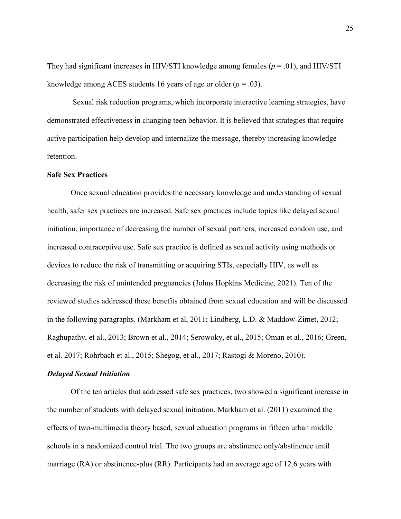They had significant increases in HIV/STI knowledge among females (*p* = .01), and HIV/STI knowledge among ACES students 16 years of age or older  $(p=.03)$ .

Sexual risk reduction programs, which incorporate interactive learning strategies, have demonstrated effectiveness in changing teen behavior. It is believed that strategies that require active participation help develop and internalize the message, thereby increasing knowledge retention.

# **Safe Sex Practices**

Once sexual education provides the necessary knowledge and understanding of sexual health, safer sex practices are increased. Safe sex practices include topics like delayed sexual initiation, importance of decreasing the number of sexual partners, increased condom use, and increased contraceptive use. Safe sex practice is defined as sexual activity using methods or devices to reduce the risk of transmitting or acquiring STIs, especially HIV, as well as decreasing the risk of unintended pregnancies (Johns Hopkins Medicine, 2021). Ten of the reviewed studies addressed these benefits obtained from sexual education and will be discussed in the following paragraphs. (Markham et al, 2011; Lindberg, L.D. & Maddow-Zimet, 2012; Raghupathy, et al., 2013; Brown et al., 2014; Serowoky, et al., 2015; Oman et al., 2016; Green, et al. 2017; Rohrbach et al., 2015; Shegog, et al., 2017; Rastogi & Moreno, 2010).

#### *Delayed Sexual Initiation*

Of the ten articles that addressed safe sex practices, two showed a significant increase in the number of students with delayed sexual initiation. Markham et al. (2011) examined the effects of two-multimedia theory based, sexual education programs in fifteen urban middle schools in a randomized control trial. The two groups are abstinence only/abstinence until marriage (RA) or abstinence-plus (RR). Participants had an average age of 12.6 years with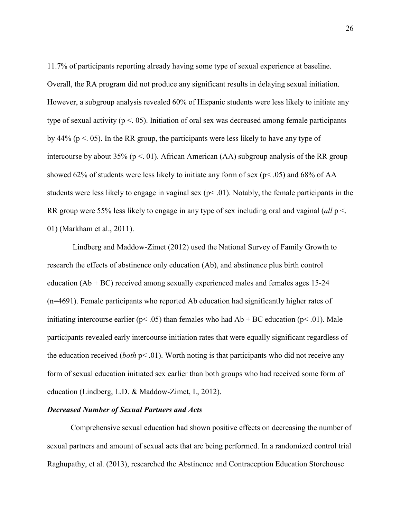11.7% of participants reporting already having some type of sexual experience at baseline. Overall, the RA program did not produce any significant results in delaying sexual initiation. However, a subgroup analysis revealed 60% of Hispanic students were less likely to initiate any type of sexual activity ( $p < 0.05$ ). Initiation of oral sex was decreased among female participants by 44% ( $p < 0.05$ ). In the RR group, the participants were less likely to have any type of intercourse by about 35% ( $p < 01$ ). African American (AA) subgroup analysis of the RR group showed 62% of students were less likely to initiate any form of sex ( $p$ < .05) and 68% of AA students were less likely to engage in vaginal sex ( $p<.01$ ). Notably, the female participants in the RR group were 55% less likely to engage in any type of sex including oral and vaginal (*all* p <. 01) (Markham et al., 2011).

 Lindberg and Maddow-Zimet (2012) used the National Survey of Family Growth to research the effects of abstinence only education (Ab), and abstinence plus birth control education  $(Ab + BC)$  received among sexually experienced males and females ages 15-24 (n=4691). Female participants who reported Ab education had significantly higher rates of initiating intercourse earlier ( $p$ < .05) than females who had  $Ab + BC$  education ( $p$ < .01). Male participants revealed early intercourse initiation rates that were equally significant regardless of the education received (*both* p< .01). Worth noting is that participants who did not receive any form of sexual education initiated sex earlier than both groups who had received some form of education (Lindberg, L.D. & Maddow-Zimet, I., 2012).

# *Decreased Number of Sexual Partners and Acts*

Comprehensive sexual education had shown positive effects on decreasing the number of sexual partners and amount of sexual acts that are being performed. In a randomized control trial Raghupathy, et al. (2013), researched the Abstinence and Contraception Education Storehouse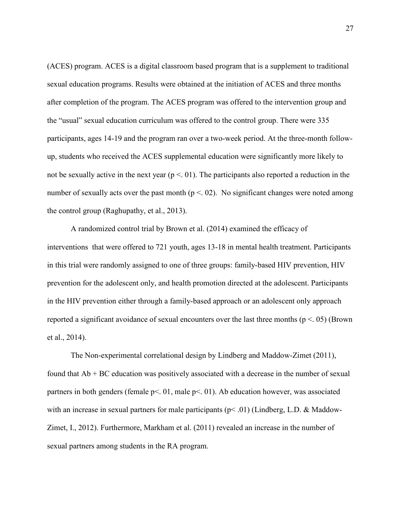(ACES) program. ACES is a digital classroom based program that is a supplement to traditional sexual education programs. Results were obtained at the initiation of ACES and three months after completion of the program. The ACES program was offered to the intervention group and the "usual" sexual education curriculum was offered to the control group. There were 335 participants, ages 14-19 and the program ran over a two-week period. At the three-month followup, students who received the ACES supplemental education were significantly more likely to not be sexually active in the next year  $(p < 0.01)$ . The participants also reported a reduction in the number of sexually acts over the past month ( $p < 02$ ). No significant changes were noted among the control group (Raghupathy, et al., 2013).

A randomized control trial by Brown et al. (2014) examined the efficacy of interventions that were offered to 721 youth, ages 13-18 in mental health treatment. Participants in this trial were randomly assigned to one of three groups: family-based HIV prevention, HIV prevention for the adolescent only, and health promotion directed at the adolescent. Participants in the HIV prevention either through a family-based approach or an adolescent only approach reported a significant avoidance of sexual encounters over the last three months ( $p < .05$ ) (Brown et al., 2014).

The Non-experimental correlational design by Lindberg and Maddow-Zimet (2011), found that  $Ab + BC$  education was positively associated with a decrease in the number of sexual partners in both genders (female p<. 01, male p<. 01). Ab education however, was associated with an increase in sexual partners for male participants ( $p<.01$ ) (Lindberg, L.D. & Maddow-Zimet, I., 2012). Furthermore, Markham et al. (2011) revealed an increase in the number of sexual partners among students in the RA program.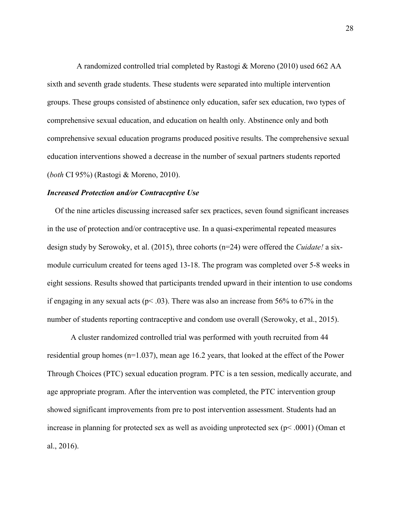A randomized controlled trial completed by Rastogi & Moreno (2010) used 662 AA sixth and seventh grade students. These students were separated into multiple intervention groups. These groups consisted of abstinence only education, safer sex education, two types of comprehensive sexual education, and education on health only. Abstinence only and both comprehensive sexual education programs produced positive results. The comprehensive sexual education interventions showed a decrease in the number of sexual partners students reported (*both* CI 95%) (Rastogi & Moreno, 2010).

# *Increased Protection and/or Contraceptive Use*

Of the nine articles discussing increased safer sex practices, seven found significant increases in the use of protection and/or contraceptive use. In a quasi-experimental repeated measures design study by Serowoky, et al. (2015), three cohorts (n=24) were offered the *Cuidate!* a sixmodule curriculum created for teens aged 13-18. The program was completed over 5-8 weeks in eight sessions. Results showed that participants trended upward in their intention to use condoms if engaging in any sexual acts ( $p$ < .03). There was also an increase from 56% to 67% in the number of students reporting contraceptive and condom use overall (Serowoky, et al., 2015).

 A cluster randomized controlled trial was performed with youth recruited from 44 residential group homes (n=1.037), mean age 16.2 years, that looked at the effect of the Power Through Choices (PTC) sexual education program. PTC is a ten session, medically accurate, and age appropriate program. After the intervention was completed, the PTC intervention group showed significant improvements from pre to post intervention assessment. Students had an increase in planning for protected sex as well as avoiding unprotected sex (p< .0001) (Oman et al., 2016).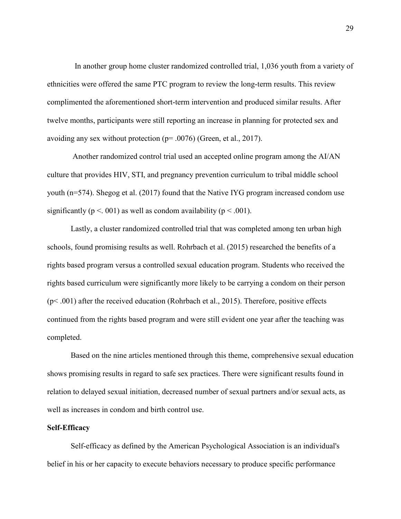In another group home cluster randomized controlled trial, 1,036 youth from a variety of ethnicities were offered the same PTC program to review the long-term results. This review complimented the aforementioned short-term intervention and produced similar results. After twelve months, participants were still reporting an increase in planning for protected sex and avoiding any sex without protection ( $p = .0076$ ) (Green, et al., 2017).

 Another randomized control trial used an accepted online program among the AI/AN culture that provides HIV, STI, and pregnancy prevention curriculum to tribal middle school youth (n=574). Shegog et al. (2017) found that the Native IYG program increased condom use significantly ( $p < .001$ ) as well as condom availability ( $p < .001$ ).

Lastly, a cluster randomized controlled trial that was completed among ten urban high schools, found promising results as well. Rohrbach et al. (2015) researched the benefits of a rights based program versus a controlled sexual education program. Students who received the rights based curriculum were significantly more likely to be carrying a condom on their person  $(p< .001)$  after the received education (Rohrbach et al., 2015). Therefore, positive effects continued from the rights based program and were still evident one year after the teaching was completed.

Based on the nine articles mentioned through this theme, comprehensive sexual education shows promising results in regard to safe sex practices. There were significant results found in relation to delayed sexual initiation, decreased number of sexual partners and/or sexual acts, as well as increases in condom and birth control use.

#### **Self-Efficacy**

Self-efficacy as defined by the American Psychological Association is an individual's belief in his or her capacity to execute behaviors necessary to produce specific performance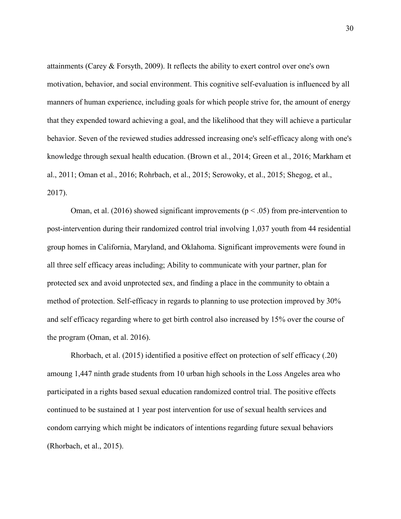attainments (Carey & Forsyth, 2009). It reflects the ability to exert control over one's own motivation, behavior, and social environment. This cognitive self-evaluation is influenced by all manners of human experience, including goals for which people strive for, the amount of energy that they expended toward achieving a goal, and the likelihood that they will achieve a particular behavior. Seven of the reviewed studies addressed increasing one's self-efficacy along with one's knowledge through sexual health education. (Brown et al., 2014; Green et al., 2016; Markham et al., 2011; Oman et al., 2016; Rohrbach, et al., 2015; Serowoky, et al., 2015; Shegog, et al., 2017).

Oman, et al. (2016) showed significant improvements ( $p < .05$ ) from pre-intervention to post-intervention during their randomized control trial involving 1,037 youth from 44 residential group homes in California, Maryland, and Oklahoma. Significant improvements were found in all three self efficacy areas including; Ability to communicate with your partner, plan for protected sex and avoid unprotected sex, and finding a place in the community to obtain a method of protection. Self-efficacy in regards to planning to use protection improved by 30% and self efficacy regarding where to get birth control also increased by 15% over the course of the program (Oman, et al. 2016).

Rhorbach, et al. (2015) identified a positive effect on protection of self efficacy (.20) amoung 1,447 ninth grade students from 10 urban high schools in the Loss Angeles area who participated in a rights based sexual education randomized control trial. The positive effects continued to be sustained at 1 year post intervention for use of sexual health services and condom carrying which might be indicators of intentions regarding future sexual behaviors (Rhorbach, et al., 2015).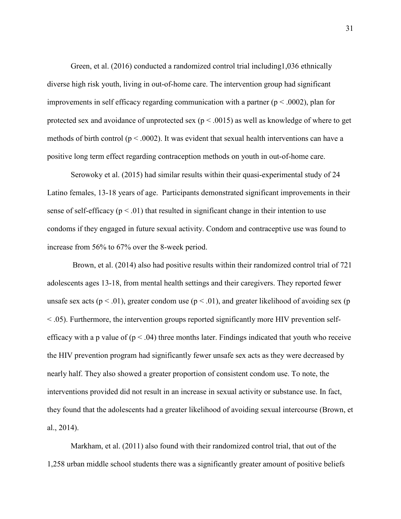Green, et al. (2016) conducted a randomized control trial including1,036 ethnically diverse high risk youth, living in out-of-home care. The intervention group had significant improvements in self efficacy regarding communication with a partner ( $p < .0002$ ), plan for protected sex and avoidance of unprotected sex ( $p < .0015$ ) as well as knowledge of where to get methods of birth control ( $p < .0002$ ). It was evident that sexual health interventions can have a positive long term effect regarding contraception methods on youth in out-of-home care.

Serowoky et al. (2015) had similar results within their quasi-experimental study of 24 Latino females, 13-18 years of age. Participants demonstrated significant improvements in their sense of self-efficacy ( $p < .01$ ) that resulted in significant change in their intention to use condoms if they engaged in future sexual activity. Condom and contraceptive use was found to increase from 56% to 67% over the 8-week period.

 Brown, et al. (2014) also had positive results within their randomized control trial of 721 adolescents ages 13-18, from mental health settings and their caregivers. They reported fewer unsafe sex acts ( $p < .01$ ), greater condom use ( $p < .01$ ), and greater likelihood of avoiding sex (p < .05). Furthermore, the intervention groups reported significantly more HIV prevention selfefficacy with a p value of  $(p < .04)$  three months later. Findings indicated that youth who receive the HIV prevention program had significantly fewer unsafe sex acts as they were decreased by nearly half. They also showed a greater proportion of consistent condom use. To note, the interventions provided did not result in an increase in sexual activity or substance use. In fact, they found that the adolescents had a greater likelihood of avoiding sexual intercourse (Brown, et al., 2014).

Markham, et al. (2011) also found with their randomized control trial, that out of the 1,258 urban middle school students there was a significantly greater amount of positive beliefs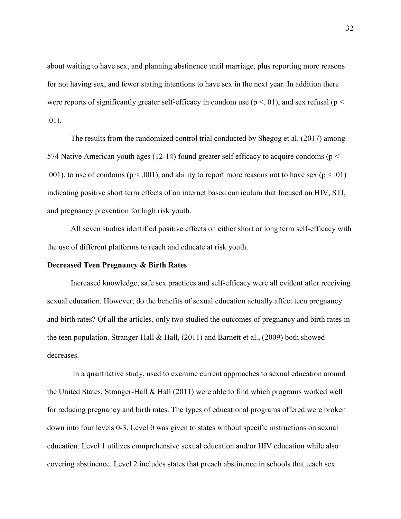about waiting to have sex, and planning abstinence until marriage, plus reporting more reasons for not having sex, and fewer stating intentions to have sex in the next year. In addition there were reports of significantly greater self-efficacy in condom use ( $p < 01$ ), and sex refusal ( $p <$ .01).

The results from the randomized control trial conducted by Shegog et al. (2017) among 574 Native American youth ages (12-14) found greater self efficacy to acquire condoms ( $p <$ .001), to use of condoms ( $p < .001$ ), and ability to report more reasons not to have sex ( $p < .01$ ) indicating positive short term effects of an internet based curriculum that focused on HIV, STI, and pregnancy prevention for high risk youth.

All seven studies identified positive effects on either short or long term self-efficacy with the use of different platforms to reach and educate at risk youth.

### **Decreased Teen Pregnancy & Birth Rates**

 Increased knowledge, safe sex practices and self-efficacy were all evident after receiving sexual education. However, do the benefits of sexual education actually affect teen pregnancy and birth rates? Of all the articles, only two studied the outcomes of pregnancy and birth rates in the teen population. Stranger-Hall & Hall,  $(2011)$  and Barnett et al.,  $(2009)$  both showed decreases.

 In a quantitative study, used to examine current approaches to sexual education around the United States, Stranger-Hall & Hall (2011) were able to find which programs worked well for reducing pregnancy and birth rates. The types of educational programs offered were broken down into four levels 0-3. Level 0 was given to states without specific instructions on sexual education. Level 1 utilizes comprehensive sexual education and/or HIV education while also covering abstinence. Level 2 includes states that preach abstinence in schools that teach sex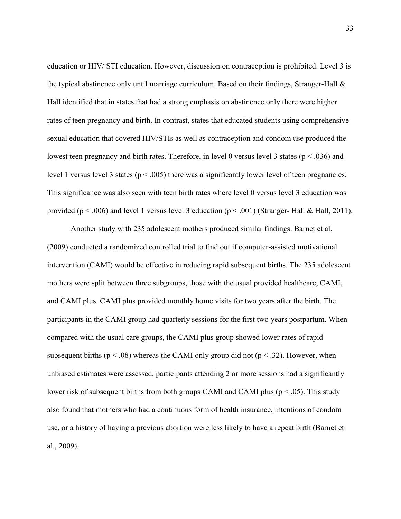education or HIV/ STI education. However, discussion on contraception is prohibited. Level 3 is the typical abstinence only until marriage curriculum. Based on their findings, Stranger-Hall & Hall identified that in states that had a strong emphasis on abstinence only there were higher rates of teen pregnancy and birth. In contrast, states that educated students using comprehensive sexual education that covered HIV/STIs as well as contraception and condom use produced the lowest teen pregnancy and birth rates. Therefore, in level 0 versus level 3 states ( $p < .036$ ) and level 1 versus level 3 states ( $p < .005$ ) there was a significantly lower level of teen pregnancies. This significance was also seen with teen birth rates where level 0 versus level 3 education was provided ( $p < .006$ ) and level 1 versus level 3 education ( $p < .001$ ) (Stranger- Hall & Hall, 2011).

Another study with 235 adolescent mothers produced similar findings. Barnet et al. (2009) conducted a randomized controlled trial to find out if computer-assisted motivational intervention (CAMI) would be effective in reducing rapid subsequent births. The 235 adolescent mothers were split between three subgroups, those with the usual provided healthcare, CAMI, and CAMI plus. CAMI plus provided monthly home visits for two years after the birth. The participants in the CAMI group had quarterly sessions for the first two years postpartum. When compared with the usual care groups, the CAMI plus group showed lower rates of rapid subsequent births ( $p < .08$ ) whereas the CAMI only group did not ( $p < .32$ ). However, when unbiased estimates were assessed, participants attending 2 or more sessions had a significantly lower risk of subsequent births from both groups CAMI and CAMI plus ( $p < .05$ ). This study also found that mothers who had a continuous form of health insurance, intentions of condom use, or a history of having a previous abortion were less likely to have a repeat birth (Barnet et al., 2009).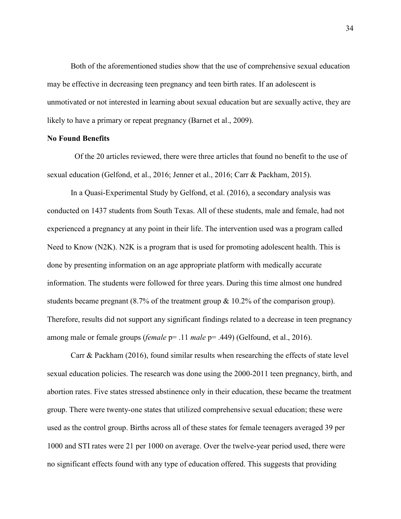Both of the aforementioned studies show that the use of comprehensive sexual education may be effective in decreasing teen pregnancy and teen birth rates. If an adolescent is unmotivated or not interested in learning about sexual education but are sexually active, they are likely to have a primary or repeat pregnancy (Barnet et al., 2009).

## **No Found Benefits**

 Of the 20 articles reviewed, there were three articles that found no benefit to the use of sexual education (Gelfond, et al., 2016; Jenner et al., 2016; Carr & Packham, 2015).

In a Quasi-Experimental Study by Gelfond, et al. (2016), a secondary analysis was conducted on 1437 students from South Texas. All of these students, male and female, had not experienced a pregnancy at any point in their life. The intervention used was a program called Need to Know (N2K). N2K is a program that is used for promoting adolescent health. This is done by presenting information on an age appropriate platform with medically accurate information. The students were followed for three years. During this time almost one hundred students became pregnant  $(8.7\%$  of the treatment group & 10.2% of the comparison group). Therefore, results did not support any significant findings related to a decrease in teen pregnancy among male or female groups (*female* p= .11 *male* p= .449) (Gelfound, et al., 2016).

Carr & Packham (2016), found similar results when researching the effects of state level sexual education policies. The research was done using the 2000-2011 teen pregnancy, birth, and abortion rates. Five states stressed abstinence only in their education, these became the treatment group. There were twenty-one states that utilized comprehensive sexual education; these were used as the control group. Births across all of these states for female teenagers averaged 39 per 1000 and STI rates were 21 per 1000 on average. Over the twelve-year period used, there were no significant effects found with any type of education offered. This suggests that providing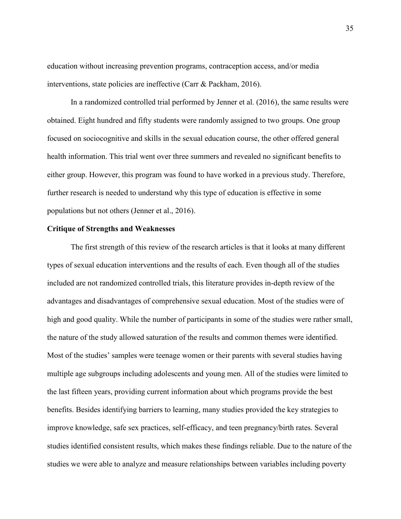education without increasing prevention programs, contraception access, and/or media interventions, state policies are ineffective (Carr & Packham, 2016).

In a randomized controlled trial performed by Jenner et al. (2016), the same results were obtained. Eight hundred and fifty students were randomly assigned to two groups. One group focused on sociocognitive and skills in the sexual education course, the other offered general health information. This trial went over three summers and revealed no significant benefits to either group. However, this program was found to have worked in a previous study. Therefore, further research is needed to understand why this type of education is effective in some populations but not others (Jenner et al., 2016).

# **Critique of Strengths and Weaknesses**

 The first strength of this review of the research articles is that it looks at many different types of sexual education interventions and the results of each. Even though all of the studies included are not randomized controlled trials, this literature provides in-depth review of the advantages and disadvantages of comprehensive sexual education. Most of the studies were of high and good quality. While the number of participants in some of the studies were rather small, the nature of the study allowed saturation of the results and common themes were identified. Most of the studies' samples were teenage women or their parents with several studies having multiple age subgroups including adolescents and young men. All of the studies were limited to the last fifteen years, providing current information about which programs provide the best benefits. Besides identifying barriers to learning, many studies provided the key strategies to improve knowledge, safe sex practices, self-efficacy, and teen pregnancy/birth rates. Several studies identified consistent results, which makes these findings reliable. Due to the nature of the studies we were able to analyze and measure relationships between variables including poverty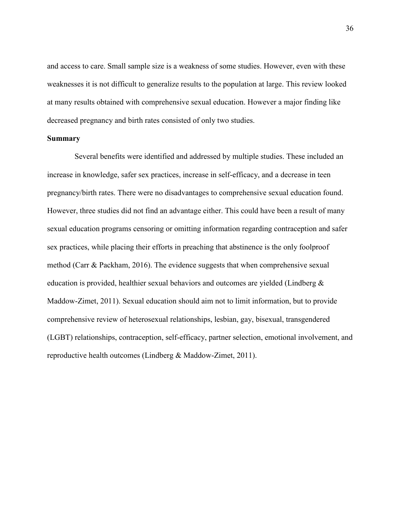and access to care. Small sample size is a weakness of some studies. However, even with these weaknesses it is not difficult to generalize results to the population at large. This review looked at many results obtained with comprehensive sexual education. However a major finding like decreased pregnancy and birth rates consisted of only two studies.

#### **Summary**

 Several benefits were identified and addressed by multiple studies. These included an increase in knowledge, safer sex practices, increase in self-efficacy, and a decrease in teen pregnancy/birth rates. There were no disadvantages to comprehensive sexual education found. However, three studies did not find an advantage either. This could have been a result of many sexual education programs censoring or omitting information regarding contraception and safer sex practices, while placing their efforts in preaching that abstinence is the only foolproof method (Carr & Packham, 2016). The evidence suggests that when comprehensive sexual education is provided, healthier sexual behaviors and outcomes are yielded (Lindberg & Maddow-Zimet, 2011). Sexual education should aim not to limit information, but to provide comprehensive review of heterosexual relationships, lesbian, gay, bisexual, transgendered (LGBT) relationships, contraception, self-efficacy, partner selection, emotional involvement, and reproductive health outcomes (Lindberg & Maddow-Zimet, 2011).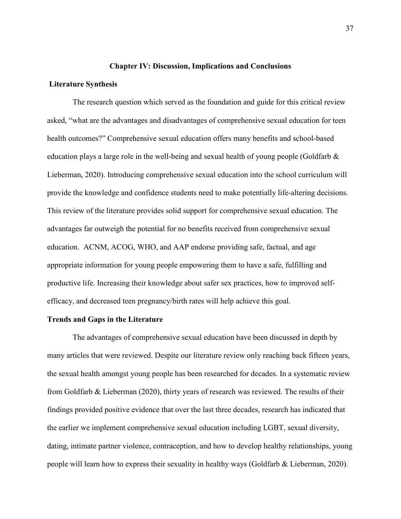#### **Chapter IV: Discussion, Implications and Conclusions**

#### **Literature Synthesis**

 The research question which served as the foundation and guide for this critical review asked, "what are the advantages and disadvantages of comprehensive sexual education for teen health outcomes?" Comprehensive sexual education offers many benefits and school-based education plays a large role in the well-being and sexual health of young people (Goldfarb & Lieberman, 2020). Introducing comprehensive sexual education into the school curriculum will provide the knowledge and confidence students need to make potentially life-altering decisions. This review of the literature provides solid support for comprehensive sexual education. The advantages far outweigh the potential for no benefits received from comprehensive sexual education. ACNM, ACOG, WHO, and AAP endorse providing safe, factual, and age appropriate information for young people empowering them to have a safe, fulfilling and productive life. Increasing their knowledge about safer sex practices, how to improved selfefficacy, and decreased teen pregnancy/birth rates will help achieve this goal.

#### **Trends and Gaps in the Literature**

 The advantages of comprehensive sexual education have been discussed in depth by many articles that were reviewed. Despite our literature review only reaching back fifteen years, the sexual health amongst young people has been researched for decades. In a systematic review from Goldfarb & Lieberman (2020), thirty years of research was reviewed. The results of their findings provided positive evidence that over the last three decades, research has indicated that the earlier we implement comprehensive sexual education including LGBT, sexual diversity, dating, intimate partner violence, contraception, and how to develop healthy relationships, young people will learn how to express their sexuality in healthy ways (Goldfarb & Lieberman, 2020).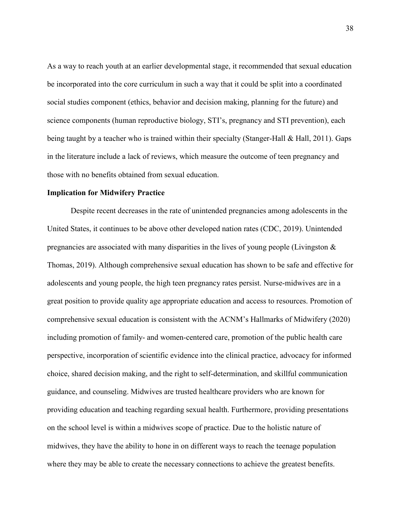As a way to reach youth at an earlier developmental stage, it recommended that sexual education be incorporated into the core curriculum in such a way that it could be split into a coordinated social studies component (ethics, behavior and decision making, planning for the future) and science components (human reproductive biology, STI's, pregnancy and STI prevention), each being taught by a teacher who is trained within their specialty (Stanger-Hall & Hall, 2011). Gaps in the literature include a lack of reviews, which measure the outcome of teen pregnancy and those with no benefits obtained from sexual education.

### **Implication for Midwifery Practice**

 Despite recent decreases in the rate of unintended pregnancies among adolescents in the United States, it continues to be above other developed nation rates (CDC, 2019). Unintended pregnancies are associated with many disparities in the lives of young people (Livingston & Thomas, 2019). Although comprehensive sexual education has shown to be safe and effective for adolescents and young people, the high teen pregnancy rates persist. Nurse-midwives are in a great position to provide quality age appropriate education and access to resources. Promotion of comprehensive sexual education is consistent with the ACNM's Hallmarks of Midwifery (2020) including promotion of family- and women-centered care, promotion of the public health care perspective, incorporation of scientific evidence into the clinical practice, advocacy for informed choice, shared decision making, and the right to self-determination, and skillful communication guidance, and counseling. Midwives are trusted healthcare providers who are known for providing education and teaching regarding sexual health. Furthermore, providing presentations on the school level is within a midwives scope of practice. Due to the holistic nature of midwives, they have the ability to hone in on different ways to reach the teenage population where they may be able to create the necessary connections to achieve the greatest benefits.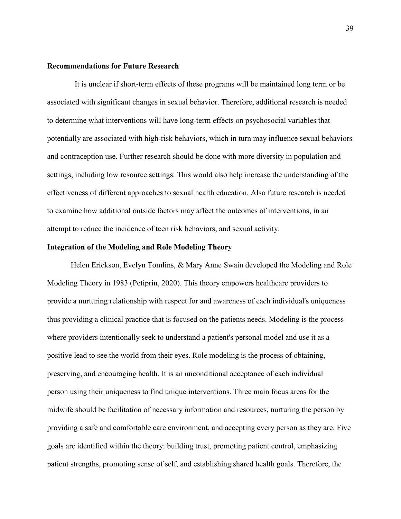#### **Recommendations for Future Research**

It is unclear if short-term effects of these programs will be maintained long term or be associated with significant changes in sexual behavior. Therefore, additional research is needed to determine what interventions will have long-term effects on psychosocial variables that potentially are associated with high-risk behaviors, which in turn may influence sexual behaviors and contraception use. Further research should be done with more diversity in population and settings, including low resource settings. This would also help increase the understanding of the effectiveness of different approaches to sexual health education. Also future research is needed to examine how additional outside factors may affect the outcomes of interventions, in an attempt to reduce the incidence of teen risk behaviors, and sexual activity.

#### **Integration of the Modeling and Role Modeling Theory**

 Helen Erickson, Evelyn Tomlins, & Mary Anne Swain developed the Modeling and Role Modeling Theory in 1983 (Petiprin, 2020). This theory empowers healthcare providers to provide a nurturing relationship with respect for and awareness of each individual's uniqueness thus providing a clinical practice that is focused on the patients needs. Modeling is the process where providers intentionally seek to understand a patient's personal model and use it as a positive lead to see the world from their eyes. Role modeling is the process of obtaining, preserving, and encouraging health. It is an unconditional acceptance of each individual person using their uniqueness to find unique interventions. Three main focus areas for the midwife should be facilitation of necessary information and resources, nurturing the person by providing a safe and comfortable care environment, and accepting every person as they are. Five goals are identified within the theory: building trust, promoting patient control, emphasizing patient strengths, promoting sense of self, and establishing shared health goals. Therefore, the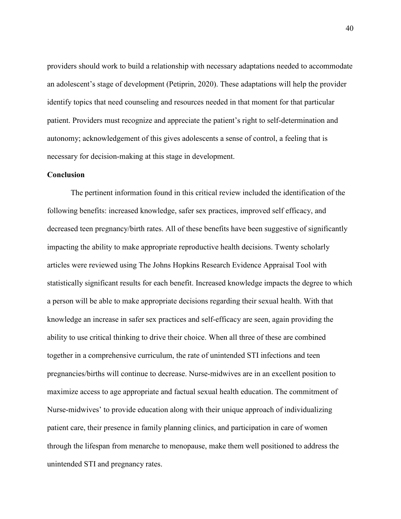providers should work to build a relationship with necessary adaptations needed to accommodate an adolescent's stage of development (Petiprin, 2020). These adaptations will help the provider identify topics that need counseling and resources needed in that moment for that particular patient. Providers must recognize and appreciate the patient's right to self-determination and autonomy; acknowledgement of this gives adolescents a sense of control, a feeling that is necessary for decision-making at this stage in development.

## **Conclusion**

 The pertinent information found in this critical review included the identification of the following benefits: increased knowledge, safer sex practices, improved self efficacy, and decreased teen pregnancy/birth rates. All of these benefits have been suggestive of significantly impacting the ability to make appropriate reproductive health decisions. Twenty scholarly articles were reviewed using The Johns Hopkins Research Evidence Appraisal Tool with statistically significant results for each benefit. Increased knowledge impacts the degree to which a person will be able to make appropriate decisions regarding their sexual health. With that knowledge an increase in safer sex practices and self-efficacy are seen, again providing the ability to use critical thinking to drive their choice. When all three of these are combined together in a comprehensive curriculum, the rate of unintended STI infections and teen pregnancies/births will continue to decrease. Nurse-midwives are in an excellent position to maximize access to age appropriate and factual sexual health education. The commitment of Nurse-midwives' to provide education along with their unique approach of individualizing patient care, their presence in family planning clinics, and participation in care of women through the lifespan from menarche to menopause, make them well positioned to address the unintended STI and pregnancy rates.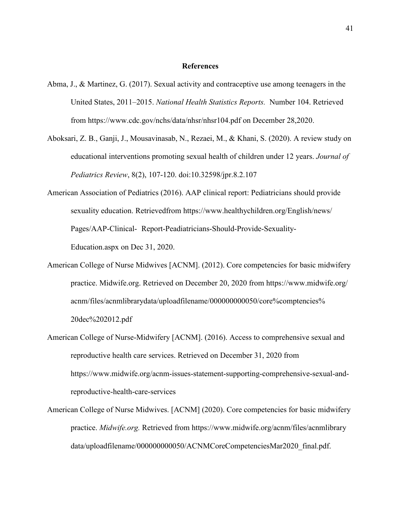#### **References**

- Abma, J., & Martinez, G. (2017). Sexual activity and contraceptive use among teenagers in the United States, 2011–2015. *National Health Statistics Reports.* Number 104. Retrieved from https://www.cdc.gov/nchs/data/nhsr/nhsr104.pdf on December 28,2020.
- Aboksari, Z. B., Ganji, J., Mousavinasab, N., Rezaei, M., & Khani, S. (2020). A review study on educational interventions promoting sexual health of children under 12 years. *Journal of Pediatrics Review*, 8(2), 107-120. doi:10.32598/jpr.8.2.107
- American Association of Pediatrics (2016). AAP clinical report: Pediatricians should provide sexuality education. Retrievedfrom https://www.healthychildren.org/English/news/ Pages/AAP-Clinical- Report-Peadiatricians-Should-Provide-Sexuality- Education.aspx on Dec 31, 2020.
- American College of Nurse Midwives [ACNM]. (2012). Core competencies for basic midwifery practice. Midwife.org. Retrieved on December 20, 2020 from https://www.midwife.org/ acnm/files/acnmlibrarydata/uploadfilename/000000000050/core%comptencies% 20dec%202012.pdf
- American College of Nurse-Midwifery [ACNM]. (2016). Access to comprehensive sexual and reproductive health care services. Retrieved on December 31, 2020 from https://www.midwife.org/acnm-issues-statement-supporting-comprehensive-sexual-and reproductive-health-care-services
- American College of Nurse Midwives. [ACNM] (2020). Core competencies for basic midwifery practice. *Midwife.org.* Retrieved from https://www.midwife.org/acnm/files/acnmlibrary data/uploadfilename/000000000050/ACNMCoreCompetenciesMar2020\_final.pdf.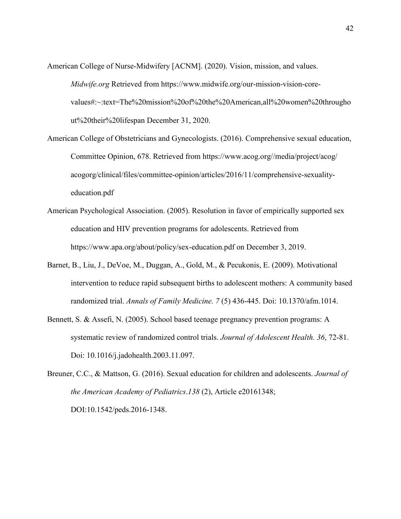- American College of Nurse-Midwifery [ACNM]. (2020). Vision, mission, and values. *Midwife.org* Retrieved from https://www.midwife.org/our-mission-vision-corevalues#:~:text=The%20mission%20of%20the%20American,all%20women%20througho ut%20their%20lifespan December 31, 2020.
- American College of Obstetricians and Gynecologists. (2016). Comprehensive sexual education, Committee Opinion, 678. Retrieved from https://www.acog.org//media/project/acog/ acogorg/clinical/files/committee-opinion/articles/2016/11/comprehensive-sexualityeducation.pdf
- American Psychological Association. (2005). Resolution in favor of empirically supported sex education and HIV prevention programs for adolescents. Retrieved from https://www.apa.org/about/policy/sex-education.pdf on December 3, 2019.
- Barnet, B., Liu, J., DeVoe, M., Duggan, A., Gold, M., & Pecukonis, E. (2009). Motivational intervention to reduce rapid subsequent births to adolescent mothers: A community based randomized trial. *Annals of Family Medicine. 7* (5) 436-445. Doi: 10.1370/afm.1014.
- Bennett, S. & Assefi, N. (2005). School based teenage pregnancy prevention programs: A systematic review of randomized control trials. *Journal of Adolescent Health. 36*, 72-81. Doi: 10.1016/j.jadohealth.2003.11.097.

Breuner, C.C., & Mattson, G. (2016). Sexual education for children and adolescents. *Journal of the American Academy of Pediatrics*.*138* (2), Article e20161348; DOI:10.1542/peds.2016-1348.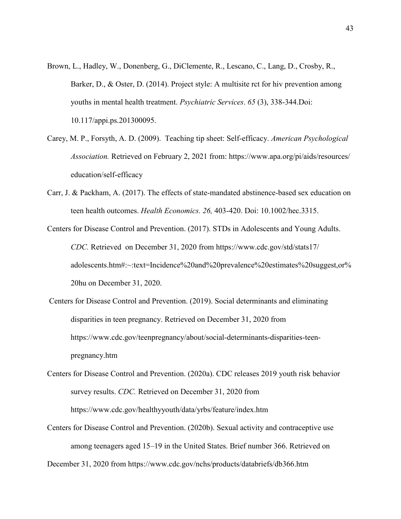- Brown, L., Hadley, W., Donenberg, G., DiClemente, R., Lescano, C., Lang, D., Crosby, R., Barker, D., & Oster, D. (2014). Project style: A multisite rct for hiv prevention among youths in mental health treatment. *Psychiatric Services*. *65* (3), 338-344.Doi: 10.117/appi.ps.201300095.
- Carey, M. P., Forsyth, A. D. (2009). Teaching tip sheet: Self-efficacy. *American Psychological Association.* Retrieved on February 2, 2021 from: https://www.apa.org/pi/aids/resources/ education/self-efficacy
- Carr, J. & Packham, A. (2017). The effects of state-mandated abstinence-based sex education on teen health outcomes. *Health Economics. 26,* 403-420. Doi: 10.1002/hec.3315.
- Centers for Disease Control and Prevention. (2017). STDs in Adolescents and Young Adults. *CDC.* Retrieved on December 31, 2020 from https://www.cdc.gov/std/stats17/ adolescents.htm#:~:text=Incidence%20and%20prevalence%20estimates%20suggest,or% 20hu on December 31, 2020.
- Centers for Disease Control and Prevention. (2019). Social determinants and eliminating disparities in teen pregnancy. Retrieved on December 31, 2020 from https://www.cdc.gov/teenpregnancy/about/social-determinants-disparities-teen pregnancy.htm
- Centers for Disease Control and Prevention. (2020a). CDC releases 2019 youth risk behavior survey results. *CDC.* Retrieved on December 31, 2020 from https://www.cdc.gov/healthyyouth/data/yrbs/feature/index.htm
- Centers for Disease Control and Prevention. (2020b). Sexual activity and contraceptive use among teenagers aged 15–19 in the United States. Brief number 366. Retrieved on

December 31, 2020 from https://www.cdc.gov/nchs/products/databriefs/db366.htm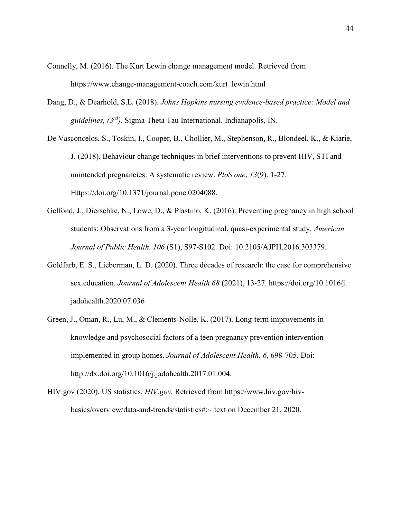- Connelly, M. (2016). The Kurt Lewin change management model. Retrieved from https://www.change-management-coach.com/kurt\_lewin.html
- Dang, D., & Dearhold, S.L. (2018). *Johns Hopkins nursing evidence-based practice: Model and guidelines, (3rd).* Sigma Theta Tau International. Indianapolis, IN.
- De Vasconcelos, S., Toskin, I., Cooper, B., Chollier, M., Stephenson, R., Blondeel, K., & Kiarie, J. (2018). Behaviour change techniques in brief interventions to prevent HIV, STI and unintended pregnancies: A systematic review. *PloS one*, *13*(9), 1-27. Https://doi.org/10.1371/journal.pone.0204088.
- Gelfond, J., Dierschke, N., Lowe, D., & Plastino, K. (2016). Preventing pregnancy in high school students: Observations from a 3-year longitudinal, quasi-experimental study. *American Journal of Public Health. 106* (S1), S97-S102. Doi: 10.2105/AJPH.2016.303379.
- Goldfarb, E. S., Lieberman, L. D. (2020). Three decades of research: the case for comprehensive sex education. *Journal of Adolescent Health 68* (2021), 13-27. https://doi.org/10.1016/j. jadohealth.2020.07.036
- Green, J., Oman, R., Lu, M., & Clements-Nolle, K. (2017). Long-term improvements in knowledge and psychosocial factors of a teen pregnancy prevention intervention implemented in group homes. *Journal of Adolescent Health. 6*, 698-705. Doi: http://dx.doi.org/10.1016/j.jadohealth.2017.01.004.
- HIV.gov (2020). US statistics. *HIV.gov.* Retrieved from https://www.hiv.gov/hivbasics/overview/data-and-trends/statistics#:~:text on December 21, 2020.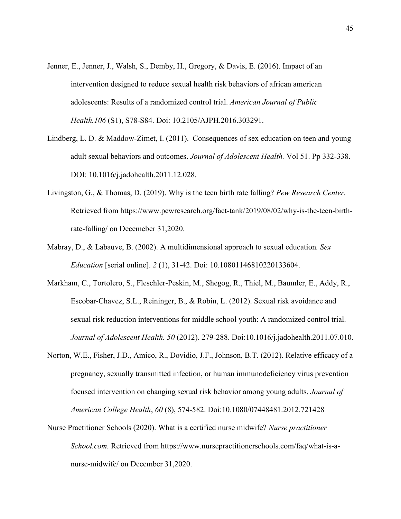- Jenner, E., Jenner, J., Walsh, S., Demby, H., Gregory, & Davis, E. (2016). Impact of an intervention designed to reduce sexual health risk behaviors of african american adolescents: Results of a randomized control trial. *American Journal of Public Health.106* (S1), S78-S84. Doi: 10.2105/AJPH.2016.303291.
- Lindberg, L. D. & Maddow-Zimet, I. (2011). Consequences of sex education on teen and young adult sexual behaviors and outcomes. *Journal of Adolescent Health.* Vol 51. Pp 332-338. DOI: 10.1016/j.jadohealth.2011.12.028.
- Livingston, G., & Thomas, D. (2019). Why is the teen birth rate falling? *Pew Research Center.* Retrieved from https://www.pewresearch.org/fact-tank/2019/08/02/why-is-the-teen-birthrate-falling/ on Decemeber 31,2020.
- Mabray, D., & Labauve, B. (2002). A multidimensional approach to sexual education*. Sex Education* [serial online]. *2* (1), 31-42. Doi: 10.10801146810220133604.
- Markham, C., Tortolero, S., Fleschler-Peskin, M., Shegog, R., Thiel, M., Baumler, E., Addy, R., Escobar-Chavez, S.L., Reininger, B., & Robin, L. (2012). Sexual risk avoidance and sexual risk reduction interventions for middle school youth: A randomized control trial. *Journal of Adolescent Health. 50* (2012). 279-288. Doi:10.1016/j.jadohealth.2011.07.010.
- Norton, W.E., Fisher, J.D., Amico, R., Dovidio, J.F., Johnson, B.T. (2012). Relative efficacy of a pregnancy, sexually transmitted infection, or human immunodeficiency virus prevention focused intervention on changing sexual risk behavior among young adults. *Journal of American College Health*, *60* (8), 574-582. Doi:10.1080/07448481.2012.721428
- Nurse Practitioner Schools (2020). What is a certified nurse midwife? *Nurse practitioner School.com.* Retrieved from https://www.nursepractitionerschools.com/faq/what-is-anurse-midwife/ on December 31,2020.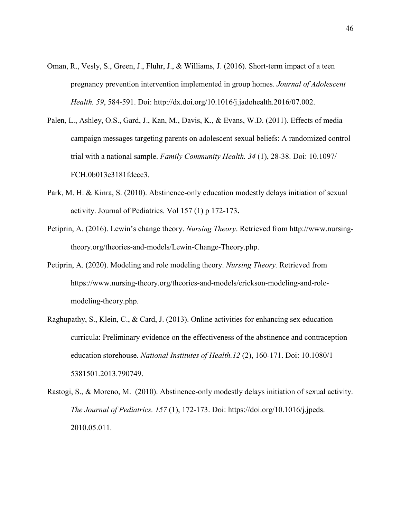- Oman, R., Vesly, S., Green, J., Fluhr, J., & Williams, J. (2016). Short-term impact of a teen pregnancy prevention intervention implemented in group homes. *Journal of Adolescent Health. 59*, 584-591. Doi: http://dx.doi.org/10.1016/j.jadohealth.2016/07.002.
- Palen, L., Ashley, O.S., Gard, J., Kan, M., Davis, K., & Evans, W.D. (2011). Effects of media campaign messages targeting parents on adolescent sexual beliefs: A randomized control trial with a national sample. *Family Community Health. 34* (1), 28-38. Doi: 10.1097/ FCH.0b013e3181fdecc3.
- Park, M. H. & Kinra, S. (2010). Abstinence-only education modestly delays initiation of sexual activity. Journal of Pediatrics. Vol 157 (1) p 172-173**.**
- Petiprin, A. (2016). Lewin's change theory. *Nursing Theory*. Retrieved from http://www.nursingtheory.org/theories-and-models/Lewin-Change-Theory.php.
- Petiprin, A. (2020). Modeling and role modeling theory. *Nursing Theory.* Retrieved from https://www.nursing-theory.org/theories-and-models/erickson-modeling-and-rolemodeling-theory.php.
- Raghupathy, S., Klein, C., & Card, J. (2013). Online activities for enhancing sex education curricula: Preliminary evidence on the effectiveness of the abstinence and contraception education storehouse. *National Institutes of Health.12* (2), 160-171. Doi: 10.1080/1 5381501.2013.790749.
- Rastogi, S., & Moreno, M. (2010). Abstinence-only modestly delays initiation of sexual activity. *The Journal of Pediatrics. 157* (1), 172-173. Doi: https://doi.org/10.1016/j.jpeds. 2010.05.011.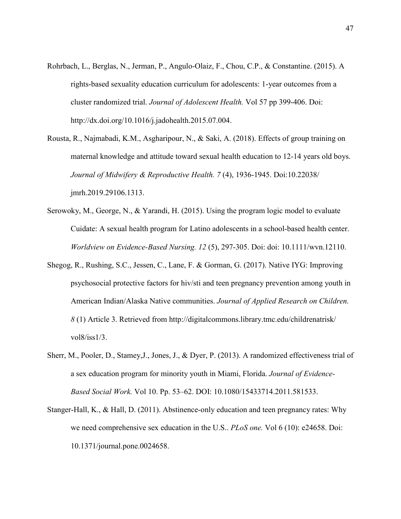- Rohrbach, L., Berglas, N., Jerman, P., Angulo-Olaiz, F., Chou, C.P., & Constantine. (2015). A rights-based sexuality education curriculum for adolescents: 1-year outcomes from a cluster randomized trial. *Journal of Adolescent Health.* Vol 57 pp 399-406. Doi: http://dx.doi.org/10.1016/j.jadohealth.2015.07.004.
- Rousta, R., Najmabadi, K.M., Asgharipour, N., & Saki, A. (2018). Effects of group training on maternal knowledge and attitude toward sexual health education to 12-14 years old boys. *Journal of Midwifery & Reproductive Health. 7* (4), 1936-1945. Doi:10.22038/ jmrh.2019.29106.1313.
- Serowoky, M., George, N., & Yarandi, H. (2015). Using the program logic model to evaluate Cuidate: A sexual health program for Latino adolescents in a school-based health center. *Worldview on Evidence-Based Nursing. 12* (5), 297-305. Doi: doi: 10.1111/wvn.12110.
- Shegog, R., Rushing, S.C., Jessen, C., Lane, F. & Gorman, G. (2017). Native IYG: Improving psychosocial protective factors for hiv/sti and teen pregnancy prevention among youth in American Indian/Alaska Native communities. *Journal of Applied Research on Children. 8* (1) Article 3. Retrieved from http://digitalcommons.library.tmc.edu/childrenatrisk/ vol8/iss1/3.
- Sherr, M., Pooler, D., Stamey,J., Jones, J., & Dyer, P. (2013). A randomized effectiveness trial of a sex education program for minority youth in Miami, Florida. *Journal of Evidence-Based Social Work.* Vol 10. Pp. 53–62. DOI: 10.1080/15433714.2011.581533.
- Stanger-Hall, K., & Hall, D. (2011). Abstinence-only education and teen pregnancy rates: Why we need comprehensive sex education in the U.S.. *PLoS one.* Vol 6 (10): e24658. Doi: 10.1371/journal.pone.0024658.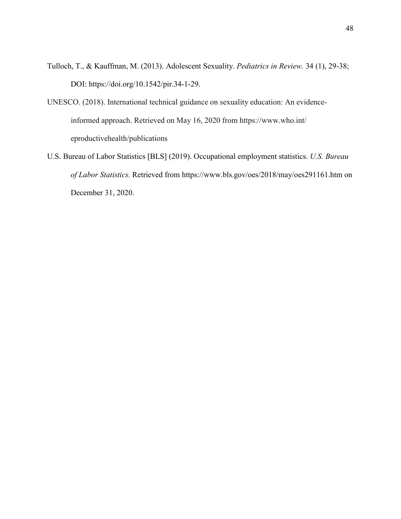- Tulloch, T., & Kauffman, M. (2013). Adolescent Sexuality. *Pediatrics in Review.* 34 (1), 29-38; DOI: https://doi.org/10.1542/pir.34-1-29.
- UNESCO. (2018). International technical guidance on sexuality education: An evidence informed approach. Retrieved on May 16, 2020 from https://www.who.int/ eproductivehealth/publications
- U.S. Bureau of Labor Statistics [BLS] (2019). Occupational employment statistics. *U.S. Bureau of Labor Statistics.* Retrieved from https://www.bls.gov/oes/2018/may/oes291161.htm on December 31, 2020.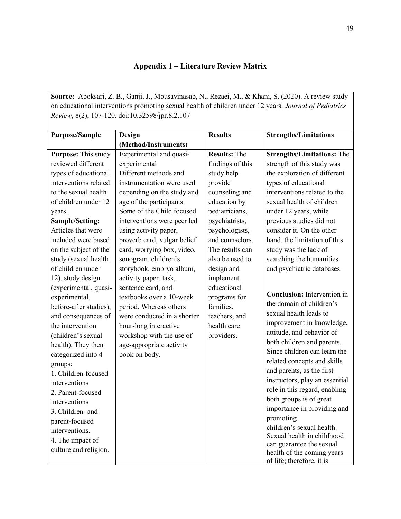# **Appendix 1 – Literature Review Matrix**

**Source:** Aboksari, Z. B., Ganji, J., Mousavinasab, N., Rezaei, M., & Khani, S. (2020). A review study on educational interventions promoting sexual health of children under 12 years. *Journal of Pediatrics Review*, 8(2), 107-120. doi:10.32598/jpr.8.2.107

| <b>Purpose/Sample</b>  | Design                      | <b>Results</b>      | <b>Strengths/Limitations</b>           |
|------------------------|-----------------------------|---------------------|----------------------------------------|
|                        | (Method/Instruments)        |                     |                                        |
| Purpose: This study    | Experimental and quasi-     | <b>Results: The</b> | <b>Strengths/Limitations: The</b>      |
| reviewed different     | experimental                | findings of this    | strength of this study was             |
| types of educational   | Different methods and       | study help          | the exploration of different           |
| interventions related  | instrumentation were used   | provide             | types of educational                   |
| to the sexual health   | depending on the study and  | counseling and      | interventions related to the           |
| of children under 12   | age of the participants.    | education by        | sexual health of children              |
| years.                 | Some of the Child focused   | pediatricians,      | under 12 years, while                  |
| Sample/Setting:        | interventions were peer led | psychiatrists,      | previous studies did not               |
| Articles that were     | using activity paper,       | psychologists,      | consider it. On the other              |
| included were based    | proverb card, vulgar belief | and counselors.     | hand, the limitation of this           |
| on the subject of the  | card, worrying box, video,  | The results can     | study was the lack of                  |
| study (sexual health   | sonogram, children's        | also be used to     | searching the humanities               |
| of children under      | storybook, embryo album,    | design and          | and psychiatric databases.             |
| 12), study design      | activity paper, task,       | implement           |                                        |
| (experimental, quasi-  | sentence card, and          | educational         |                                        |
| experimental,          | textbooks over a 10-week    | programs for        | <b>Conclusion:</b> Intervention in     |
| before-after studies), | period. Whereas others      | families,           | the domain of children's               |
| and consequences of    | were conducted in a shorter | teachers, and       | sexual health leads to                 |
| the intervention       | hour-long interactive       | health care         | improvement in knowledge,              |
| (children's sexual     | workshop with the use of    | providers.          | attitude, and behavior of              |
| health). They then     | age-appropriate activity    |                     | both children and parents.             |
| categorized into 4     | book on body.               |                     | Since children can learn the           |
| groups:                |                             |                     | related concepts and skills            |
| 1. Children-focused    |                             |                     | and parents, as the first              |
| interventions          |                             |                     | instructors, play an essential         |
| 2. Parent-focused      |                             |                     | role in this regard, enabling          |
| interventions          |                             |                     | both groups is of great                |
| 3. Children- and       |                             |                     | importance in providing and            |
| parent-focused         |                             |                     | promoting<br>children's sexual health. |
| interventions.         |                             |                     | Sexual health in childhood             |
| 4. The impact of       |                             |                     | can guarantee the sexual               |
| culture and religion.  |                             |                     | health of the coming years             |
|                        |                             |                     | of life; therefore, it is              |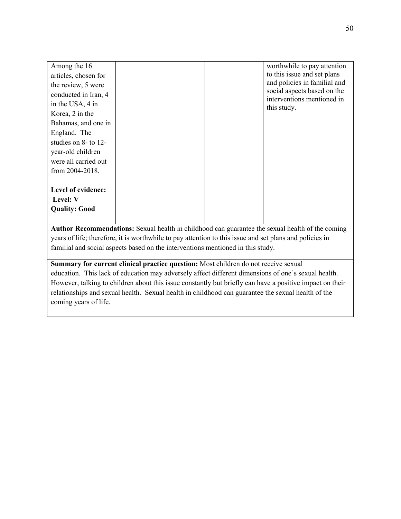| Among the 16                                                                                     |  |  | worthwhile to pay attention                                 |
|--------------------------------------------------------------------------------------------------|--|--|-------------------------------------------------------------|
| articles, chosen for                                                                             |  |  | to this issue and set plans                                 |
| the review, 5 were                                                                               |  |  | and policies in familial and<br>social aspects based on the |
| conducted in Iran, 4<br>in the USA, 4 in                                                         |  |  | interventions mentioned in<br>this study.                   |
| Korea, 2 in the                                                                                  |  |  |                                                             |
| Bahamas, and one in                                                                              |  |  |                                                             |
| England. The                                                                                     |  |  |                                                             |
| studies on $8-$ to $12-$                                                                         |  |  |                                                             |
| year-old children                                                                                |  |  |                                                             |
| were all carried out                                                                             |  |  |                                                             |
| from $2004 - 2018$ .                                                                             |  |  |                                                             |
| Level of evidence:                                                                               |  |  |                                                             |
| Level: V                                                                                         |  |  |                                                             |
|                                                                                                  |  |  |                                                             |
| <b>Quality: Good</b>                                                                             |  |  |                                                             |
|                                                                                                  |  |  |                                                             |
| Author Recommendations: Sexual health in childhood can guarantee the sexual health of the coming |  |  |                                                             |

years of life; therefore, it is worthwhile to pay attention to this issue and set plans and policies in familial and social aspects based on the interventions mentioned in this study.

**Summary for current clinical practice question:** Most children do not receive sexual education. This lack of education may adversely affect different dimensions of one's sexual health. However, talking to children about this issue constantly but briefly can have a positive impact on their relationships and sexual health. Sexual health in childhood can guarantee the sexual health of the coming years of life.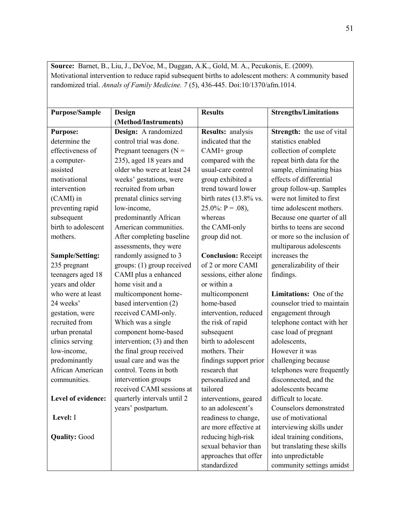| Source: Barnet, B., Liu, J., DeVoe, M., Duggan, A.K., Gold, M. A., Pecukonis, E. (2009).             |                             |                            |                              |  |
|------------------------------------------------------------------------------------------------------|-----------------------------|----------------------------|------------------------------|--|
| Motivational intervention to reduce rapid subsequent births to adolescent mothers: A community based |                             |                            |                              |  |
| randomized trial. Annals of Family Medicine. 7(5), 436-445. Doi:10/1370/afm.1014.                    |                             |                            |                              |  |
|                                                                                                      |                             |                            |                              |  |
|                                                                                                      |                             |                            |                              |  |
| <b>Purpose/Sample</b>                                                                                | Design                      | <b>Results</b>             | <b>Strengths/Limitations</b> |  |
|                                                                                                      | (Method/Instruments)        |                            |                              |  |
| <b>Purpose:</b>                                                                                      | Design: A randomized        | Results: analysis          | Strength: the use of vital   |  |
| determine the                                                                                        | control trial was done.     | indicated that the         | statistics enabled           |  |
| effectiveness of                                                                                     | Pregnant teenagers ( $N =$  | CAMI+ group                | collection of complete       |  |
| a computer-                                                                                          | 235), aged 18 years and     | compared with the          | repeat birth data for the    |  |
| assisted                                                                                             | older who were at least 24  | usual-care control         | sample, eliminating bias     |  |
| motivational                                                                                         | weeks' gestations, were     | group exhibited a          | effects of differential      |  |
| intervention                                                                                         | recruited from urban        | trend toward lower         | group follow-up. Samples     |  |
| (CAMI) in                                                                                            | prenatal clinics serving    | birth rates (13.8% vs.     | were not limited to first    |  |
| preventing rapid                                                                                     | low-income,                 | 25.0%: $P = .08$ ),        | time adolescent mothers.     |  |
| subsequent                                                                                           | predominantly African       | whereas                    | Because one quarter of all   |  |
| birth to adolescent                                                                                  | American communities.       | the CAMI-only              | births to teens are second   |  |
| mothers.                                                                                             | After completing baseline   | group did not.             | or more so the inclusion of  |  |
|                                                                                                      | assessments, they were      |                            | multiparous adolescents      |  |
| <b>Sample/Setting:</b>                                                                               | randomly assigned to 3      | <b>Conclusion: Receipt</b> | increases the                |  |
| 235 pregnant                                                                                         | groups: (1) group received  | of 2 or more CAMI          | generalizability of their    |  |
| teenagers aged 18                                                                                    | CAMI plus a enhanced        | sessions, either alone     | findings.                    |  |
| years and older                                                                                      | home visit and a            | or within a                |                              |  |
| who were at least                                                                                    | multicomponent home-        | multicomponent             | Limitations: One of the      |  |
| 24 weeks'                                                                                            | based intervention (2)      | home-based                 | counselor tried to maintain  |  |
| gestation, were                                                                                      | received CAMI-only.         | intervention, reduced      | engagement through           |  |
| recruited from                                                                                       | Which was a single          | the risk of rapid          | telephone contact with her   |  |
| urban prenatal                                                                                       | component home-based        | subsequent                 | case load of pregnant        |  |
| clinics serving                                                                                      | intervention; (3) and then  | birth to adolescent        | adolescents,                 |  |
| low-income,                                                                                          | the final group received    | mothers. Their             | However it was               |  |
| predominantly                                                                                        | usual care and was the      | findings support prior     | challenging because          |  |
| African American                                                                                     | control. Teens in both      | research that              | telephones were frequently   |  |
| communities.                                                                                         | intervention groups         | personalized and           | disconnected, and the        |  |
|                                                                                                      | received CAMI sessions at   | tailored                   | adolescents became           |  |
| Level of evidence:                                                                                   | quarterly intervals until 2 | interventions, geared      | difficult to locate.         |  |
|                                                                                                      | years' postpartum.          | to an adolescent's         | Counselors demonstrated      |  |
| Level: I                                                                                             |                             | readiness to change,       | use of motivational          |  |
|                                                                                                      |                             | are more effective at      | interviewing skills under    |  |
| <b>Quality: Good</b>                                                                                 |                             | reducing high-risk         | ideal training conditions,   |  |
|                                                                                                      |                             | sexual behavior than       | but translating these skills |  |
|                                                                                                      |                             | approaches that offer      | into unpredictable           |  |
|                                                                                                      |                             | standardized               | community settings amidst    |  |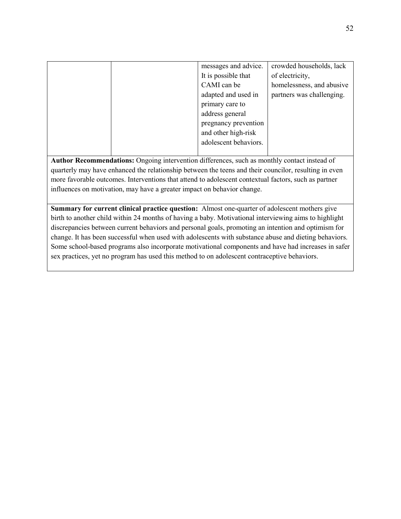|  | messages and advice.  | crowded households, lack  |
|--|-----------------------|---------------------------|
|  | It is possible that   | of electricity,           |
|  | CAMI can be           | homelessness, and abusive |
|  | adapted and used in   | partners was challenging. |
|  | primary care to       |                           |
|  | address general       |                           |
|  | pregnancy prevention  |                           |
|  | and other high-risk   |                           |
|  | adolescent behaviors. |                           |
|  |                       |                           |

**Author Recommendations:** Ongoing intervention differences, such as monthly contact instead of quarterly may have enhanced the relationship between the teens and their councilor, resulting in even more favorable outcomes. Interventions that attend to adolescent contextual factors, such as partner influences on motivation, may have a greater impact on behavior change.

**Summary for current clinical practice question:** Almost one-quarter of adolescent mothers give birth to another child within 24 months of having a baby. Motivational interviewing aims to highlight discrepancies between current behaviors and personal goals, promoting an intention and optimism for change. It has been successful when used with adolescents with substance abuse and dieting behaviors. Some school-based programs also incorporate motivational components and have had increases in safer sex practices, yet no program has used this method to on adolescent contraceptive behaviors.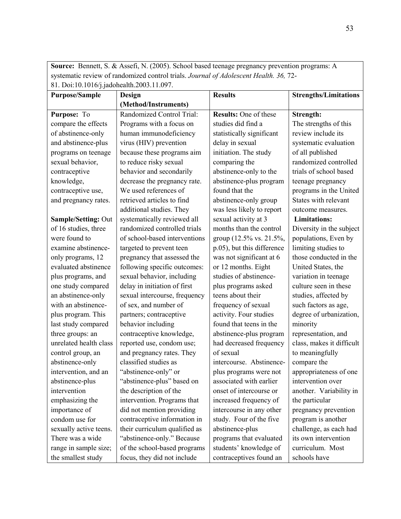**Source:** Bennett, S. & Assefi, N. (2005). School based teenage pregnancy prevention programs: A systematic review of randomized control trials. *Journal of Adolescent Health. 36,* 72- 81. Doi:10.1016/j.jadohealth.2003.11.097.

| 01. Doi.10.1010/j.juu0neum.2005.11.057. |                               |                            |                              |
|-----------------------------------------|-------------------------------|----------------------------|------------------------------|
| <b>Purpose/Sample</b>                   | <b>Design</b>                 | <b>Results</b>             | <b>Strengths/Limitations</b> |
|                                         | (Method/Instruments)          |                            |                              |
| Purpose: To                             | Randomized Control Trial:     | Results: One of these      | Strength:                    |
| compare the effects                     | Programs with a focus on      | studies did find a         | The strengths of this        |
| of abstinence-only                      | human immunodeficiency        | statistically significant  | review include its           |
| and abstinence-plus                     | virus (HIV) prevention        | delay in sexual            | systematic evaluation        |
| programs on teenage                     | because these programs aim    | initiation. The study      | of all published             |
| sexual behavior,                        | to reduce risky sexual        | comparing the              | randomized controlled        |
| contraceptive                           | behavior and secondarily      | abstinence-only to the     | trials of school based       |
| knowledge,                              | decrease the pregnancy rate.  | abstinence-plus program    | teenage pregnancy            |
| contraceptive use,                      | We used references of         | found that the             | programs in the United       |
| and pregnancy rates.                    | retrieved articles to find    | abstinence-only group      | States with relevant         |
|                                         | additional studies. They      | was less likely to report  | outcome measures.            |
| <b>Sample/Setting: Out</b>              | systematically reviewed all   | sexual activity at 3       | <b>Limitations:</b>          |
| of 16 studies, three                    | randomized controlled trials  | months than the control    | Diversity in the subject     |
| were found to                           | of school-based interventions | group (12.5% vs. 21.5%,    | populations, Even by         |
| examine abstinence-                     | targeted to prevent teen      | p.05), but this difference | limiting studies to          |
| only programs, 12                       | pregnancy that assessed the   | was not significant at 6   | those conducted in the       |
| evaluated abstinence                    | following specific outcomes:  | or 12 months. Eight        | United States, the           |
| plus programs, and                      | sexual behavior, including    | studies of abstinence-     | variation in teenage         |
| one study compared                      | delay in initiation of first  | plus programs asked        | culture seen in these        |
| an abstinence-only                      | sexual intercourse, frequency | teens about their          | studies, affected by         |
| with an abstinence-                     | of sex, and number of         | frequency of sexual        | such factors as age,         |
| plus program. This                      | partners; contraceptive       | activity. Four studies     | degree of urbanization,      |
| last study compared                     | behavior including            | found that teens in the    | minority                     |
| three groups: an                        | contraceptive knowledge,      | abstinence-plus program    | representation, and          |
| unrelated health class                  | reported use, condom use;     | had decreased frequency    | class, makes it difficult    |
| control group, an                       | and pregnancy rates. They     | of sexual                  | to meaningfully              |
| abstinence-only                         | classified studies as         | intercourse. Abstinence-   | compare the                  |
| intervention, and an                    | "abstinence-only" or          | plus programs were not     | appropriateness of one       |
| abstinence-plus                         | "abstinence-plus" based on    | associated with earlier    | intervention over            |
| intervention                            | the description of the        | onset of intercourse or    | another. Variability in      |
| emphasizing the                         | intervention. Programs that   | increased frequency of     | the particular               |
| importance of                           | did not mention providing     | intercourse in any other   | pregnancy prevention         |
| condom use for                          | contraceptive information in  | study. Four of the five    | program is another           |
| sexually active teens.                  | their curriculum qualified as | abstinence-plus            | challenge, as each had       |
| There was a wide                        | "abstinence-only." Because    | programs that evaluated    | its own intervention         |
| range in sample size;                   | of the school-based programs  | students' knowledge of     | curriculum. Most             |
| the smallest study                      | focus, they did not include   | contraceptives found an    | schools have                 |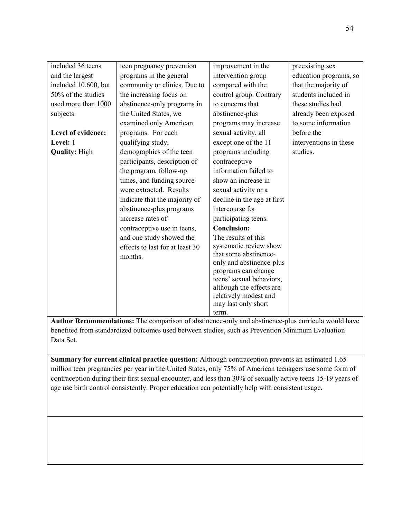| included 36 teens    | teen pregnancy prevention       | improvement in the                              | preexisting sex        |
|----------------------|---------------------------------|-------------------------------------------------|------------------------|
| and the largest      | programs in the general         | intervention group                              | education programs, so |
| included 10,600, but | community or clinics. Due to    | compared with the                               | that the majority of   |
| 50% of the studies   | the increasing focus on         | control group. Contrary                         | students included in   |
| used more than 1000  | abstinence-only programs in     | to concerns that                                | these studies had      |
| subjects.            | the United States, we           | abstinence-plus                                 | already been exposed   |
|                      | examined only American          | programs may increase                           | to some information    |
| Level of evidence:   | programs. For each              | sexual activity, all                            | before the             |
| Level: 1             | qualifying study,               | except one of the 11                            | interventions in these |
| <b>Quality: High</b> | demographics of the teen        | programs including                              | studies.               |
|                      | participants, description of    | contraceptive                                   |                        |
|                      | the program, follow-up          | information failed to                           |                        |
|                      | times, and funding source       | show an increase in                             |                        |
|                      | were extracted. Results         | sexual activity or a                            |                        |
|                      | indicate that the majority of   | decline in the age at first                     |                        |
|                      | abstinence-plus programs        | intercourse for                                 |                        |
|                      | increase rates of               | participating teens.                            |                        |
|                      | contraceptive use in teens,     | <b>Conclusion:</b>                              |                        |
|                      | and one study showed the        | The results of this                             |                        |
|                      | effects to last for at least 30 | systematic review show                          |                        |
|                      | months.                         | that some abstinence-                           |                        |
|                      |                                 | only and abstinence-plus                        |                        |
|                      |                                 | programs can change<br>teens' sexual behaviors, |                        |
|                      |                                 | although the effects are                        |                        |
|                      |                                 | relatively modest and                           |                        |
|                      |                                 | may last only short                             |                        |
|                      |                                 | term.                                           |                        |

**Author Recommendations:** The comparison of abstinence-only and abstinence-plus curricula would have benefited from standardized outcomes used between studies, such as Prevention Minimum Evaluation Data Set.

**Summary for current clinical practice question:** Although contraception prevents an estimated 1.65 million teen pregnancies per year in the United States, only 75% of American teenagers use some form of contraception during their first sexual encounter, and less than 30% of sexually active teens 15-19 years of age use birth control consistently. Proper education can potentially help with consistent usage.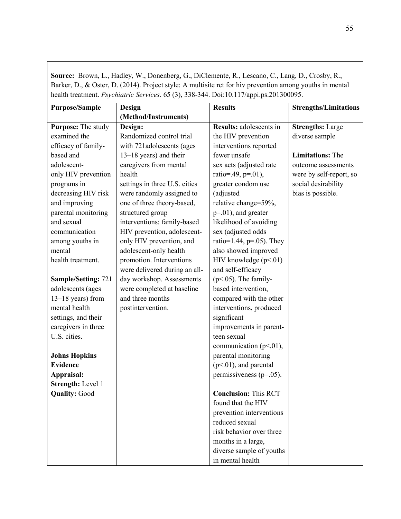**Source:** Brown, L., Hadley, W., Donenberg, G., DiClemente, R., Lescano, C., Lang, D., Crosby, R., Barker, D., & Oster, D. (2014). Project style: A multisite rct for hiv prevention among youths in mental health treatment. *Psychiatric Services*. 65 (3), 338-344. Doi:10.117/appi.ps.201300095.

| <b>Purpose/Sample</b>      | Design                        | <b>Results</b>                 | <b>Strengths/Limitations</b> |
|----------------------------|-------------------------------|--------------------------------|------------------------------|
|                            | (Method/Instruments)          |                                |                              |
| Purpose: The study         | Design:                       | <b>Results:</b> adolescents in | <b>Strengths: Large</b>      |
| examined the               | Randomized control trial      | the HIV prevention             | diverse sample               |
| efficacy of family-        | with 721adolescents (ages     | interventions reported         |                              |
| based and                  | 13–18 years) and their        | fewer unsafe                   | <b>Limitations:</b> The      |
| adolescent-                | caregivers from mental        | sex acts (adjusted rate        | outcome assessments          |
| only HIV prevention        | health                        | ratio=.49, p=.01),             | were by self-report, so      |
| programs in                | settings in three U.S. cities | greater condom use             | social desirability          |
| decreasing HIV risk        | were randomly assigned to     | (adjusted                      | bias is possible.            |
| and improving              | one of three theory-based,    | relative change=59%,           |                              |
| parental monitoring        | structured group              | $p=.01$ ), and greater         |                              |
| and sexual                 | interventions: family-based   | likelihood of avoiding         |                              |
| communication              | HIV prevention, adolescent-   | sex (adjusted odds             |                              |
| among youths in            | only HIV prevention, and      | ratio=1.44, $p=0.05$ ). They   |                              |
| mental                     | adolescent-only health        | also showed improved           |                              |
| health treatment.          | promotion. Interventions      | HIV knowledge $(p<.01)$        |                              |
|                            | were delivered during an all- | and self-efficacy              |                              |
| <b>Sample/Setting: 721</b> | day workshop. Assessments     | $(p<.05)$ . The family-        |                              |
| adolescents (ages          | were completed at baseline    | based intervention,            |                              |
| 13-18 years) from          | and three months              | compared with the other        |                              |
| mental health              | postintervention.             | interventions, produced        |                              |
| settings, and their        |                               | significant                    |                              |
| caregivers in three        |                               | improvements in parent-        |                              |
| U.S. cities.               |                               | teen sexual                    |                              |
|                            |                               | communication ( $p<.01$ ),     |                              |
| <b>Johns Hopkins</b>       |                               | parental monitoring            |                              |
| <b>Evidence</b>            |                               | $(p<.01)$ , and parental       |                              |
| Appraisal:                 |                               | permissiveness ( $p=.05$ ).    |                              |
| Strength: Level 1          |                               |                                |                              |
| <b>Quality: Good</b>       |                               | <b>Conclusion: This RCT</b>    |                              |
|                            |                               | found that the HIV             |                              |
|                            |                               | prevention interventions       |                              |
|                            |                               | reduced sexual                 |                              |
|                            |                               | risk behavior over three       |                              |
|                            |                               | months in a large,             |                              |
|                            |                               | diverse sample of youths       |                              |
|                            |                               | in mental health               |                              |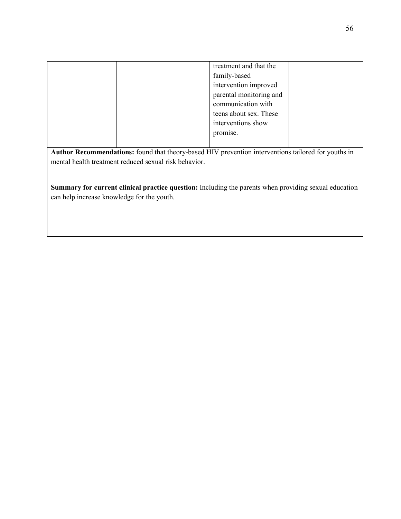|                                                                                                       |  | treatment and that the  |  |  |  |
|-------------------------------------------------------------------------------------------------------|--|-------------------------|--|--|--|
|                                                                                                       |  | family-based            |  |  |  |
|                                                                                                       |  | intervention improved   |  |  |  |
|                                                                                                       |  | parental monitoring and |  |  |  |
|                                                                                                       |  | communication with      |  |  |  |
|                                                                                                       |  | teens about sex. These  |  |  |  |
|                                                                                                       |  | interventions show      |  |  |  |
|                                                                                                       |  | promise.                |  |  |  |
|                                                                                                       |  |                         |  |  |  |
| Author Recommendations: found that theory-based HIV prevention interventions tailored for youths in   |  |                         |  |  |  |
| mental health treatment reduced sexual risk behavior.                                                 |  |                         |  |  |  |
|                                                                                                       |  |                         |  |  |  |
|                                                                                                       |  |                         |  |  |  |
| Summary for current clinical practice question: Including the parents when providing sexual education |  |                         |  |  |  |
| can help increase knowledge for the youth.                                                            |  |                         |  |  |  |
|                                                                                                       |  |                         |  |  |  |
|                                                                                                       |  |                         |  |  |  |
|                                                                                                       |  |                         |  |  |  |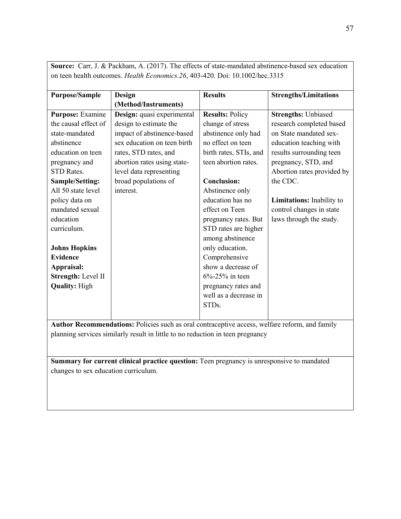| <b>Purpose/Sample</b>                                                                          | Design                      | <b>Results</b>         | <b>Strengths/Limitations</b> |
|------------------------------------------------------------------------------------------------|-----------------------------|------------------------|------------------------------|
|                                                                                                | (Method/Instruments)        |                        |                              |
| Purpose: Examine                                                                               | Design: quasi experimental  | <b>Results: Policy</b> | <b>Strengths: Unbiased</b>   |
| the causal effect of                                                                           | design to estimate the      | change of stress       | research completed based     |
| state-mandated                                                                                 | impact of abstinence-based  | abstinence only had    | on State mandated sex-       |
| abstinence                                                                                     | sex education on teen birth | no effect on teen      | education teaching with      |
| education on teen                                                                              | rates, STD rates, and       | birth rates, STIs, and | results surrounding teen     |
| pregnancy and                                                                                  | abortion rates using state- | teen abortion rates.   | pregnancy, STD, and          |
| <b>STD</b> Rates.                                                                              | level data representing     |                        | Abortion rates provided by   |
| <b>Sample/Setting:</b>                                                                         | broad populations of        | <b>Conclusion:</b>     | the CDC.                     |
| All 50 state level                                                                             | interest.                   | Abstinence only        |                              |
| policy data on                                                                                 |                             | education has no       | Limitations: Inability to    |
| mandated sexual                                                                                |                             | effect on Teen         | control changes in state     |
| education                                                                                      |                             | pregnancy rates. But   | laws through the study.      |
| curriculum.                                                                                    |                             | STD rates are higher   |                              |
|                                                                                                |                             | among abstinence       |                              |
| <b>Johns Hopkins</b>                                                                           |                             | only education.        |                              |
| <b>Evidence</b>                                                                                |                             | Comprehensive          |                              |
| Appraisal:                                                                                     |                             | show a decrease of     |                              |
| Strength: Level II                                                                             |                             | $6\% - 25\%$ in teen   |                              |
| <b>Quality: High</b>                                                                           |                             | pregnancy rates and    |                              |
|                                                                                                |                             | well as a decrease in  |                              |
|                                                                                                |                             | STDs.                  |                              |
|                                                                                                |                             |                        |                              |
| Author Recommendations: Policies such as oral contraceptive access, welfare reform, and family |                             |                        |                              |

**Source:** Carr, J. & Packham, A. (2017). The effects of state-mandated abstinence-based sex education on teen health outcomes. *Health Economics.26*, 403-420. Doi: 10.1002/hec.3315

planning services similarly result in little to no reduction in teen pregnancy

**Summary for current clinical practice question:** Teen pregnancy is unresponsive to mandated changes to sex education curriculum.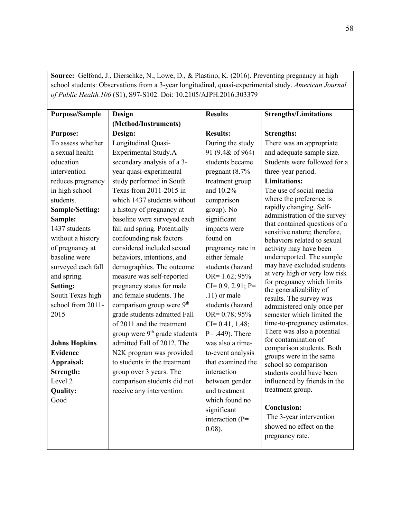**Source:** Gelfond, J., Dierschke, N., Lowe, D., & Plastino, K. (2016). Preventing pregnancy in high school students: Observations from a 3-year longitudinal, quasi-experimental study. *American Journal of Public Health.106* (S1), S97-S102. Doi: 10.2105/AJPH.2016.303379

| <b>Purpose/Sample</b> | Design                                    | <b>Results</b>      | <b>Strengths/Limitations</b>                                  |
|-----------------------|-------------------------------------------|---------------------|---------------------------------------------------------------|
|                       | (Method/Instruments)                      |                     |                                                               |
| <b>Purpose:</b>       | Design:                                   | <b>Results:</b>     | <b>Strengths:</b>                                             |
| To assess whether     | Longitudinal Quasi-                       | During the study    | There was an appropriate                                      |
| a sexual health       | <b>Experimental Study.A</b>               | 91 (9.4& of 964)    | and adequate sample size.                                     |
| education             | secondary analysis of a 3-                | students became     | Students were followed for a                                  |
| intervention          | year quasi-experimental                   | pregnant $(8.7\%$   | three-year period.                                            |
| reduces pregnancy     | study performed in South                  | treatment group     | <b>Limitations:</b>                                           |
| in high school        | Texas from 2011-2015 in                   | and 10.2%           | The use of social media                                       |
| students.             | which 1437 students without               | comparison          | where the preference is                                       |
| Sample/Setting:       | a history of pregnancy at                 | group). No          | rapidly changing. Self-                                       |
| Sample:               | baseline were surveyed each               | significant         | administration of the survey<br>that contained questions of a |
| 1437 students         | fall and spring. Potentially              | impacts were        | sensitive nature; therefore,                                  |
| without a history     | confounding risk factors                  | found on            | behaviors related to sexual                                   |
| of pregnancy at       | considered included sexual                | pregnancy rate in   | activity may have been                                        |
| baseline were         | behaviors, intentions, and                | either female       | underreported. The sample                                     |
| surveyed each fall    | demographics. The outcome                 | students (hazard    | may have excluded students                                    |
| and spring.           | measure was self-reported                 | OR= $1.62; 95%$     | at very high or very low risk                                 |
| Setting:              | pregnancy status for male                 | $CI= 0.9, 2.91; P=$ | for pregnancy which limits<br>the generalizability of         |
| South Texas high      | and female students. The                  | $.11$ ) or male     | results. The survey was                                       |
| school from 2011-     | comparison group were 9th                 | students (hazard    | administered only once per                                    |
| 2015                  | grade students admitted Fall              | $OR = 0.78$ ; 95%   | semester which limited the                                    |
|                       | of 2011 and the treatment                 | $CI = 0.41, 1.48;$  | time-to-pregnancy estimates.                                  |
|                       | group were 9 <sup>th</sup> grade students | $P = .449$ ). There | There was also a potential                                    |
| <b>Johns Hopkins</b>  | admitted Fall of 2012. The                | was also a time-    | for contamination of<br>comparison students. Both             |
| <b>Evidence</b>       | N2K program was provided                  | to-event analysis   | groups were in the same                                       |
| Appraisal:            | to students in the treatment              | that examined the   | school so comparison                                          |
| Strength:             | group over 3 years. The                   | interaction         | students could have been                                      |
| Level 2               | comparison students did not               | between gender      | influenced by friends in the                                  |
| <b>Quality:</b>       | receive any intervention.                 | and treatment       | treatment group.                                              |
| Good                  |                                           | which found no      |                                                               |
|                       |                                           | significant         | <b>Conclusion:</b>                                            |
|                       |                                           | interaction (P=     | The 3-year intervention                                       |
|                       |                                           | $0.08$ ).           | showed no effect on the                                       |
|                       |                                           |                     | pregnancy rate.                                               |
|                       |                                           |                     |                                                               |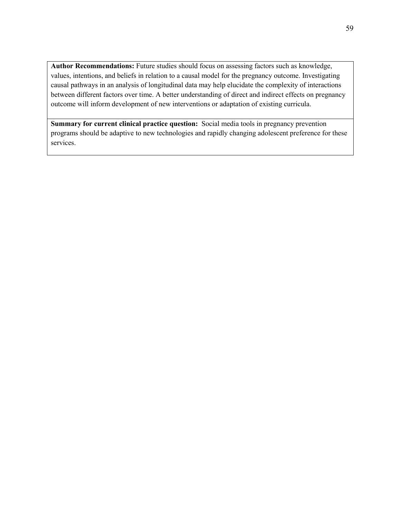**Author Recommendations:** Future studies should focus on assessing factors such as knowledge, values, intentions, and beliefs in relation to a causal model for the pregnancy outcome. Investigating causal pathways in an analysis of longitudinal data may help elucidate the complexity of interactions between different factors over time. A better understanding of direct and indirect effects on pregnancy outcome will inform development of new interventions or adaptation of existing curricula.

**Summary for current clinical practice question:** Social media tools in pregnancy prevention programs should be adaptive to new technologies and rapidly changing adolescent preference for these services.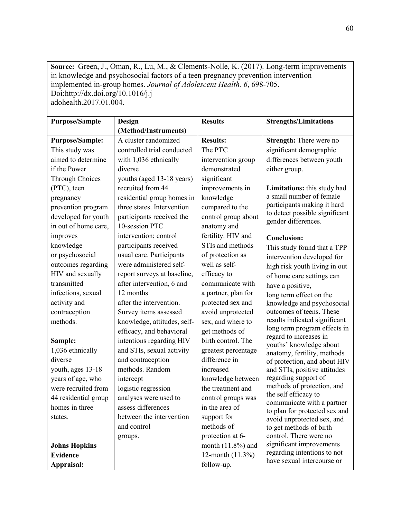**Source:** Green, J., Oman, R., Lu, M., & Clements-Nolle, K. (2017). Long-term improvements in knowledge and psychosocial factors of a teen pregnancy prevention intervention implemented in-group homes. *Journal of Adolescent Health. 6*, 698-705. Doi:http://dx.doi.org/10.1016/j.j adohealth.2017.01.004.

| <b>Purpose/Sample</b>  | Design                      | <b>Results</b>       | <b>Strengths/Limitations</b>                                |
|------------------------|-----------------------------|----------------------|-------------------------------------------------------------|
|                        | (Method/Instruments)        |                      |                                                             |
| <b>Purpose/Sample:</b> | A cluster randomized        | <b>Results:</b>      | Strength: There were no                                     |
| This study was         | controlled trial conducted  | The PTC              | significant demographic                                     |
| aimed to determine     | with 1,036 ethnically       | intervention group   | differences between youth                                   |
| if the Power           | diverse                     | demonstrated         | either group.                                               |
| Through Choices        | youths (aged 13-18 years)   | significant          |                                                             |
| (PTC), teen            | recruited from 44           | improvements in      | Limitations: this study had                                 |
| pregnancy              | residential group homes in  | knowledge            | a small number of female                                    |
| prevention program     | three states. Intervention  | compared to the      | participants making it hard                                 |
| developed for youth    | participants received the   | control group about  | to detect possible significant                              |
| in out of home care,   | 10-session PTC              | anatomy and          | gender differences.                                         |
| improves               | intervention; control       | fertility. HIV and   | <b>Conclusion:</b>                                          |
| knowledge              | participants received       | STIs and methods     | This study found that a TPP                                 |
| or psychosocial        | usual care. Participants    | of protection as     | intervention developed for                                  |
| outcomes regarding     | were administered self-     | well as self-        | high risk youth living in out                               |
| HIV and sexually       | report surveys at baseline, | efficacy to          | of home care settings can                                   |
| transmitted            | after intervention, 6 and   | communicate with     | have a positive,                                            |
| infections, sexual     | 12 months                   | a partner, plan for  | long term effect on the                                     |
| activity and           | after the intervention.     | protected sex and    | knowledge and psychosocial                                  |
| contraception          | Survey items assessed       | avoid unprotected    | outcomes of teens. These                                    |
| methods.               | knowledge, attitudes, self- | sex, and where to    | results indicated significant                               |
|                        | efficacy, and behavioral    | get methods of       | long term program effects in                                |
| Sample:                | intentions regarding HIV    | birth control. The   | regard to increases in<br>youths' knowledge about           |
| 1,036 ethnically       | and STIs, sexual activity   | greatest percentage  | anatomy, fertility, methods                                 |
| diverse                | and contraception           | difference in        | of protection, and about HIV                                |
| youth, ages 13-18      | methods. Random             | increased            | and STIs, positive attitudes                                |
| years of age, who      | intercept                   | knowledge between    | regarding support of                                        |
| were recruited from    | logistic regression         | the treatment and    | methods of protection, and                                  |
| 44 residential group   | analyses were used to       | control groups was   | the self efficacy to                                        |
| homes in three         | assess differences          | in the area of       | communicate with a partner<br>to plan for protected sex and |
| states.                | between the intervention    | support for          | avoid unprotected sex, and                                  |
|                        | and control                 | methods of           | to get methods of birth                                     |
|                        | groups.                     | protection at 6-     | control. There were no                                      |
| <b>Johns Hopkins</b>   |                             | month $(11.8\%)$ and | significant improvements                                    |
| <b>Evidence</b>        |                             | 12-month $(11.3\%)$  | regarding intentions to not                                 |
| Appraisal:             |                             | follow-up.           | have sexual intercourse or                                  |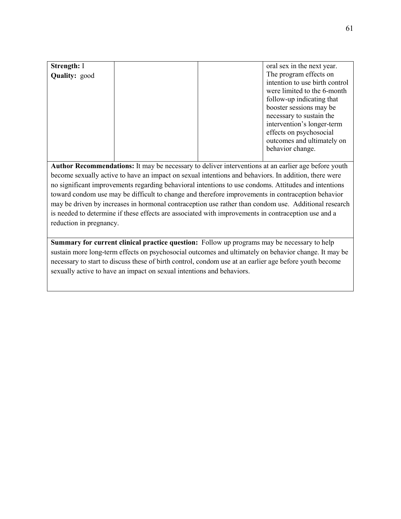| Strength: I          |  | oral sex in the next year.                                                                                                                                                                                                                                                             |
|----------------------|--|----------------------------------------------------------------------------------------------------------------------------------------------------------------------------------------------------------------------------------------------------------------------------------------|
| <b>Quality:</b> good |  | The program effects on<br>intention to use birth control<br>were limited to the 6-month<br>follow-up indicating that<br>booster sessions may be<br>necessary to sustain the<br>intervention's longer-term<br>effects on psychosocial<br>outcomes and ultimately on<br>behavior change. |

**Author Recommendations:** It may be necessary to deliver interventions at an earlier age before youth become sexually active to have an impact on sexual intentions and behaviors. In addition, there were no significant improvements regarding behavioral intentions to use condoms. Attitudes and intentions toward condom use may be difficult to change and therefore improvements in contraception behavior may be driven by increases in hormonal contraception use rather than condom use. Additional research is needed to determine if these effects are associated with improvements in contraception use and a reduction in pregnancy.

**Summary for current clinical practice question:** Follow up programs may be necessary to help sustain more long-term effects on psychosocial outcomes and ultimately on behavior change. It may be necessary to start to discuss these of birth control, condom use at an earlier age before youth become sexually active to have an impact on sexual intentions and behaviors.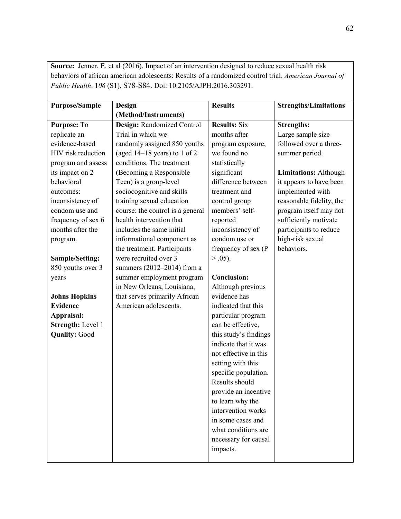**Source:** Jenner, E. et al (2016). Impact of an intervention designed to reduce sexual health risk behaviors of african american adolescents: Results of a randomized control trial. *American Journal of Public Health*. 1*06* (S1), S78-S84. Doi: 10.2105/AJPH.2016.303291.

| <b>Purpose/Sample</b> | Design                           | <b>Results</b>        | <b>Strengths/Limitations</b> |
|-----------------------|----------------------------------|-----------------------|------------------------------|
|                       | (Method/Instruments)             |                       |                              |
| Purpose: To           | Design: Randomized Control       | <b>Results: Six</b>   | <b>Strengths:</b>            |
| replicate an          | Trial in which we                | months after          | Large sample size            |
| evidence-based        | randomly assigned 850 youths     | program exposure,     | followed over a three-       |
| HIV risk reduction    | (aged $14-18$ years) to 1 of 2   | we found no           | summer period.               |
| program and assess    | conditions. The treatment        | statistically         |                              |
| its impact on 2       | (Becoming a Responsible          | significant           | <b>Limitations: Although</b> |
| behavioral            | Teen) is a group-level           | difference between    | it appears to have been      |
| outcomes:             | sociocognitive and skills        | treatment and         | implemented with             |
| inconsistency of      | training sexual education        | control group         | reasonable fidelity, the     |
| condom use and        | course: the control is a general | members' self-        | program itself may not       |
| frequency of sex 6    | health intervention that         | reported              | sufficiently motivate        |
| months after the      | includes the same initial        | inconsistency of      | participants to reduce       |
| program.              | informational component as       | condom use or         | high-risk sexual             |
|                       | the treatment. Participants      | frequency of sex (P   | behaviors.                   |
| Sample/Setting:       | were recruited over 3            | $> .05$ ).            |                              |
| 850 youths over 3     | summers $(2012-2014)$ from a     |                       |                              |
| years                 | summer employment program        | <b>Conclusion:</b>    |                              |
|                       | in New Orleans, Louisiana,       | Although previous     |                              |
| <b>Johns Hopkins</b>  | that serves primarily African    | evidence has          |                              |
| <b>Evidence</b>       | American adolescents.            | indicated that this   |                              |
| Appraisal:            |                                  | particular program    |                              |
| Strength: Level 1     |                                  | can be effective,     |                              |
| <b>Quality: Good</b>  |                                  | this study's findings |                              |
|                       |                                  | indicate that it was  |                              |
|                       |                                  | not effective in this |                              |
|                       |                                  | setting with this     |                              |
|                       |                                  | specific population.  |                              |
|                       |                                  | Results should        |                              |
|                       |                                  | provide an incentive  |                              |
|                       |                                  | to learn why the      |                              |
|                       |                                  | intervention works    |                              |
|                       |                                  | in some cases and     |                              |
|                       |                                  | what conditions are   |                              |
|                       |                                  | necessary for causal  |                              |
|                       |                                  | impacts.              |                              |
|                       |                                  |                       |                              |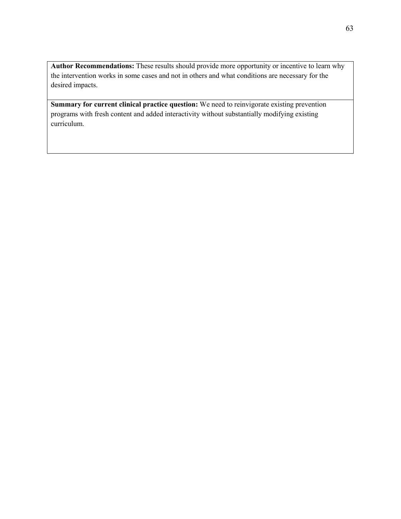**Author Recommendations:** These results should provide more opportunity or incentive to learn why the intervention works in some cases and not in others and what conditions are necessary for the desired impacts.

**Summary for current clinical practice question:** We need to reinvigorate existing prevention programs with fresh content and added interactivity without substantially modifying existing curriculum.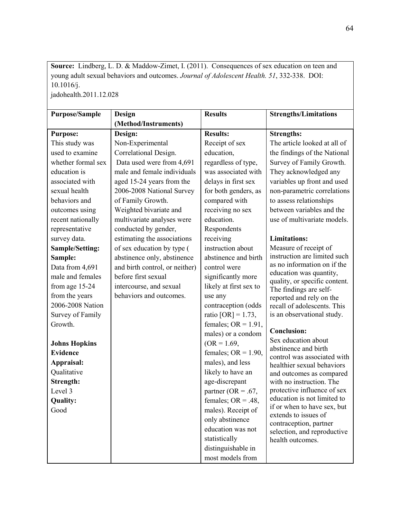**Source:** Lindberg, L. D. & Maddow-Zimet, I. (2011). Consequences of sex education on teen and young adult sexual behaviors and outcomes. *Journal of Adolescent Health. 51*, 332-338. DOI: 10.1016/j. jadohealth.2011.12.028

| <b>Purpose/Sample</b>  | Design                         | <b>Results</b>         | <b>Strengths/Limitations</b>                             |
|------------------------|--------------------------------|------------------------|----------------------------------------------------------|
|                        | (Method/Instruments)           |                        |                                                          |
| <b>Purpose:</b>        | Design:                        | <b>Results:</b>        | <b>Strengths:</b>                                        |
| This study was         | Non-Experimental               | Receipt of sex         | The article looked at all of                             |
| used to examine        | Correlational Design.          | education,             | the findings of the National                             |
| whether formal sex     | Data used were from 4,691      | regardless of type,    | Survey of Family Growth.                                 |
| education is           | male and female individuals    | was associated with    | They acknowledged any                                    |
| associated with        | aged 15-24 years from the      | delays in first sex    | variables up front and used                              |
| sexual health          | 2006-2008 National Survey      | for both genders, as   | non-parametric correlations                              |
| behaviors and          | of Family Growth.              | compared with          | to assess relationships                                  |
| outcomes using         | Weighted bivariate and         | receiving no sex       | between variables and the                                |
| recent nationally      | multivariate analyses were     | education.             | use of multivariate models.                              |
| representative         | conducted by gender,           | Respondents            |                                                          |
| survey data.           | estimating the associations    | receiving              | <b>Limitations:</b>                                      |
| <b>Sample/Setting:</b> | of sex education by type (     | instruction about      | Measure of receipt of                                    |
| Sample:                | abstinence only, abstinence    | abstinence and birth   | instruction are limited such                             |
| Data from 4,691        | and birth control, or neither) | control were           | as no information on if the                              |
| male and females       | before first sexual            | significantly more     | education was quantity,<br>quality, or specific content. |
| from age 15-24         | intercourse, and sexual        | likely at first sex to | The findings are self-                                   |
| from the years         | behaviors and outcomes.        | use any                | reported and rely on the                                 |
| 2006-2008 Nation       |                                | contraception (odds    | recall of adolescents. This                              |
| Survey of Family       |                                | ratio $[OR] = 1.73$ ,  | is an observational study.                               |
| Growth.                |                                | females; $OR = 1.91$ , |                                                          |
|                        |                                | males) or a condom     | <b>Conclusion:</b>                                       |
| <b>Johns Hopkins</b>   |                                | $(OR = 1.69,$          | Sex education about<br>abstinence and birth              |
| <b>Evidence</b>        |                                | females; $OR = 1.90$ , | control was associated with                              |
| Appraisal:             |                                | males), and less       | healthier sexual behaviors                               |
| Qualitative            |                                | likely to have an      | and outcomes as compared                                 |
| Strength:              |                                | age-discrepant         | with no instruction. The                                 |
| Level 3                |                                | partner (OR = .67,     | protective influence of sex                              |
| Quality:               |                                | females; $OR = .48$ ,  | education is not limited to                              |
| Good                   |                                | males). Receipt of     | if or when to have sex, but<br>extends to issues of      |
|                        |                                | only abstinence        | contraception, partner                                   |
|                        |                                | education was not      | selection, and reproductive                              |
|                        |                                | statistically          | health outcomes.                                         |
|                        |                                | distinguishable in     |                                                          |
|                        |                                | most models from       |                                                          |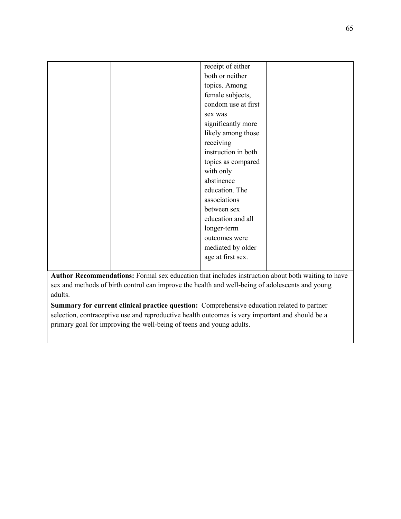|                                                                                                   |  | receipt of either   |  |
|---------------------------------------------------------------------------------------------------|--|---------------------|--|
|                                                                                                   |  | both or neither     |  |
|                                                                                                   |  | topics. Among       |  |
|                                                                                                   |  | female subjects,    |  |
|                                                                                                   |  | condom use at first |  |
|                                                                                                   |  | sex was             |  |
|                                                                                                   |  | significantly more  |  |
|                                                                                                   |  | likely among those  |  |
|                                                                                                   |  | receiving           |  |
|                                                                                                   |  | instruction in both |  |
|                                                                                                   |  | topics as compared  |  |
|                                                                                                   |  | with only           |  |
|                                                                                                   |  | abstinence          |  |
|                                                                                                   |  | education. The      |  |
|                                                                                                   |  | associations        |  |
|                                                                                                   |  | between sex         |  |
|                                                                                                   |  | education and all   |  |
|                                                                                                   |  | longer-term         |  |
|                                                                                                   |  | outcomes were       |  |
|                                                                                                   |  | mediated by older   |  |
|                                                                                                   |  | age at first sex.   |  |
|                                                                                                   |  |                     |  |
| Author Recommendations: Formal sex education that includes instruction about both waiting to have |  |                     |  |
| sex and methods of birth control can improve the health and well-being of adolescents and young   |  |                     |  |
| adults.                                                                                           |  |                     |  |

**Summary for current clinical practice question:** Comprehensive education related to partner selection, contraceptive use and reproductive health outcomes is very important and should be a primary goal for improving the well-being of teens and young adults.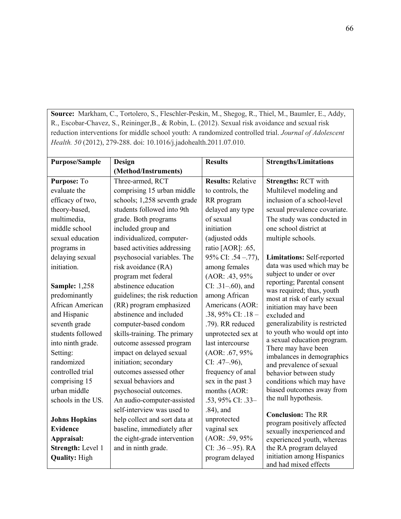**Source:** Markham, C., Tortolero, S., Fleschler-Peskin, M., Shegog, R., Thiel, M., Baumler, E., Addy, R., Escobar-Chavez, S., Reininger,B., & Robin, L. (2012). Sexual risk avoidance and sexual risk reduction interventions for middle school youth: A randomized controlled trial. *Journal of Adolescent Health. 50* (2012), 279-288. doi: 10.1016/j.jadohealth.2011.07.010.

| <b>Purpose/Sample</b> | Design                         | <b>Results</b>           | <b>Strengths/Limitations</b>                             |
|-----------------------|--------------------------------|--------------------------|----------------------------------------------------------|
|                       | (Method/Instruments)           |                          |                                                          |
| Purpose: To           | Three-armed, RCT               | <b>Results: Relative</b> | <b>Strengths: RCT with</b>                               |
| evaluate the          | comprising 15 urban middle     | to controls, the         | Multilevel modeling and                                  |
| efficacy of two,      | schools; 1,258 seventh grade   | RR program               | inclusion of a school-level                              |
| theory-based,         | students followed into 9th     | delayed any type         | sexual prevalence covariate.                             |
| multimedia,           | grade. Both programs           | of sexual                | The study was conducted in                               |
| middle school         | included group and             | initiation               | one school district at                                   |
| sexual education      | individualized, computer-      | (adjusted odds           | multiple schools.                                        |
| programs in           | based activities addressing    | ratio [AOR]: .65,        |                                                          |
| delaying sexual       | psychosocial variables. The    | 95% CI: .54 - .77),      | Limitations: Self-reported                               |
| initiation.           | risk avoidance (RA)            | among females            | data was used which may be                               |
|                       | program met federal            | $(AOR: .43, 95\%$        | subject to under or over                                 |
| <b>Sample: 1,258</b>  | abstinence education           | $CI: .31-.60$ , and      | reporting; Parental consent<br>was required; thus, youth |
| predominantly         | guidelines; the risk reduction | among African            | most at risk of early sexual                             |
| African American      | (RR) program emphasized        | Americans (AOR:          | initiation may have been                                 |
| and Hispanic          | abstinence and included        | .38, 95% CI: .18 -       | excluded and                                             |
| seventh grade         | computer-based condom          | .79). RR reduced         | generalizability is restricted                           |
| students followed     | skills-training. The primary   | unprotected sex at       | to youth who would opt into                              |
| into ninth grade.     | outcome assessed program       | last intercourse         | a sexual education program.<br>There may have been       |
| Setting:              | impact on delayed sexual       | $(AOR: .67, 95\%$        | imbalances in demographics                               |
| randomized            | initiation; secondary          | $CI: .47-.96$ ),         | and prevalence of sexual                                 |
| controlled trial      | outcomes assessed other        | frequency of anal        | behavior between study                                   |
| comprising 15         | sexual behaviors and           | sex in the past 3        | conditions which may have                                |
| urban middle          | psychosocial outcomes.         | months (AOR:             | biased outcomes away from                                |
| schools in the US.    | An audio-computer-assisted     | .53, 95% CI: .33-        | the null hypothesis.                                     |
|                       | self-interview was used to     | $.84$ ), and             | <b>Conclusion: The RR</b>                                |
| <b>Johns Hopkins</b>  | help collect and sort data at  | unprotected              | program positively affected                              |
| <b>Evidence</b>       | baseline, immediately after    | vaginal sex              | sexually inexperienced and                               |
| Appraisal:            | the eight-grade intervention   | (AOR: .59, 95%           | experienced youth, whereas                               |
| Strength: Level 1     | and in ninth grade.            | $CI: .36 - .95$ ). RA    | the RA program delayed                                   |
| <b>Quality: High</b>  |                                | program delayed          | initiation among Hispanics<br>and had mixed effects      |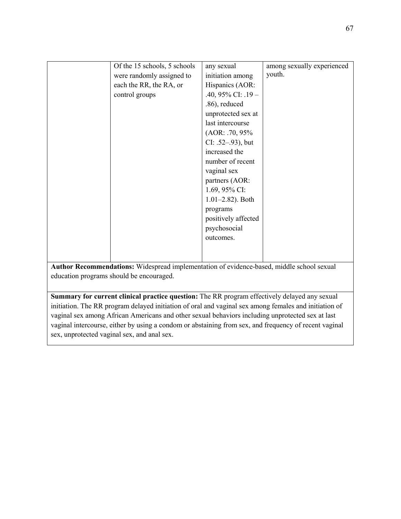| Of the 15 schools, 5 schools | any sexual            | among sexually experienced |
|------------------------------|-----------------------|----------------------------|
|                              |                       |                            |
| were randomly assigned to    | initiation among      | youth.                     |
| each the RR, the RA, or      | Hispanics (AOR:       |                            |
| control groups               | .40, 95% CI: .19 -    |                            |
|                              | .86), reduced         |                            |
|                              | unprotected sex at    |                            |
|                              | last intercourse      |                            |
|                              | $(AOR: .70, 95\%$     |                            |
|                              | $CI: .52-.93$ ), but  |                            |
|                              | increased the         |                            |
|                              | number of recent      |                            |
|                              | vaginal sex           |                            |
|                              | partners (AOR:        |                            |
|                              | 1.69, 95% CI:         |                            |
|                              | $1.01 - 2.82$ ). Both |                            |
|                              | programs              |                            |
|                              | positively affected   |                            |
|                              | psychosocial          |                            |
|                              | outcomes.             |                            |
|                              |                       |                            |
|                              |                       |                            |

**Author Recommendations:** Widespread implementation of evidence-based, middle school sexual education programs should be encouraged.

**Summary for current clinical practice question:** The RR program effectively delayed any sexual initiation. The RR program delayed initiation of oral and vaginal sex among females and initiation of vaginal sex among African Americans and other sexual behaviors including unprotected sex at last vaginal intercourse, either by using a condom or abstaining from sex, and frequency of recent vaginal sex, unprotected vaginal sex, and anal sex.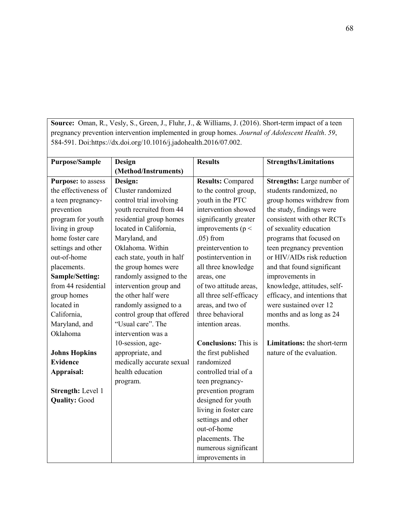**Source:** Oman, R., Vesly, S., Green, J., Fluhr, J., & Williams, J. (2016). Short-term impact of a teen pregnancy prevention intervention implemented in group homes. *Journal of Adolescent Health*. *59*, 584-591. Doi:https://dx.doi.org/10.1016/j.jadohealth.2016/07.002.

| <b>Purpose/Sample</b> | Design                     | <b>Results</b>              | <b>Strengths/Limitations</b>      |
|-----------------------|----------------------------|-----------------------------|-----------------------------------|
|                       | (Method/Instruments)       |                             |                                   |
| Purpose: to assess    | Design:                    | <b>Results: Compared</b>    | <b>Strengths:</b> Large number of |
| the effectiveness of  | Cluster randomized         | to the control group,       | students randomized, no           |
| a teen pregnancy-     | control trial involving    | youth in the PTC            | group homes withdrew from         |
| prevention            | youth recruited from 44    | intervention showed         | the study, findings were          |
| program for youth     | residential group homes    | significantly greater       | consistent with other RCTs        |
| living in group       | located in California,     | improvements ( $p <$        | of sexuality education            |
| home foster care      | Maryland, and              | $.05$ ) from                | programs that focused on          |
| settings and other    | Oklahoma. Within           | preintervention to          | teen pregnancy prevention         |
| out-of-home           | each state, youth in half  | postintervention in         | or HIV/AIDs risk reduction        |
| placements.           | the group homes were       | all three knowledge         | and that found significant        |
| Sample/Setting:       | randomly assigned to the   | areas, one                  | improvements in                   |
| from 44 residential   | intervention group and     | of two attitude areas,      | knowledge, attitudes, self-       |
| group homes           | the other half were        | all three self-efficacy     | efficacy, and intentions that     |
| located in            | randomly assigned to a     | areas, and two of           | were sustained over 12            |
| California,           | control group that offered | three behavioral            | months and as long as 24          |
| Maryland, and         | "Usual care". The          | intention areas.            | months.                           |
| Oklahoma              | intervention was a         |                             |                                   |
|                       | 10-session, age-           | <b>Conclusions:</b> This is | Limitations: the short-term       |
| <b>Johns Hopkins</b>  | appropriate, and           | the first published         | nature of the evaluation.         |
| <b>Evidence</b>       | medically accurate sexual  | randomized                  |                                   |
| Appraisal:            | health education           | controlled trial of a       |                                   |
|                       | program.                   | teen pregnancy-             |                                   |
| Strength: Level 1     |                            | prevention program          |                                   |
| <b>Quality: Good</b>  |                            | designed for youth          |                                   |
|                       |                            | living in foster care       |                                   |
|                       |                            | settings and other          |                                   |
|                       |                            | out-of-home                 |                                   |
|                       |                            | placements. The             |                                   |
|                       |                            | numerous significant        |                                   |
|                       |                            | improvements in             |                                   |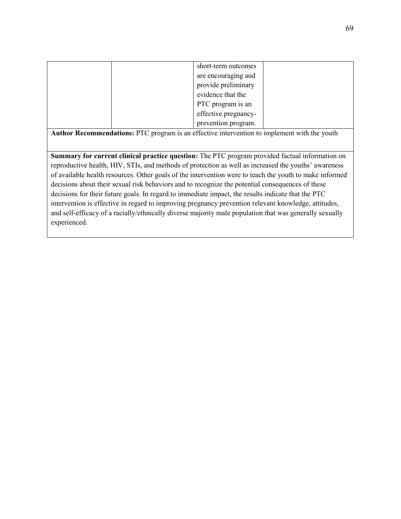|  | short-term outcomes  |  |
|--|----------------------|--|
|  | are encouraging and  |  |
|  | provide preliminary  |  |
|  | evidence that the    |  |
|  | PTC program is an    |  |
|  | effective pregnancy- |  |
|  | prevention program.  |  |

**Author Recommendations:** PTC program is an effective intervention to implement with the youth

**Summary for current clinical practice question:** The PTC program provided factual information on reproductive health, HIV, STIs, and methods of protection as well as increased the youths' awareness of available health resources. Other goals of the intervention were to teach the youth to make informed decisions about their sexual risk behaviors and to recognize the potential consequences of these decisions for their future goals. In regard to immediate impact, the results indicate that the PTC intervention is effective in regard to improving pregnancy prevention relevant knowledge, attitudes, and self-efficacy of a racially/ethnically diverse majority male population that was generally sexually experienced.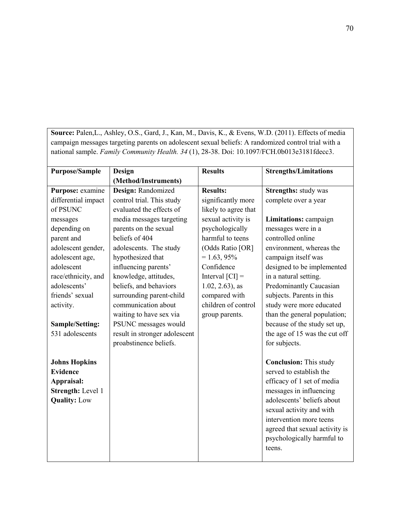**Source:** Palen,L., Ashley, O.S., Gard, J., Kan, M., Davis, K., & Evens, W.D. (2011). Effects of media campaign messages targeting parents on adolescent sexual beliefs: A randomized control trial with a national sample. *Family Community Health. 34* (1), 28-38. Doi: 10.1097/FCH.0b013e3181fdecc3.

| <b>Purpose/Sample</b> | <b>Design</b>                 | <b>Results</b>       | <b>Strengths/Limitations</b>   |
|-----------------------|-------------------------------|----------------------|--------------------------------|
|                       | (Method/Instruments)          |                      |                                |
| Purpose: examine      | Design: Randomized            | <b>Results:</b>      | <b>Strengths: study was</b>    |
| differential impact   | control trial. This study     | significantly more   | complete over a year           |
| of PSUNC              | evaluated the effects of      | likely to agree that |                                |
| messages              | media messages targeting      | sexual activity is   | Limitations: campaign          |
| depending on          | parents on the sexual         | psychologically      | messages were in a             |
| parent and            | beliefs of 404                | harmful to teens     | controlled online              |
| adolescent gender,    | adolescents. The study        | (Odds Ratio [OR]     | environment, whereas the       |
| adolescent age,       | hypothesized that             | $= 1.63, 95\%$       | campaign itself was            |
| adolescent            | influencing parents'          | Confidence           | designed to be implemented     |
| race/ethnicity, and   | knowledge, attitudes,         | Interval $ CI $ =    | in a natural setting.          |
| adolescents'          | beliefs, and behaviors        | $1.02, 2.63$ , as    | Predominantly Caucasian        |
| friends' sexual       | surrounding parent-child      | compared with        | subjects. Parents in this      |
| activity.             | communication about           | children of control  | study were more educated       |
|                       | waiting to have sex via       | group parents.       | than the general population;   |
| Sample/Setting:       | PSUNC messages would          |                      | because of the study set up,   |
| 531 adolescents       | result in stronger adolescent |                      | the age of 15 was the cut off  |
|                       | proabstinence beliefs.        |                      | for subjects.                  |
| <b>Johns Hopkins</b>  |                               |                      | <b>Conclusion:</b> This study  |
| <b>Evidence</b>       |                               |                      | served to establish the        |
| Appraisal:            |                               |                      | efficacy of 1 set of media     |
| Strength: Level 1     |                               |                      | messages in influencing        |
| <b>Quality: Low</b>   |                               |                      | adolescents' beliefs about     |
|                       |                               |                      | sexual activity and with       |
|                       |                               |                      | intervention more teens        |
|                       |                               |                      | agreed that sexual activity is |
|                       |                               |                      | psychologically harmful to     |
|                       |                               |                      | teens.                         |
|                       |                               |                      |                                |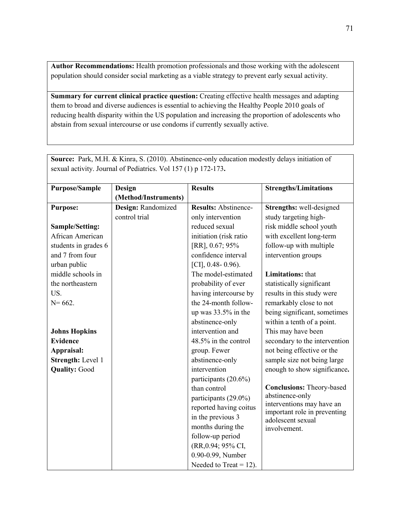**Author Recommendations:** Health promotion professionals and those working with the adolescent population should consider social marketing as a viable strategy to prevent early sexual activity.

**Summary for current clinical practice question:** Creating effective health messages and adapting them to broad and diverse audiences is essential to achieving the Healthy People 2010 goals of reducing health disparity within the US population and increasing the proportion of adolescents who abstain from sexual intercourse or use condoms if currently sexually active.

| <b>Purpose/Sample</b> | <b>Design</b>        | <b>Results</b>              | <b>Strengths/Limitations</b>                              |
|-----------------------|----------------------|-----------------------------|-----------------------------------------------------------|
|                       | (Method/Instruments) |                             |                                                           |
| <b>Purpose:</b>       | Design: Randomized   | <b>Results: Abstinence-</b> | Strengths: well-designed                                  |
|                       | control trial        | only intervention           | study targeting high-                                     |
| Sample/Setting:       |                      | reduced sexual              | risk middle school youth                                  |
| African American      |                      | initiation (risk ratio      | with excellent long-term                                  |
| students in grades 6  |                      | [RR], 0.67; 95%             | follow-up with multiple                                   |
| and 7 from four       |                      | confidence interval         | intervention groups                                       |
| urban public          |                      | [CI], $0.48 - 0.96$ ).      |                                                           |
| middle schools in     |                      | The model-estimated         | <b>Limitations:</b> that                                  |
| the northeastern      |                      | probability of ever         | statistically significant                                 |
| US.                   |                      | having intercourse by       | results in this study were                                |
| $N = 662.$            |                      | the 24-month follow-        | remarkably close to not                                   |
|                       |                      | up was 33.5% in the         | being significant, sometimes                              |
|                       |                      | abstinence-only             | within a tenth of a point.                                |
| <b>Johns Hopkins</b>  |                      | intervention and            | This may have been                                        |
| <b>Evidence</b>       |                      | 48.5% in the control        | secondary to the intervention                             |
| Appraisal:            |                      | group. Fewer                | not being effective or the                                |
| Strength: Level 1     |                      | abstinence-only             | sample size not being large                               |
| <b>Quality: Good</b>  |                      | intervention                | enough to show significance.                              |
|                       |                      | participants (20.6%)        |                                                           |
|                       |                      | than control                | <b>Conclusions: Theory-based</b>                          |
|                       |                      | participants (29.0%)        | abstinence-only                                           |
|                       |                      | reported having coitus      | interventions may have an<br>important role in preventing |
|                       |                      | in the previous 3           | adolescent sexual                                         |
|                       |                      | months during the           | involvement.                                              |
|                       |                      | follow-up period            |                                                           |
|                       |                      | (RR, 0.94; 95% CI,          |                                                           |
|                       |                      | 0.90-0.99, Number           |                                                           |
|                       |                      | Needed to Treat = $12$ ).   |                                                           |

**Source:** Park, M.H. & Kinra, S. (2010). Abstinence-only education modestly delays initiation of sexual activity. Journal of Pediatrics. Vol 157 (1) p 172-173**.**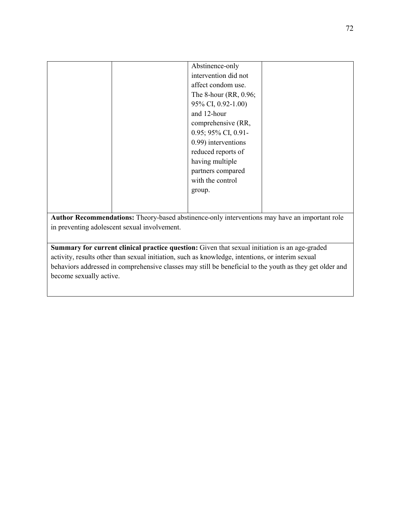|  | Abstinence-only       |  |
|--|-----------------------|--|
|  |                       |  |
|  | intervention did not  |  |
|  | affect condom use.    |  |
|  | The 8-hour (RR, 0.96; |  |
|  | 95% CI, 0.92-1.00)    |  |
|  | and 12-hour           |  |
|  | comprehensive (RR,    |  |
|  | 0.95; 95% CI, 0.91-   |  |
|  | 0.99) interventions   |  |
|  | reduced reports of    |  |
|  | having multiple       |  |
|  | partners compared     |  |
|  | with the control      |  |
|  | group.                |  |
|  |                       |  |
|  |                       |  |

**Author Recommendations:** Theory-based abstinence-only interventions may have an important role in preventing adolescent sexual involvement.

**Summary for current clinical practice question:** Given that sexual initiation is an age-graded activity, results other than sexual initiation, such as knowledge, intentions, or interim sexual behaviors addressed in comprehensive classes may still be beneficial to the youth as they get older and become sexually active.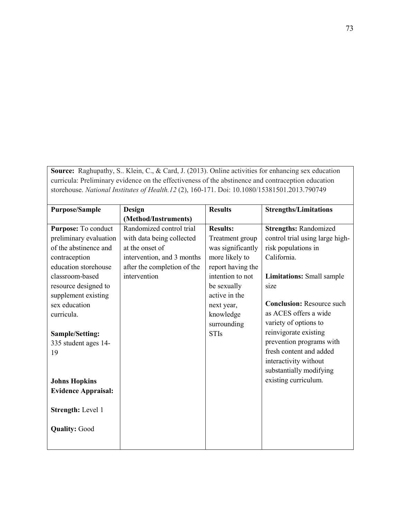| <b>Source:</b> Raghupathy, S Klein, C., & Card, J. (2013). Online activities for enhancing sex education |  |
|----------------------------------------------------------------------------------------------------------|--|
| curricula: Preliminary evidence on the effectiveness of the abstinence and contraception education       |  |
| storehouse. National Institutes of Health.12 (2), 160-171. Doi: 10.1080/15381501.2013.790749             |  |

| <b>Purpose/Sample</b>      | Design                      | <b>Results</b>    | <b>Strengths/Limitations</b>     |
|----------------------------|-----------------------------|-------------------|----------------------------------|
|                            | (Method/Instruments)        |                   |                                  |
| Purpose: To conduct        | Randomized control trial    | <b>Results:</b>   | <b>Strengths: Randomized</b>     |
| preliminary evaluation     | with data being collected   | Treatment group   | control trial using large high-  |
| of the abstinence and      | at the onset of             | was significantly | risk populations in              |
| contraception              | intervention, and 3 months  | more likely to    | California.                      |
| education storehouse       | after the completion of the | report having the |                                  |
| classroom-based            | intervention                | intention to not  | <b>Limitations:</b> Small sample |
| resource designed to       |                             | be sexually       | size                             |
| supplement existing        |                             | active in the     |                                  |
| sex education              |                             | next year,        | <b>Conclusion: Resource such</b> |
| curricula.                 |                             | knowledge         | as ACES offers a wide            |
|                            |                             | surrounding       | variety of options to            |
| <b>Sample/Setting:</b>     |                             | <b>STIs</b>       | reinvigorate existing            |
| 335 student ages 14-       |                             |                   | prevention programs with         |
| 19                         |                             |                   | fresh content and added          |
|                            |                             |                   | interactivity without            |
|                            |                             |                   | substantially modifying          |
| <b>Johns Hopkins</b>       |                             |                   | existing curriculum.             |
| <b>Evidence Appraisal:</b> |                             |                   |                                  |
|                            |                             |                   |                                  |
| <b>Strength: Level 1</b>   |                             |                   |                                  |
|                            |                             |                   |                                  |
| <b>Quality: Good</b>       |                             |                   |                                  |
|                            |                             |                   |                                  |
|                            |                             |                   |                                  |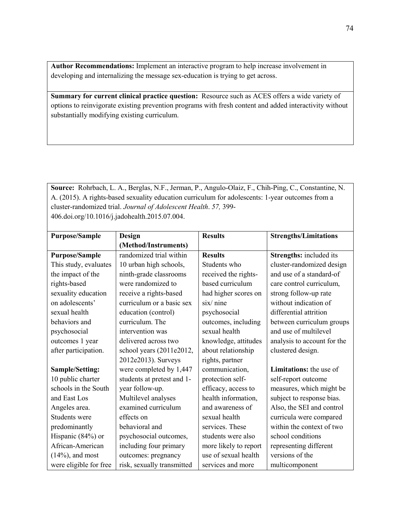**Author Recommendations:** Implement an interactive program to help increase involvement in developing and internalizing the message sex-education is trying to get across.

**Summary for current clinical practice question:** Resource such as ACES offers a wide variety of options to reinvigorate existing prevention programs with fresh content and added interactivity without substantially modifying existing curriculum.

**Source:** Rohrbach, L. A., Berglas, N.F., Jerman, P., Angulo-Olaiz, F., Chih-Ping, C., Constantine, N. A. (2015). A rights-based sexuality education curriculum for adolescents: 1-year outcomes from a cluster-randomized trial. *Journal of Adolescent Health*. *57,* 399- 406.doi.org/10.1016/j.jadohealth.2015.07.004.

| <b>Purpose/Sample</b>  | Design                     | <b>Results</b>        | <b>Strengths/Limitations</b>   |
|------------------------|----------------------------|-----------------------|--------------------------------|
|                        | (Method/Instruments)       |                       |                                |
| <b>Purpose/Sample</b>  | randomized trial within    | <b>Results</b>        | Strengths: included its        |
| This study, evaluates  | 10 urban high schools,     | Students who          | cluster-randomized design      |
| the impact of the      | ninth-grade classrooms     | received the rights-  | and use of a standard-of       |
| rights-based           | were randomized to         | based curriculum      | care control curriculum,       |
| sexuality education    | receive a rights-based     | had higher scores on  | strong follow-up rate          |
| on adolescents'        | curriculum or a basic sex  | $six/$ nine           | without indication of          |
| sexual health          | education (control)        | psychosocial          | differential attrition         |
| behaviors and          | curriculum. The            | outcomes, including   | between curriculum groups      |
| psychosocial           | intervention was           | sexual health         | and use of multilevel          |
| outcomes 1 year        | delivered across two       | knowledge, attitudes  | analysis to account for the    |
| after participation.   | school years (2011e2012,   | about relationship    | clustered design.              |
|                        | 2012e2013). Surveys        | rights, partner       |                                |
| Sample/Setting:        | were completed by 1,447    | communication,        | <b>Limitations:</b> the use of |
| 10 public charter      | students at pretest and 1- | protection self-      | self-report outcome            |
| schools in the South   | year follow-up.            | efficacy, access to   | measures, which might be       |
| and East Los           | Multilevel analyses        | health information,   | subject to response bias.      |
| Angeles area.          | examined curriculum        | and awareness of      | Also, the SEI and control      |
| Students were          | effects on                 | sexual health         | curricula were compared        |
| predominantly          | behavioral and             | services. These       | within the context of two      |
| Hispanic (84%) or      | psychosocial outcomes,     | students were also    | school conditions              |
| African-American       | including four primary     | more likely to report | representing different         |
| $(14\%)$ , and most    | outcomes: pregnancy        | use of sexual health  | versions of the                |
| were eligible for free | risk, sexually transmitted | services and more     | multicomponent                 |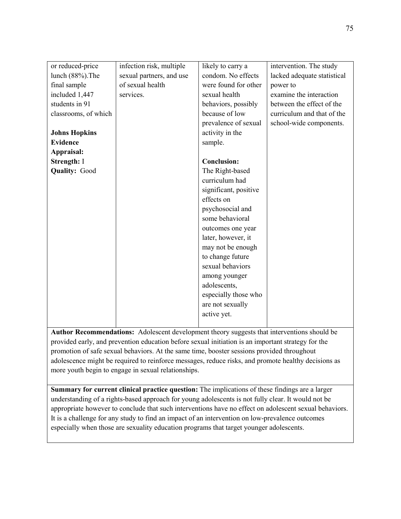| or reduced-price     | infection risk, multiple | likely to carry a     | intervention. The study     |
|----------------------|--------------------------|-----------------------|-----------------------------|
| lunch (88%). The     | sexual partners, and use | condom. No effects    | lacked adequate statistical |
| final sample         | of sexual health         | were found for other  | power to                    |
| included 1,447       | services.                | sexual health         | examine the interaction     |
| students in 91       |                          | behaviors, possibly   | between the effect of the   |
| classrooms, of which |                          | because of low        | curriculum and that of the  |
|                      |                          | prevalence of sexual  | school-wide components.     |
| <b>Johns Hopkins</b> |                          | activity in the       |                             |
| <b>Evidence</b>      |                          | sample.               |                             |
| Appraisal:           |                          |                       |                             |
| Strength: I          |                          | <b>Conclusion:</b>    |                             |
| <b>Quality: Good</b> |                          | The Right-based       |                             |
|                      |                          | curriculum had        |                             |
|                      |                          | significant, positive |                             |
|                      |                          | effects on            |                             |
|                      |                          | psychosocial and      |                             |
|                      |                          | some behavioral       |                             |
|                      |                          | outcomes one year     |                             |
|                      |                          | later, however, it    |                             |
|                      |                          | may not be enough     |                             |
|                      |                          | to change future      |                             |
|                      |                          | sexual behaviors      |                             |
|                      |                          | among younger         |                             |
|                      |                          | adolescents,          |                             |
|                      |                          | especially those who  |                             |
|                      |                          | are not sexually      |                             |
|                      |                          | active yet.           |                             |
|                      |                          |                       |                             |

**Author Recommendations:** Adolescent development theory suggests that interventions should be provided early, and prevention education before sexual initiation is an important strategy for the promotion of safe sexual behaviors. At the same time, booster sessions provided throughout adolescence might be required to reinforce messages, reduce risks, and promote healthy decisions as more youth begin to engage in sexual relationships.

**Summary for current clinical practice question:** The implications of these findings are a larger understanding of a rights-based approach for young adolescents is not fully clear. It would not be appropriate however to conclude that such interventions have no effect on adolescent sexual behaviors. It is a challenge for any study to find an impact of an intervention on low-prevalence outcomes especially when those are sexuality education programs that target younger adolescents.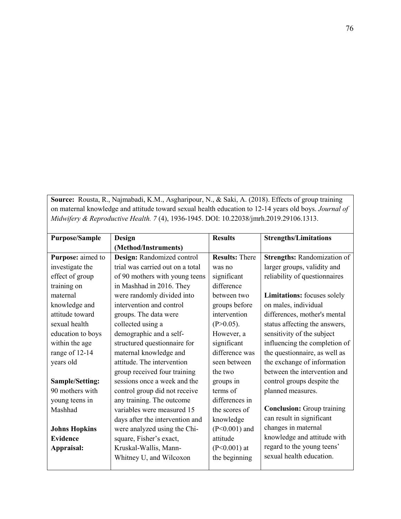**Source:** Rousta, R., Najmabadi, K.M., Asgharipour, N., & Saki, A. (2018). Effects of group training on maternal knowledge and attitude toward sexual health education to 12-14 years old boys. *Journal of Midwifery & Reproductive Health. 7* (4), 1936-1945. DOI: 10.22038/jmrh.2019.29106.1313.

| <b>Purpose/Sample</b> | Design                           | <b>Results</b>        | <b>Strengths/Limitations</b>      |
|-----------------------|----------------------------------|-----------------------|-----------------------------------|
|                       | (Method/Instruments)             |                       |                                   |
| Purpose: aimed to     | Design: Randomized control       | <b>Results: There</b> | Strengths: Randomization of       |
| investigate the       | trial was carried out on a total | was no                | larger groups, validity and       |
| effect of group       | of 90 mothers with young teens   | significant           | reliability of questionnaires     |
| training on           | in Mashhad in 2016. They         | difference            |                                   |
| maternal              | were randomly divided into       | between two           | Limitations: focuses solely       |
| knowledge and         | intervention and control         | groups before         | on males, individual              |
| attitude toward       | groups. The data were            | intervention          | differences, mother's mental      |
| sexual health         | collected using a                | $(P>0.05)$ .          | status affecting the answers,     |
| education to boys     | demographic and a self-          | However, a            | sensitivity of the subject        |
| within the age        | structured questionnaire for     | significant           | influencing the completion of     |
| range of 12-14        | maternal knowledge and           | difference was        | the questionnaire, as well as     |
| years old             | attitude. The intervention       | seen between          | the exchange of information       |
|                       | group received four training     | the two               | between the intervention and      |
| Sample/Setting:       | sessions once a week and the     | groups in             | control groups despite the        |
| 90 mothers with       | control group did not receive    | terms of              | planned measures.                 |
| young teens in        | any training. The outcome        | differences in        |                                   |
| Mashhad               | variables were measured 15       | the scores of         | <b>Conclusion:</b> Group training |
|                       | days after the intervention and  | knowledge             | can result in significant         |
| <b>Johns Hopkins</b>  | were analyzed using the Chi-     | $(P<0.001)$ and       | changes in maternal               |
| <b>Evidence</b>       | square, Fisher's exact,          | attitude              | knowledge and attitude with       |
| Appraisal:            | Kruskal-Wallis, Mann-            | $(P<0.001)$ at        | regard to the young teens'        |
|                       | Whitney U, and Wilcoxon          | the beginning         | sexual health education.          |
|                       |                                  |                       |                                   |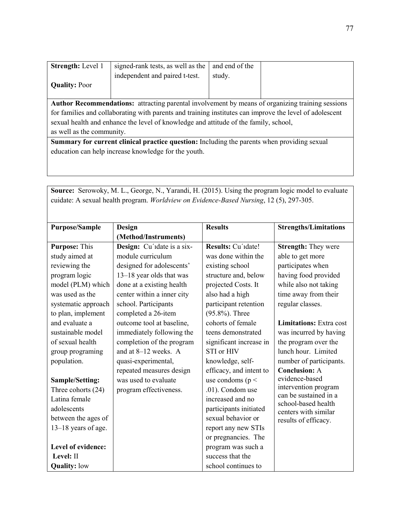| <b>Strength:</b> Level 1                                                                                | signed-rank tests, as well as the | and end of the |  |
|---------------------------------------------------------------------------------------------------------|-----------------------------------|----------------|--|
|                                                                                                         | independent and paired t-test.    | study.         |  |
| <b>Quality: Poor</b>                                                                                    |                                   |                |  |
|                                                                                                         |                                   |                |  |
| <b>Author Recommendations:</b> attracting parental involvement by means of organizing training sessions |                                   |                |  |
| for families and collaborating with parents and training institutes can improve the level of adolescent |                                   |                |  |
| sexual health and enhance the level of knowledge and attitude of the family, school,                    |                                   |                |  |
| as well as the community.                                                                               |                                   |                |  |
| <b>Summary for current clinical practice question:</b> Including the parents when providing sexual      |                                   |                |  |
| education can help increase knowledge for the youth.                                                    |                                   |                |  |

**Source:** Serowoky, M. L., George, N., Yarandi, H. (2015). Using the program logic model to evaluate cuidate: A sexual health program. *Worldview on Evidence-Based Nursing*, 12 (5), 297-305.

| <b>Purpose/Sample</b>  | Design                     | <b>Results</b>          | <b>Strengths/Limitations</b>                  |
|------------------------|----------------------------|-------------------------|-----------------------------------------------|
|                        | (Method/Instruments)       |                         |                                               |
| <b>Purpose: This</b>   | Design: Cu'idate is a six- | Results: Cu'idate!      | <b>Strength: They were</b>                    |
| study aimed at         | module curriculum          | was done within the     | able to get more                              |
| reviewing the          | designed for adolescents'  | existing school         | participates when                             |
| program logic          | 13-18 year olds that was   | structure and, below    | having food provided                          |
| model (PLM) which      | done at a existing health  | projected Costs. It     | while also not taking                         |
| was used as the        | center within a inner city | also had a high         | time away from their                          |
| systematic approach    | school. Participants       | participant retention   | regular classes.                              |
| to plan, implement     | completed a 26-item        | $(95.8\%)$ . Three      |                                               |
| and evaluate a         | outcome tool at baseline,  | cohorts of female       | <b>Limitations:</b> Extra cost                |
| sustainable model      | immediately following the  | teens demonstrated      | was incurred by having                        |
| of sexual health       | completion of the program  | significant increase in | the program over the                          |
| group programing       | and at 8-12 weeks. A       | STI or HIV              | lunch hour. Limited                           |
| population.            | quasi-experimental,        | knowledge, self-        | number of participants.                       |
|                        | repeated measures design   | efficacy, and intent to | <b>Conclusion: A</b>                          |
| <b>Sample/Setting:</b> | was used to evaluate       | use condoms ( $p <$     | evidence-based                                |
| Three cohorts (24)     | program effectiveness.     | .01). Condom use        | intervention program<br>can be sustained in a |
| Latina female          |                            | increased and no        | school-based health                           |
| adolescents            |                            | participants initiated  | centers with similar                          |
| between the ages of    |                            | sexual behavior or      | results of efficacy.                          |
| $13-18$ years of age.  |                            | report any new STIs     |                                               |
|                        |                            | or pregnancies. The     |                                               |
| Level of evidence:     |                            | program was such a      |                                               |
| Level: II              |                            | success that the        |                                               |
| <b>Quality: low</b>    |                            | school continues to     |                                               |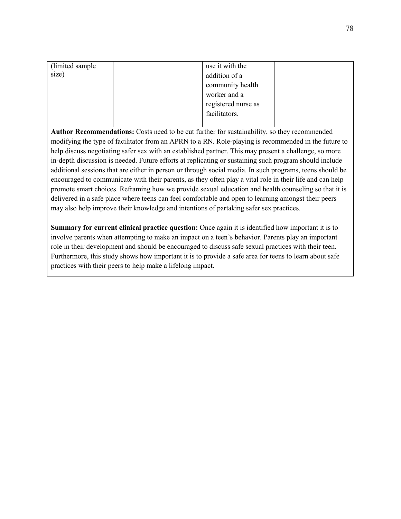| (limited sample) | use it with the     |  |
|------------------|---------------------|--|
| size)            | addition of a       |  |
|                  | community health    |  |
|                  | worker and a        |  |
|                  | registered nurse as |  |
|                  | facilitators.       |  |
|                  |                     |  |

**Author Recommendations:** Costs need to be cut further for sustainability, so they recommended modifying the type of facilitator from an APRN to a RN. Role-playing is recommended in the future to help discuss negotiating safer sex with an established partner. This may present a challenge, so more in-depth discussion is needed. Future efforts at replicating or sustaining such program should include additional sessions that are either in person or through social media. In such programs, teens should be encouraged to communicate with their parents, as they often play a vital role in their life and can help promote smart choices. Reframing how we provide sexual education and health counseling so that it is delivered in a safe place where teens can feel comfortable and open to learning amongst their peers may also help improve their knowledge and intentions of partaking safer sex practices.

**Summary for current clinical practice question:** Once again it is identified how important it is to involve parents when attempting to make an impact on a teen's behavior. Parents play an important role in their development and should be encouraged to discuss safe sexual practices with their teen. Furthermore, this study shows how important it is to provide a safe area for teens to learn about safe practices with their peers to help make a lifelong impact.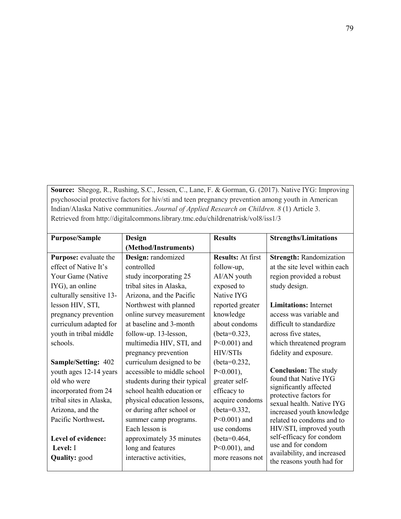**Source:** Shegog, R., Rushing, S.C., Jessen, C., Lane, F. & Gorman, G. (2017). Native IYG: Improving psychosocial protective factors for hiv/sti and teen pregnancy prevention among youth in American Indian/Alaska Native communities. *Journal of Applied Research on Children. 8* (1) Article 3. Retrieved from http://digitalcommons.library.tmc.edu/childrenatrisk/vol8/iss1/3

| <b>Purpose/Sample</b>      | Design                        | <b>Results</b>           | <b>Strengths/Limitations</b>                     |
|----------------------------|-------------------------------|--------------------------|--------------------------------------------------|
|                            | (Method/Instruments)          |                          |                                                  |
| Purpose: evaluate the      | Design: randomized            | <b>Results: At first</b> | <b>Strength: Randomization</b>                   |
| effect of Native It's      | controlled                    | follow-up,               | at the site level within each                    |
| Your Game (Native          | study incorporating 25        | AI/AN youth              | region provided a robust                         |
| IYG), an online            | tribal sites in Alaska,       | exposed to               | study design.                                    |
| culturally sensitive 13-   | Arizona, and the Pacific      | Native IYG               |                                                  |
| lesson HIV, STI,           | Northwest with planned        | reported greater         | <b>Limitations:</b> Internet                     |
| pregnancy prevention       | online survey measurement     | knowledge                | access was variable and                          |
| curriculum adapted for     | at baseline and 3-month       | about condoms            | difficult to standardize                         |
| youth in tribal middle     | follow-up. 13-lesson,         | (beta= $0.323$ ,         | across five states,                              |
| schools.                   | multimedia HIV, STI, and      | $P<0.001$ ) and          | which threatened program                         |
|                            | pregnancy prevention          | <b>HIV/STIs</b>          | fidelity and exposure.                           |
| <b>Sample/Setting: 402</b> | curriculum designed to be     | (beta= $0.232$ ,         |                                                  |
| youth ages 12-14 years     | accessible to middle school   | $P<0.001$ ),             | <b>Conclusion:</b> The study                     |
| old who were               | students during their typical | greater self-            | found that Native IYG                            |
| incorporated from 24       | school health education or    | efficacy to              | significantly affected<br>protective factors for |
| tribal sites in Alaska,    | physical education lessons,   | acquire condoms          | sexual health. Native IYG                        |
| Arizona, and the           | or during after school or     | (beta= $0.332$ ,         | increased youth knowledge                        |
| Pacific Northwest.         | summer camp programs.         | $P<0.001$ ) and          | related to condoms and to                        |
|                            | Each lesson is                | use condoms              | HIV/STI, improved youth                          |
| Level of evidence:         | approximately 35 minutes      | (beta= $0.464$ ,         | self-efficacy for condom<br>use and for condom   |
| Level: I                   | long and features             | $P<0.001$ ), and         | availability, and increased                      |
| <b>Quality:</b> good       | interactive activities,       | more reasons not         | the reasons youth had for                        |
|                            |                               |                          |                                                  |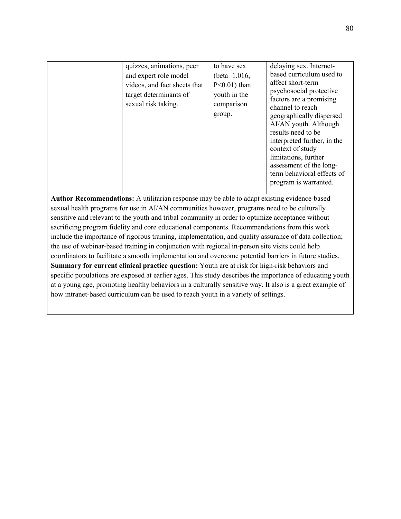| quizzes, animations, peer<br>and expert role model<br>videos, and fact sheets that<br>target determinants of<br>sexual risk taking. | to have sex<br>(beta= $1.016$ ,<br>$P<0.01$ ) than<br>youth in the<br>comparison<br>group. | delaying sex. Internet-<br>based curriculum used to<br>affect short-term<br>psychosocial protective<br>factors are a promising<br>channel to reach<br>geographically dispersed<br>AI/AN youth. Although<br>results need to be<br>interpreted further, in the<br>context of study<br>limitations, further<br>assessment of the long-<br>term behavioral effects of<br>program is warranted. |
|-------------------------------------------------------------------------------------------------------------------------------------|--------------------------------------------------------------------------------------------|--------------------------------------------------------------------------------------------------------------------------------------------------------------------------------------------------------------------------------------------------------------------------------------------------------------------------------------------------------------------------------------------|

**Author Recommendations:** A utilitarian response may be able to adapt existing evidence-based sexual health programs for use in AI/AN communities however, programs need to be culturally sensitive and relevant to the youth and tribal community in order to optimize acceptance without sacrificing program fidelity and core educational components. Recommendations from this work include the importance of rigorous training, implementation, and quality assurance of data collection; the use of webinar-based training in conjunction with regional in-person site visits could help coordinators to facilitate a smooth implementation and overcome potential barriers in future studies. **Summary for current clinical practice question:** Youth are at risk for high-risk behaviors and

specific populations are exposed at earlier ages. This study describes the importance of educating youth at a young age, promoting healthy behaviors in a culturally sensitive way. It also is a great example of how intranet-based curriculum can be used to reach youth in a variety of settings.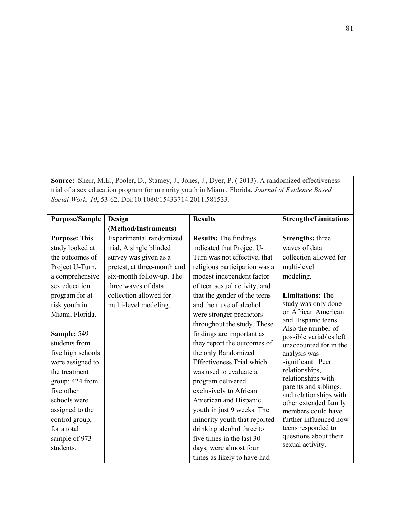**Source:** Sherr, M.E., Pooler, D., Stamey, J., Jones, J., Dyer, P. ( 2013). A randomized effectiveness trial of a sex education program for minority youth in Miami, Florida. *Journal of Evidence Based Social Work. 10*, 53-62. Doi:10.1080/15433714.2011.581533.

| <b>Purpose/Sample</b> | Design                      | <b>Results</b>                   | <b>Strengths/Limitations</b>                    |
|-----------------------|-----------------------------|----------------------------------|-------------------------------------------------|
|                       | (Method/Instruments)        |                                  |                                                 |
| <b>Purpose: This</b>  | Experimental randomized     | <b>Results:</b> The findings     | <b>Strengths:</b> three                         |
| study looked at       | trial. A single blinded     | indicated that Project U-        | waves of data                                   |
| the outcomes of       | survey was given as a       | Turn was not effective, that     | collection allowed for                          |
| Project U-Turn,       | pretest, at three-month and | religious participation was a    | multi-level                                     |
| a comprehensive       | six-month follow-up. The    | modest independent factor        | modeling.                                       |
| sex education         | three waves of data         | of teen sexual activity, and     |                                                 |
| program for at        | collection allowed for      | that the gender of the teens     | <b>Limitations: The</b>                         |
| risk youth in         | multi-level modeling.       | and their use of alcohol         | study was only done                             |
| Miami, Florida.       |                             | were stronger predictors         | on African American                             |
|                       |                             | throughout the study. These      | and Hispanic teens.<br>Also the number of       |
| Sample: 549           |                             | findings are important as        | possible variables left                         |
| students from         |                             | they report the outcomes of      | unaccounted for in the                          |
| five high schools     |                             | the only Randomized              | analysis was                                    |
| were assigned to      |                             | <b>Effectiveness Trial which</b> | significant. Peer                               |
| the treatment         |                             | was used to evaluate a           | relationships,                                  |
| group; 424 from       |                             | program delivered                | relationships with                              |
| five other            |                             | exclusively to African           | parents and siblings,<br>and relationships with |
| schools were          |                             | American and Hispanic            | other extended family                           |
| assigned to the       |                             | youth in just 9 weeks. The       | members could have                              |
| control group,        |                             | minority youth that reported     | further influenced how                          |
| for a total           |                             | drinking alcohol three to        | teens responded to                              |
| sample of 973         |                             | five times in the last 30        | questions about their                           |
| students.             |                             | days, were almost four           | sexual activity.                                |
|                       |                             | times as likely to have had      |                                                 |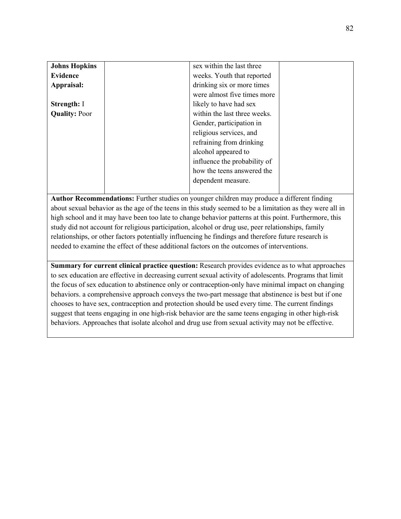| <b>Johns Hopkins</b> | sex within the last three    |
|----------------------|------------------------------|
| <b>Evidence</b>      | weeks. Youth that reported   |
| Appraisal:           | drinking six or more times   |
|                      | were almost five times more  |
| <b>Strength: I</b>   | likely to have had sex       |
| <b>Quality: Poor</b> | within the last three weeks. |
|                      | Gender, participation in     |
|                      | religious services, and      |
|                      | refraining from drinking     |
|                      | alcohol appeared to          |
|                      | influence the probability of |
|                      | how the teens answered the   |
|                      | dependent measure.           |
|                      |                              |

**Author Recommendations:** Further studies on younger children may produce a different finding about sexual behavior as the age of the teens in this study seemed to be a limitation as they were all in high school and it may have been too late to change behavior patterns at this point. Furthermore, this study did not account for religious participation, alcohol or drug use, peer relationships, family relationships, or other factors potentially influencing he findings and therefore future research is needed to examine the effect of these additional factors on the outcomes of interventions.

**Summary for current clinical practice question:** Research provides evidence as to what approaches to sex education are effective in decreasing current sexual activity of adolescents. Programs that limit the focus of sex education to abstinence only or contraception-only have minimal impact on changing behaviors. a comprehensive approach conveys the two-part message that abstinence is best but if one chooses to have sex, contraception and protection should be used every time. The current findings suggest that teens engaging in one high-risk behavior are the same teens engaging in other high-risk behaviors. Approaches that isolate alcohol and drug use from sexual activity may not be effective.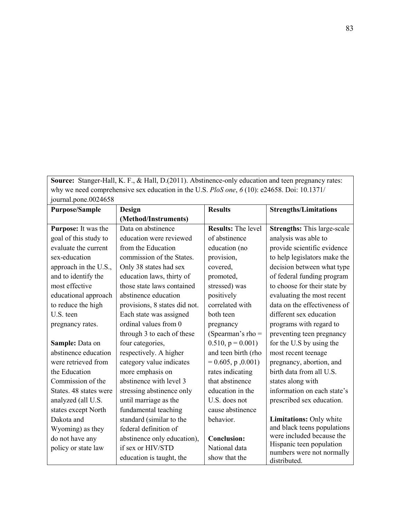**Source:** Stanger-Hall, K. F., & Hall, D.(2011). Abstinence-only education and teen pregnancy rates: why we need comprehensive sex education in the U.S. *PloS one*, *6* (10): e24658. Doi: 10.1371/  $\frac{1}{2}$ iournal.pone.0024658

| $J2$ and $J1$ and $J2$ and $J3$ |                               |                           |                                           |
|---------------------------------|-------------------------------|---------------------------|-------------------------------------------|
| <b>Purpose/Sample</b>           | Design                        | <b>Results</b>            | <b>Strengths/Limitations</b>              |
|                                 | (Method/Instruments)          |                           |                                           |
| Purpose: It was the             | Data on abstinence            | <b>Results:</b> The level | <b>Strengths:</b> This large-scale        |
| goal of this study to           | education were reviewed       | of abstinence             | analysis was able to                      |
| evaluate the current            | from the Education            | education (no             | provide scientific evidence               |
| sex-education                   | commission of the States.     | provision,                | to help legislators make the              |
| approach in the U.S.,           | Only 38 states had sex        | covered,                  | decision between what type                |
| and to identify the             | education laws, thirty of     | promoted,                 | of federal funding program                |
| most effective                  | those state laws contained    | stressed) was             | to choose for their state by              |
| educational approach            | abstinence education          | positively                | evaluating the most recent                |
| to reduce the high              | provisions, 8 states did not. | correlated with           | data on the effectiveness of              |
| U.S. teen                       | Each state was assigned       | both teen                 | different sex education                   |
| pregnancy rates.                | ordinal values from 0         | pregnancy                 | programs with regard to                   |
|                                 | through 3 to each of these    | (Spearman's rho $=$       | preventing teen pregnancy                 |
| Sample: Data on                 | four categories,              | $0.510$ , $p = 0.001$ )   | for the U.S by using the                  |
| abstinence education            | respectively. A higher        | and teen birth (rho       | most recent teenage                       |
| were retrieved from             | category value indicates      | $= 0.605$ , p, 0.001)     | pregnancy, abortion, and                  |
| the Education                   | more emphasis on              | rates indicating          | birth data from all U.S.                  |
| Commission of the               | abstinence with level 3       | that abstinence           | states along with                         |
| States. 48 states were          | stressing abstinence only     | education in the          | information on each state's               |
| analyzed (all U.S.              | until marriage as the         | U.S. does not             | prescribed sex education.                 |
| states except North             | fundamental teaching          | cause abstinence          |                                           |
| Dakota and                      | standard (similar to the      | behavior.                 | Limitations: Only white                   |
| Wyoming) as they                | federal definition of         |                           | and black teens populations               |
| do not have any                 | abstinence only education),   | <b>Conclusion:</b>        | were included because the                 |
| policy or state law             | if sex or HIV/STD             | National data             | Hispanic teen population                  |
|                                 | education is taught, the      | show that the             | numbers were not normally<br>distributed. |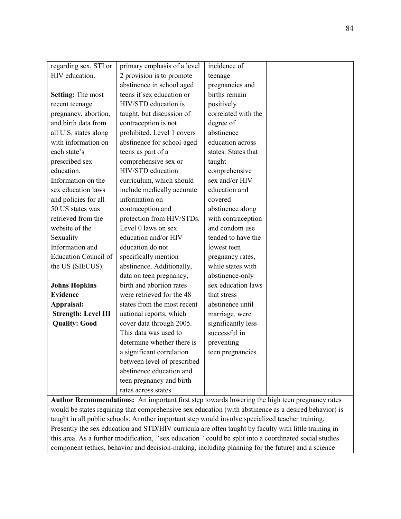| regarding sex, STI or                                                                          | primary emphasis of a level | incidence of        |  |  |
|------------------------------------------------------------------------------------------------|-----------------------------|---------------------|--|--|
| HIV education.                                                                                 | 2 provision is to promote   | teenage             |  |  |
|                                                                                                | abstinence in school aged   | pregnancies and     |  |  |
| <b>Setting:</b> The most                                                                       | teens if sex education or   | births remain       |  |  |
| recent teenage                                                                                 | HIV/STD education is        | positively          |  |  |
| pregnancy, abortion,                                                                           | taught, but discussion of   | correlated with the |  |  |
| and birth data from                                                                            | contraception is not        | degree of           |  |  |
| all U.S. states along                                                                          | prohibited. Level 1 covers  | abstinence          |  |  |
| with information on                                                                            | abstinence for school-aged  | education across    |  |  |
| each state's                                                                                   | teens as part of a          | states: States that |  |  |
| prescribed sex                                                                                 | comprehensive sex or        | taught              |  |  |
| education.                                                                                     | HIV/STD education           | comprehensive       |  |  |
| Information on the                                                                             | curriculum, which should    | sex and/or HIV      |  |  |
| sex education laws                                                                             | include medically accurate  | education and       |  |  |
| and policies for all                                                                           | information on              | covered             |  |  |
| 50 US states was                                                                               | contraception and           | abstinence along    |  |  |
| retrieved from the                                                                             | protection from HIV/STDs.   | with contraception  |  |  |
| website of the                                                                                 | Level 0 laws on sex         | and condom use      |  |  |
| Sexuality                                                                                      | education and/or HIV        | tended to have the  |  |  |
| Information and                                                                                | education do not            | lowest teen         |  |  |
| <b>Education Council of</b>                                                                    | specifically mention        | pregnancy rates,    |  |  |
| the US (SIECUS).                                                                               | abstinence. Additionally,   | while states with   |  |  |
|                                                                                                | data on teen pregnancy,     | abstinence-only     |  |  |
| <b>Johns Hopkins</b>                                                                           | birth and abortion rates    | sex education laws  |  |  |
| <b>Evidence</b>                                                                                | were retrieved for the 48   | that stress         |  |  |
| Appraisal:                                                                                     | states from the most recent | abstinence until    |  |  |
| <b>Strength: Level III</b>                                                                     | national reports, which     | marriage, were      |  |  |
| <b>Quality: Good</b>                                                                           | cover data through 2005.    | significantly less  |  |  |
|                                                                                                | This data was used to       | successful in       |  |  |
|                                                                                                | determine whether there is  | preventing          |  |  |
|                                                                                                | a significant correlation   | teen pregnancies.   |  |  |
|                                                                                                | between level of prescribed |                     |  |  |
|                                                                                                | abstinence education and    |                     |  |  |
|                                                                                                | teen pregnancy and birth    |                     |  |  |
|                                                                                                | rates across states.        |                     |  |  |
| Author Recommendations: An important first step towards lowering the high teen pregnancy rates |                             |                     |  |  |

would be states requiring that comprehensive sex education (with abstinence as a desired behavior) is taught in all public schools. Another important step would involve specialized teacher training. Presently the sex education and STD/HIV curricula are often taught by faculty with little training in this area. As a further modification, ''sex education'' could be split into a coordinated social studies component (ethics, behavior and decision-making, including planning for the future) and a science